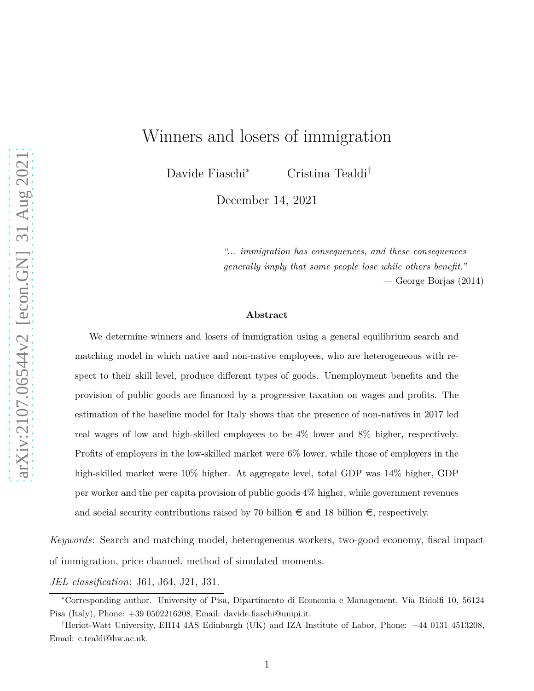# Winners and losers of immigration

Davide Fiaschi<sup>∗</sup> Cristina Tealdi†

December 14, 2021

*"... immigration has consequences, and these consequences generally imply that some people lose while others benefit." —* George Borjas (2014)

#### **Abstract**

We determine winners and losers of immigration using a general equilibrium search and matching model in which native and non-native employees, who are heterogeneous with respect to their skill level, produce different types of goods. Unemployment benefits and the provision of public goods are financed by a progressive taxation on wages and profits. The estimation of the baseline model for Italy shows that the presence of non-natives in 2017 led real wages of low and high-skilled employees to be 4% lower and 8% higher, respectively. Profits of employers in the low-skilled market were 6% lower, while those of employers in the high-skilled market were 10% higher. At aggregate level, total GDP was 14% higher, GDP per worker and the per capita provision of public goods 4% higher, while government revenues and social security contributions raised by 70 billion  $\epsilon$  and 18 billion  $\epsilon$ , respectively.

*Keywords*: Search and matching model, heterogeneous workers, two-good economy, fiscal impact of immigration, price channel, method of simulated moments.

*JEL classification*: J61, J64, J21, J31.

<sup>∗</sup>Corresponding author. University of Pisa, Dipartimento di Economia e Management, Via Ridolfi 10, 56124 Pisa (Italy), Phone: +39 0502216208, Email: davide.fiaschi@unipi.it.

<sup>†</sup>Heriot-Watt University, EH14 4AS Edinburgh (UK) and IZA Institute of Labor, Phone: +44 0131 4513208, Email: c.tealdi@hw.ac.uk.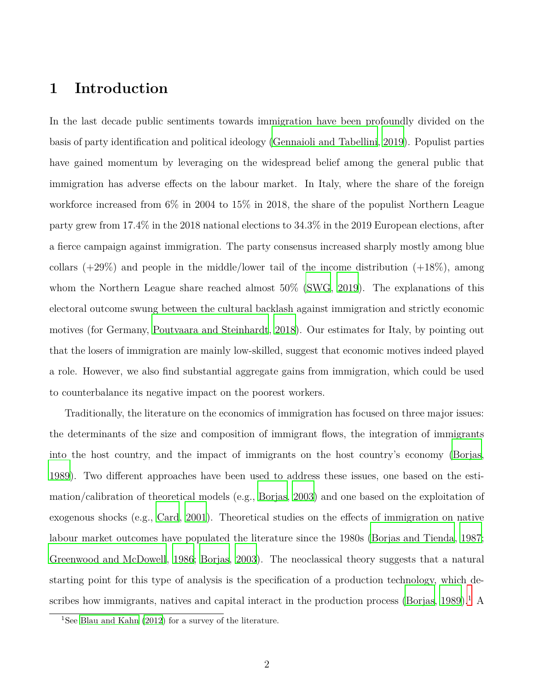## **1 Introduction**

In the last decade public sentiments towards immigration have been profoundly divided on the basis of party identification and political ideology [\(Gennaioli and Tabellini](#page-82-0), [2019\)](#page-82-0). Populist parties have gained momentum by leveraging on the widespread belief among the general public that immigration has adverse effects on the labour market. In Italy, where the share of the foreign workforce increased from  $6\%$  in 2004 to 15% in 2018, the share of the populist Northern League party grew from 17.4% in the 2018 national elections to 34.3% in the 2019 European elections, after a fierce campaign against immigration. The party consensus increased sharply mostly among blue collars  $(+29\%)$  and people in the middle/lower tail of the income distribution  $(+18\%)$ , among whom the Northern League share reached almost  $50\%$  [\(SWG](#page-85-0), [2019\)](#page-85-0). The explanations of this electoral outcome swung between the cultural backlash against immigration and strictly economic motives (for Germany, [Poutvaara and Steinhardt](#page-84-0), [2018\)](#page-84-0). Our estimates for Italy, by pointing out that the losers of immigration are mainly low-skilled, suggest that economic motives indeed played a role. However, we also find substantial aggregate gains from immigration, which could be used to counterbalance its negative impact on the poorest workers.

Traditionally, the literature on the economics of immigration has focused on three major issues: the determinants of the size and composition of immigrant flows, the integration of immigrants into the host country, and the impact of immigrants on the host country's economy [\(Borjas](#page-80-0), [1989](#page-80-0)). Two different approaches have been used to address these issues, one based on the estimation/calibration of theoretical models (e.g., [Borjas](#page-80-1), [2003\)](#page-80-1) and one based on the exploitation of exogenous shocks (e.g., [Card](#page-80-2), [2001\)](#page-80-2). Theoretical studies on the effects of immigration on native labour market outcomes have populated the literature since the 1980s [\(Borjas and Tienda](#page-80-3), [1987](#page-80-3); [Greenwood and McDowell, 1986](#page-82-1); [Borjas, 2003](#page-80-1)). The neoclassical theory suggests that a natural starting point for this type of analysis is the specification of a production technology, which de-scribes how immigrants, natives and capital interact in the production process [\(Borjas](#page-80-0),  $1989$ ).<sup>1</sup> A

<sup>&</sup>lt;sup>1</sup>See Blau and Kahn  $(2012)$  for a survey of the literature.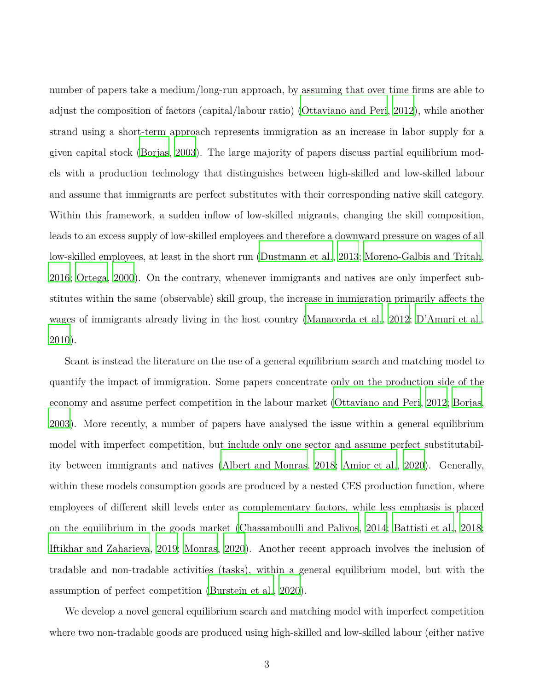number of papers take a medium/long-run approach, by assuming that over time firms are able to adjust the composition of factors (capital/labour ratio) [\(Ottaviano and Peri](#page-84-1), [2012\)](#page-84-1), while another strand using a short-term approach represents immigration as an increase in labor supply for a given capital stock [\(Borjas, 2003\)](#page-80-1). The large majority of papers discuss partial equilibrium models with a production technology that distinguishes between high-skilled and low-skilled labour and assume that immigrants are perfect substitutes with their corresponding native skill category. Within this framework, a sudden inflow of low-skilled migrants, changing the skill composition, leads to an excess supply of low-skilled employees and therefore a downward pressure on wages of all low-skilled employees, at least in the short run [\(Dustmann et al., 2013;](#page-81-0) [Moreno-Galbis and Tritah](#page-83-0), [2016](#page-83-0); [Ortega, 2000\)](#page-84-2). On the contrary, whenever immigrants and natives are only imperfect substitutes within the same (observable) skill group, the increase in immigration primarily affects the wages of immigrants already living in the host country [\(Manacorda et al.](#page-83-1), [2012;](#page-83-1) [D'Amuri et al.](#page-81-1), [2010](#page-81-1)).

Scant is instead the literature on the use of a general equilibrium search and matching model to quantify the impact of immigration. Some papers concentrate only on the production side of the economy and assume perfect competition in the labour market [\(Ottaviano and Peri](#page-84-1), [2012;](#page-84-1) [Borjas](#page-80-1), [2003](#page-80-1)). More recently, a number of papers have analysed the issue within a general equilibrium model with imperfect competition, but include only one sector and assume perfect substitutability between immigrants and natives [\(Albert and Monras](#page-79-1), [2018](#page-79-1); [Amior et al.](#page-79-2), [2020\)](#page-79-2). Generally, within these models consumption goods are produced by a nested CES production function, where employees of different skill levels enter as complementary factors, while less emphasis is placed on the equilibrium in the goods market [\(Chassamboulli and Palivos](#page-80-4), [2014](#page-80-4); [Battisti et al.](#page-79-3), [2018](#page-79-3); [Iftikhar and Zaharieva, 2019](#page-82-2); [Monras](#page-83-2), [2020\)](#page-83-2). Another recent approach involves the inclusion of tradable and non-tradable activities (tasks), within a general equilibrium model, but with the assumption of perfect competition [\(Burstein et al., 2020](#page-80-5)).

We develop a novel general equilibrium search and matching model with imperfect competition where two non-tradable goods are produced using high-skilled and low-skilled labour (either native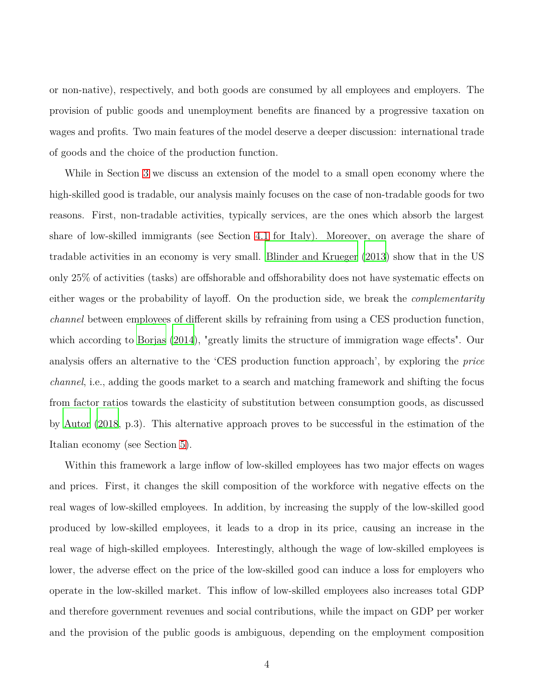or non-native), respectively, and both goods are consumed by all employees and employers. The provision of public goods and unemployment benefits are financed by a progressive taxation on wages and profits. Two main features of the model deserve a deeper discussion: international trade of goods and the choice of the production function.

While in Section [3](#page-19-0) we discuss an extension of the model to a small open economy where the high-skilled good is tradable, our analysis mainly focuses on the case of non-tradable goods for two reasons. First, non-tradable activities, typically services, are the ones which absorb the largest share of low-skilled immigrants (see Section [4.1](#page-22-0) for Italy). Moreover, on average the share of tradable activities in an economy is very small. [Blinder and](#page-79-4) Krueger [\(2013\)](#page-79-4) show that in the US only 25% of activities (tasks) are offshorable and offshorability does not have systematic effects on either wages or the probability of layoff. On the production side, we break the *complementarity channel* between employees of different skills by refraining from using a CES production function, which according to [Borjas](#page-80-6) [\(2014](#page-80-6)), "greatly limits the structure of immigration wage effects". Our analysis offers an alternative to the 'CES production function approach', by exploring the *price channel*, i.e., adding the goods market to a search and matching framework and shifting the focus from factor ratios towards the elasticity of substitution between consumption goods, as discussed by [Autor \(2018,](#page-79-5) p.3). This alternative approach proves to be successful in the estimation of the Italian economy (see Section [5\)](#page-34-0).

Within this framework a large inflow of low-skilled employees has two major effects on wages and prices. First, it changes the skill composition of the workforce with negative effects on the real wages of low-skilled employees. In addition, by increasing the supply of the low-skilled good produced by low-skilled employees, it leads to a drop in its price, causing an increase in the real wage of high-skilled employees. Interestingly, although the wage of low-skilled employees is lower, the adverse effect on the price of the low-skilled good can induce a loss for employers who operate in the low-skilled market. This inflow of low-skilled employees also increases total GDP and therefore government revenues and social contributions, while the impact on GDP per worker and the provision of the public goods is ambiguous, depending on the employment composition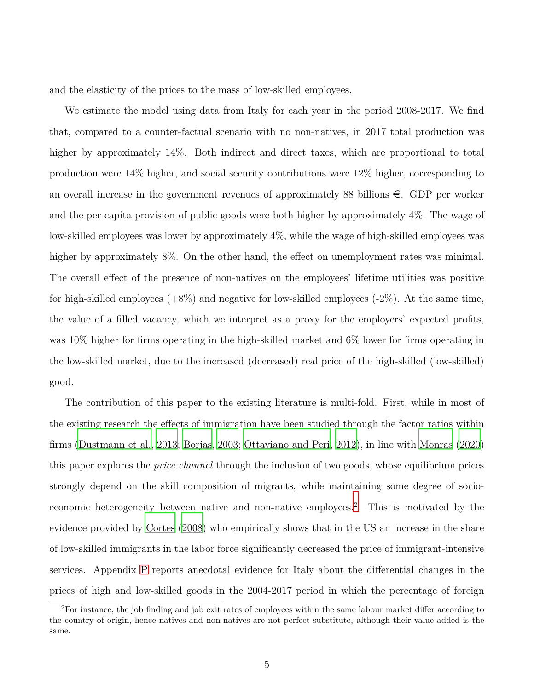and the elasticity of the prices to the mass of low-skilled employees.

We estimate the model using data from Italy for each year in the period 2008-2017. We find that, compared to a counter-factual scenario with no non-natives, in 2017 total production was higher by approximately 14%. Both indirect and direct taxes, which are proportional to total production were 14% higher, and social security contributions were 12% higher, corresponding to an overall increase in the government revenues of approximately 88 billions  $\epsilon$ . GDP per worker and the per capita provision of public goods were both higher by approximately 4%. The wage of low-skilled employees was lower by approximately 4%, while the wage of high-skilled employees was higher by approximately 8%. On the other hand, the effect on unemployment rates was minimal. The overall effect of the presence of non-natives on the employees' lifetime utilities was positive for high-skilled employees  $(+8\%)$  and negative for low-skilled employees  $(-2\%)$ . At the same time, the value of a filled vacancy, which we interpret as a proxy for the employers' expected profits, was 10% higher for firms operating in the high-skilled market and 6% lower for firms operating in the low-skilled market, due to the increased (decreased) real price of the high-skilled (low-skilled) good.

The contribution of this paper to the existing literature is multi-fold. First, while in most of the existing research the effects of immigration have been studied through the factor ratios within firms [\(Dustmann et al.](#page-81-0), [2013;](#page-81-0) [Borjas, 2003](#page-80-1); [Ottaviano and Peri](#page-84-1), [2012\)](#page-84-1), in line with [Monras \(2020\)](#page-83-2) this paper explores the *price channel* through the inclusion of two goods, whose equilibrium prices strongly depend on the skill composition of migrants, while maintaining some degree of socioeconomic heterogeneity between native and non-native employees.<sup>2</sup> This is motivated by the evidence provided by [Cortes](#page-80-7) [\(2008](#page-80-7)) who empirically shows that in the US an increase in the share of low-skilled immigrants in the labor force significantly decreased the price of immigrant-intensive services. Appendix [P](#page-71-0) reports anecdotal evidence for Italy about the differential changes in the prices of high and low-skilled goods in the 2004-2017 period in which the percentage of foreign

<sup>&</sup>lt;sup>2</sup>For instance, the job finding and job exit rates of employees within the same labour market differ according to the country of origin, hence natives and non-natives are not perfect substitute, although their value added is the same.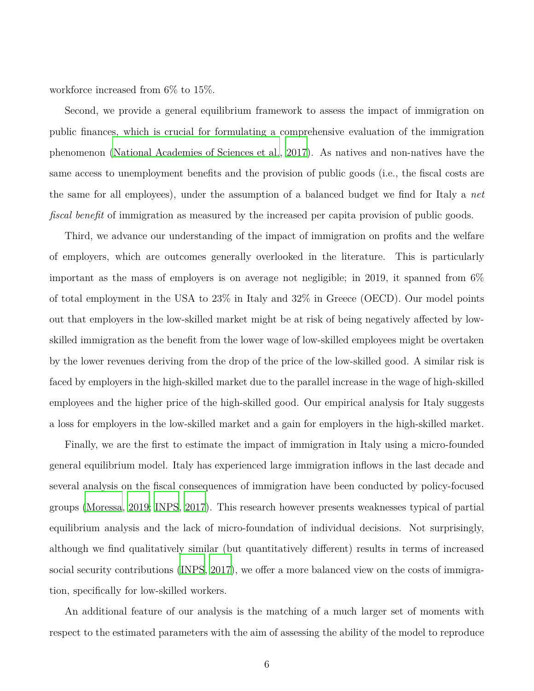workforce increased from 6% to 15%.

Second, we provide a general equilibrium framework to assess the impact of immigration on public finances, which is crucial for formulating a comprehensive evaluation of the immigration phenomenon [\(National Academies of Sciences et al., 2017](#page-83-3)). As natives and non-natives have the same access to unemployment benefits and the provision of public goods (i.e., the fiscal costs are the same for all employees), under the assumption of a balanced budget we find for Italy a *net fiscal benefit* of immigration as measured by the increased per capita provision of public goods.

Third, we advance our understanding of the impact of immigration on profits and the welfare of employers, which are outcomes generally overlooked in the literature. This is particularly important as the mass of employers is on average not negligible; in 2019, it spanned from  $6\%$ of total employment in the USA to 23% in Italy and 32% in Greece (OECD). Our model points out that employers in the low-skilled market might be at risk of being negatively affected by lowskilled immigration as the benefit from the lower wage of low-skilled employees might be overtaken by the lower revenues deriving from the drop of the price of the low-skilled good. A similar risk is faced by employers in the high-skilled market due to the parallel increase in the wage of high-skilled employees and the higher price of the high-skilled good. Our empirical analysis for Italy suggests a loss for employers in the low-skilled market and a gain for employers in the high-skilled market.

Finally, we are the first to estimate the impact of immigration in Italy using a micro-founded general equilibrium model. Italy has experienced large immigration inflows in the last decade and several analysis on the fiscal consequences of immigration have been conducted by policy-focused groups [\(Moressa](#page-83-4), [2019;](#page-83-4) [INPS](#page-82-3), [2017\)](#page-82-3). This research however presents weaknesses typical of partial equilibrium analysis and the lack of micro-foundation of individual decisions. Not surprisingly, although we find qualitatively similar (but quantitatively different) results in terms of increased social security contributions [\(INPS, 2017\)](#page-82-3), we offer a more balanced view on the costs of immigration, specifically for low-skilled workers.

An additional feature of our analysis is the matching of a much larger set of moments with respect to the estimated parameters with the aim of assessing the ability of the model to reproduce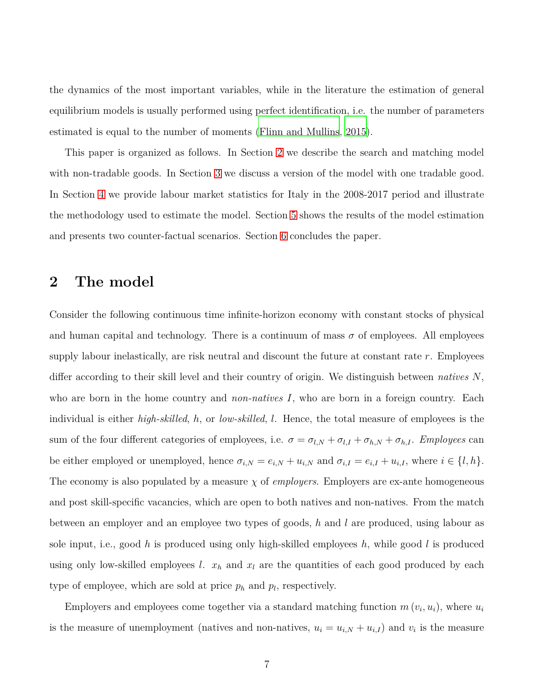the dynamics of the most important variables, while in the literature the estimation of general equilibrium models is usually performed using perfect identification, i.e. the number of parameters estimated is equal to the number of moments [\(Flinn and Mullins](#page-81-2), [2015](#page-81-2)).

This paper is organized as follows. In Section [2](#page-6-0) we describe the search and matching model with non-tradable goods. In Section [3](#page-19-0) we discuss a version of the model with one tradable good. In Section [4](#page-21-0) we provide labour market statistics for Italy in the 2008-2017 period and illustrate the methodology used to estimate the model. Section [5](#page-34-0) shows the results of the model estimation and presents two counter-factual scenarios. Section [6](#page-40-0) concludes the paper.

## <span id="page-6-0"></span>**2 The model**

Consider the following continuous time infinite-horizon economy with constant stocks of physical and human capital and technology. There is a continuum of mass  $\sigma$  of employees. All employees supply labour inelastically, are risk neutral and discount the future at constant rate *r*. Employees differ according to their skill level and their country of origin. We distinguish between *natives N*, who are born in the home country and *non-natives* I, who are born in a foreign country. Each individual is either *high-skilled*, *h*, or *low-skilled*, *l*. Hence, the total measure of employees is the sum of the four different categories of employees, i.e.  $\sigma = \sigma_{l,N} + \sigma_{l,I} + \sigma_{h,N} + \sigma_{h,I}$ . *Employees* can be either employed or unemployed, hence  $\sigma_{i,N} = e_{i,N} + u_{i,N}$  and  $\sigma_{i,I} = e_{i,I} + u_{i,I}$ , where  $i \in \{l, h\}$ . The economy is also populated by a measure  $\chi$  of *employers*. Employers are ex-ante homogeneous and post skill-specific vacancies, which are open to both natives and non-natives. From the match between an employer and an employee two types of goods, *h* and *l* are produced, using labour as sole input, i.e., good *h* is produced using only high-skilled employees *h*, while good *l* is produced using only low-skilled employees  $l$ .  $x_h$  and  $x_l$  are the quantities of each good produced by each type of employee, which are sold at price  $p_h$  and  $p_l$ , respectively.

Employers and employees come together via a standard matching function  $m(v_i, u_i)$ , where  $u_i$ is the measure of unemployment (natives and non-natives,  $u_i = u_{i,N} + u_{i,I}$ ) and  $v_i$  is the measure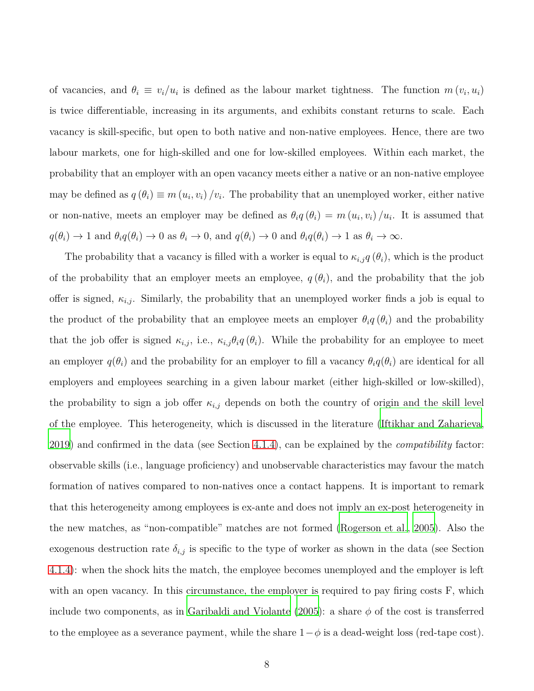of vacancies, and  $\theta_i \equiv v_i/u_i$  is defined as the labour market tightness. The function  $m(v_i, u_i)$ is twice differentiable, increasing in its arguments, and exhibits constant returns to scale. Each vacancy is skill-specific, but open to both native and non-native employees. Hence, there are two labour markets, one for high-skilled and one for low-skilled employees. Within each market, the probability that an employer with an open vacancy meets either a native or an non-native employee may be defined as  $q(\theta_i) \equiv m(u_i, v_i) / v_i$ . The probability that an unemployed worker, either native or non-native, meets an employer may be defined as  $\theta_i q(\theta_i) = m(u_i, v_i)/u_i$ . It is assumed that  $q(\theta_i) \to 1$  and  $\theta_i q(\theta_i) \to 0$  as  $\theta_i \to 0$ , and  $q(\theta_i) \to 0$  and  $\theta_i q(\theta_i) \to 1$  as  $\theta_i \to \infty$ .

The probability that a vacancy is filled with a worker is equal to  $\kappa_{i,j}q(\theta_i)$ , which is the product of the probability that an employer meets an employee,  $q(\theta_i)$ , and the probability that the job offer is signed,  $\kappa_{i,j}$ . Similarly, the probability that an unemployed worker finds a job is equal to the product of the probability that an employee meets an employer  $\theta_i q(\theta_i)$  and the probability that the job offer is signed  $\kappa_{i,j}$ , i.e.,  $\kappa_{i,j}\theta_i q(\theta_i)$ . While the probability for an employee to meet an employer  $q(\theta_i)$  and the probability for an employer to fill a vacancy  $\theta_i q(\theta_i)$  are identical for all employers and employees searching in a given labour market (either high-skilled or low-skilled), the probability to sign a job offer  $\kappa_{i,j}$  depends on both the country of origin and the skill level of the employee. This heterogeneity, which is discussed in the literature [\(Iftikhar and Zaharieva](#page-82-2), [2019](#page-82-2)) and confirmed in the data (see Section [4.1.4\)](#page-28-0), can be explained by the *compatibility* factor: observable skills (i.e., language proficiency) and unobservable characteristics may favour the match formation of natives compared to non-natives once a contact happens. It is important to remark that this heterogeneity among employees is ex-ante and does not imply an ex-post heterogeneity in the new matches, as "non-compatible" matches are not formed [\(Rogerson et al.](#page-84-3), [2005](#page-84-3)). Also the exogenous destruction rate  $\delta_{i,j}$  is specific to the type of worker as shown in the data (see Section [4.1.4\)](#page-28-0): when the shock hits the match, the employee becomes unemployed and the employer is left with an open vacancy. In this circumstance, the employer is required to pay firing costs F, which include two components, as in [Garibaldi and Violante](#page-82-4) [\(2005](#page-82-4)): a share *φ* of the cost is transferred to the employee as a severance payment, while the share  $1-\phi$  is a dead-weight loss (red-tape cost).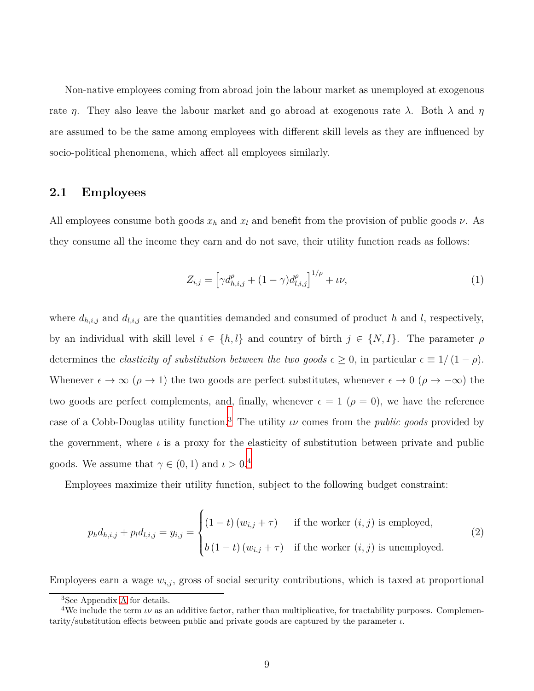Non-native employees coming from abroad join the labour market as unemployed at exogenous rate *η*. They also leave the labour market and go abroad at exogenous rate  $\lambda$ . Both  $\lambda$  and  $\eta$ are assumed to be the same among employees with different skill levels as they are influenced by socio-political phenomena, which affect all employees similarly.

### **2.1 Employees**

All employees consume both goods  $x_h$  and  $x_l$  and benefit from the provision of public goods  $\nu$ . As they consume all the income they earn and do not save, their utility function reads as follows:

<span id="page-8-1"></span><span id="page-8-0"></span>
$$
Z_{i,j} = \left[ \gamma d_{h,i,j}^{\rho} + (1 - \gamma) d_{l,i,j}^{\rho} \right]^{1/\rho} + \iota \nu,
$$
\n(1)

where  $d_{h,i,j}$  and  $d_{l,i,j}$  are the quantities demanded and consumed of product *h* and *l*, respectively, by an individual with skill level  $i \in \{h, l\}$  and country of birth  $j \in \{N, I\}$ . The parameter  $\rho$ determines the *elasticity of substitution between the two goods*  $\epsilon \geq 0$ , in particular  $\epsilon \equiv 1/(1-\rho)$ . Whenever  $\epsilon \to \infty$  ( $\rho \to 1$ ) the two goods are perfect substitutes, whenever  $\epsilon \to 0$  ( $\rho \to -\infty$ ) the two goods are perfect complements, and, finally, whenever  $\epsilon = 1$  ( $\rho = 0$ ), we have the reference case of a Cobb-Douglas utility function.<sup>3</sup> The utility *ιν* comes from the *public goods* provided by the government, where  $\iota$  is a proxy for the elasticity of substitution between private and public goods. We assume that  $\gamma \in (0,1)$  and  $\iota > 0.4$ 

Employees maximize their utility function, subject to the following budget constraint:

$$
p_h d_{h,i,j} + p_l d_{l,i,j} = y_{i,j} = \begin{cases} (1-t)(w_{i,j} + \tau) & \text{if the worker } (i,j) \text{ is employed,} \\ b(1-t)(w_{i,j} + \tau) & \text{if the worker } (i,j) \text{ is unemployed.} \end{cases}
$$
 (2)

Employees earn a wage  $w_{i,j}$ , gross of social security contributions, which is taxed at proportional

<sup>3</sup>See Appendix [A](#page-42-0) for details.

<sup>&</sup>lt;sup>4</sup>We include the term  $\iota\nu$  as an additive factor, rather than multiplicative, for tractability purposes. Complementarity/substitution effects between public and private goods are captured by the parameter *ι*.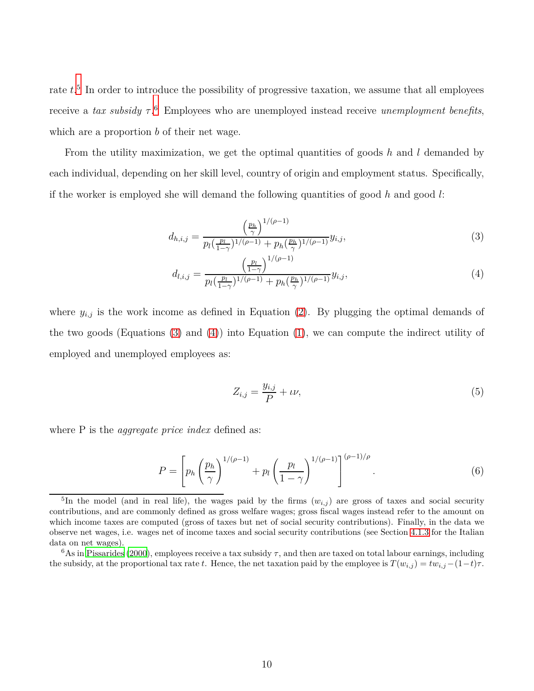rate  $t<sup>5</sup>$  In order to introduce the possibility of progressive taxation, we assume that all employees receive a *tax subsidy τ* . <sup>6</sup> Employees who are unemployed instead receive *unemployment benefits*, which are a proportion *b* of their net wage.

From the utility maximization, we get the optimal quantities of goods *h* and *l* demanded by each individual, depending on her skill level, country of origin and employment status. Specifically, if the worker is employed she will demand the following quantities of good *h* and good *l*:

<span id="page-9-0"></span>
$$
d_{h,i,j} = \frac{\left(\frac{p_h}{\gamma}\right)^{1/(\rho-1)}}{p_l \left(\frac{p_l}{1-\gamma}\right)^{1/(\rho-1)} + p_h \left(\frac{p_h}{\gamma}\right)^{1/(\rho-1)}} y_{i,j},\tag{3}
$$

$$
d_{l,i,j} = \frac{\left(\frac{p_l}{1-\gamma}\right)^{1/(\rho-1)}}{p_l\left(\frac{p_l}{1-\gamma}\right)^{1/(\rho-1)} + p_h\left(\frac{p_h}{\gamma}\right)^{1/(\rho-1)}} y_{i,j},\tag{4}
$$

where  $y_{i,j}$  is the work income as defined in Equation [\(2\)](#page-8-0). By plugging the optimal demands of the two goods (Equations [\(3\)](#page-9-0) and [\(4\)](#page-9-0)) into Equation [\(1\)](#page-8-1), we can compute the indirect utility of employed and unemployed employees as:

<span id="page-9-1"></span>
$$
Z_{i,j} = \frac{y_{i,j}}{P} + \iota \nu,\tag{5}
$$

where P is the *aggregate price index* defined as:

$$
P = \left[ p_h \left( \frac{p_h}{\gamma} \right)^{1/(\rho - 1)} + p_l \left( \frac{p_l}{1 - \gamma} \right)^{1/(\rho - 1)} \right]^{(\rho - 1)/\rho}.
$$
 (6)

<sup>&</sup>lt;sup>5</sup>In the model (and in real life), the wages paid by the firms  $(w_{i,j})$  are gross of taxes and social security contributions, and are commonly defined as gross welfare wages; gross fiscal wages instead refer to the amount on which income taxes are computed (gross of taxes but net of social security contributions). Finally, in the data we observe net wages, i.e. wages net of income taxes and social security contributions (see Section [4.1.3](#page-26-0) for the Italian data on net wages).

<sup>6</sup>As in [Pissarides \(2000\)](#page-84-4), employees receive a tax subsidy *τ*, and then are taxed on total labour earnings, including the subsidy, at the proportional tax rate *t*. Hence, the net taxation paid by the employee is  $T(w_{i,j}) = tw_{i,j} - (1-t)\tau$ .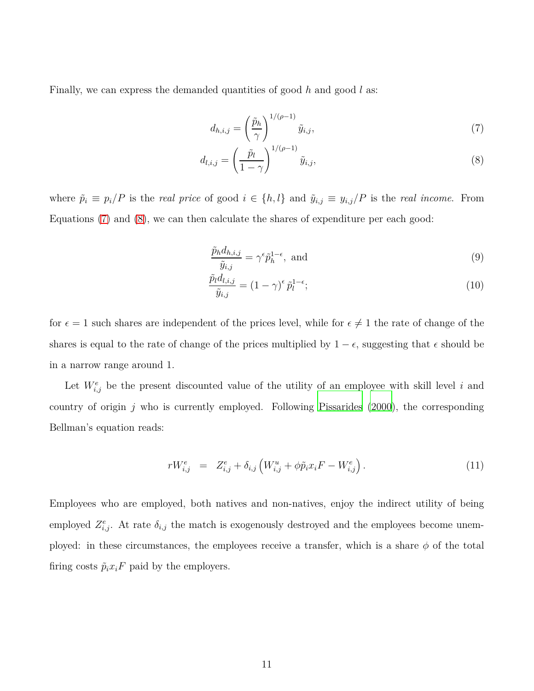Finally, we can express the demanded quantities of good *h* and good *l* as:

<span id="page-10-0"></span>
$$
d_{h,i,j} = \left(\frac{\tilde{p}_h}{\gamma}\right)^{1/(\rho-1)} \tilde{y}_{i,j},\tag{7}
$$

$$
d_{l,i,j} = \left(\frac{\tilde{p}_l}{1-\gamma}\right)^{1/(\rho-1)} \tilde{y}_{i,j},\tag{8}
$$

where  $\tilde{p}_i \equiv p_i/P$  is the *real price* of good  $i \in \{h, l\}$  and  $\tilde{y}_{i,j} \equiv y_{i,j}/P$  is the *real income*. From Equations [\(7\)](#page-10-0) and [\(8\)](#page-10-0), we can then calculate the shares of expenditure per each good:

$$
\frac{\tilde{p}_h d_{h,i,j}}{\tilde{y}_{i,j}} = \gamma^{\epsilon} \tilde{p}_h^{1-\epsilon}, \text{ and} \tag{9}
$$

$$
\frac{\tilde{p}_l d_{l,i,j}}{\tilde{y}_{i,j}} = (1 - \gamma)^{\epsilon} \tilde{p}_l^{1 - \epsilon};\tag{10}
$$

for  $\epsilon = 1$  such shares are independent of the prices level, while for  $\epsilon \neq 1$  the rate of change of the shares is equal to the rate of change of the prices multiplied by  $1 - \epsilon$ , suggesting that  $\epsilon$  should be in a narrow range around 1.

Let  $W_{i,j}^e$  be the present discounted value of the utility of an employee with skill level *i* and country of origin *j* who is currently employed. Following [Pissarides](#page-84-4) [\(2000](#page-84-4)), the corresponding Bellman's equation reads:

<span id="page-10-1"></span>
$$
rW_{i,j}^{e} = Z_{i,j}^{e} + \delta_{i,j} \left( W_{i,j}^{u} + \phi \tilde{p}_{i} x_{i} F - W_{i,j}^{e} \right). \tag{11}
$$

Employees who are employed, both natives and non-natives, enjoy the indirect utility of being employed  $Z_{i,j}^e$ . At rate  $\delta_{i,j}$  the match is exogenously destroyed and the employees become unemployed: in these circumstances, the employees receive a transfer, which is a share  $\phi$  of the total firing costs  $\tilde{p}_i x_i F$  paid by the employers.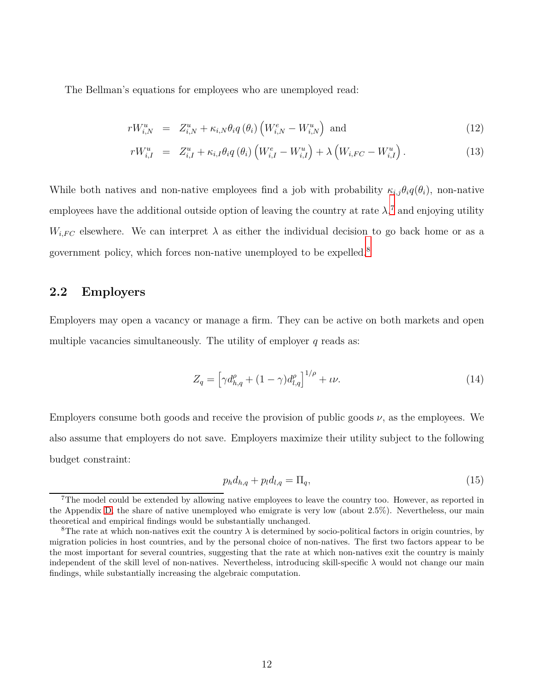The Bellman's equations for employees who are unemployed read:

<span id="page-11-0"></span>
$$
rW_{i,N}^u = Z_{i,N}^u + \kappa_{i,N}\theta_i q\left(\theta_i\right) \left(W_{i,N}^e - W_{i,N}^u\right) \text{ and } \qquad (12)
$$

$$
rW_{i,I}^u = Z_{i,I}^u + \kappa_{i,I} \theta_i q(\theta_i) \left( W_{i,I}^e - W_{i,I}^u \right) + \lambda \left( W_{i,FC} - W_{i,I}^u \right). \tag{13}
$$

While both natives and non-native employees find a job with probability  $\kappa_{i,j}\theta_i q(\theta_i)$ , non-native employees have the additional outside option of leaving the country at rate  $\lambda$ <sup>7</sup>, and enjoying utility  $W_{i,FC}$  elsewhere. We can interpret  $\lambda$  as either the individual decision to go back home or as a government policy, which forces non-native unemployed to be expelled.<sup>8</sup>

### **2.2 Employers**

Employers may open a vacancy or manage a firm. They can be active on both markets and open multiple vacancies simultaneously. The utility of employer *q* reads as:

$$
Z_q = \left[ \gamma d_{h,q}^{\rho} + (1 - \gamma) d_{l,q}^{\rho} \right]^{1/\rho} + \iota \nu. \tag{14}
$$

Employers consume both goods and receive the provision of public goods  $\nu$ , as the employees. We also assume that employers do not save. Employers maximize their utility subject to the following budget constraint:

$$
p_h d_{h,q} + p_l d_{l,q} = \Pi_q,\tag{15}
$$

<sup>&</sup>lt;sup>7</sup>The model could be extended by allowing native employees to leave the country too. However, as reported in the Appendix [D,](#page-47-0) the share of native unemployed who emigrate is very low (about 2.5%). Nevertheless, our main theoretical and empirical findings would be substantially unchanged.

<sup>&</sup>lt;sup>8</sup>The rate at which non-natives exit the country  $\lambda$  is determined by socio-political factors in origin countries, by migration policies in host countries, and by the personal choice of non-natives. The first two factors appear to be the most important for several countries, suggesting that the rate at which non-natives exit the country is mainly independent of the skill level of non-natives. Nevertheless, introducing skill-specific *λ* would not change our main findings, while substantially increasing the algebraic computation.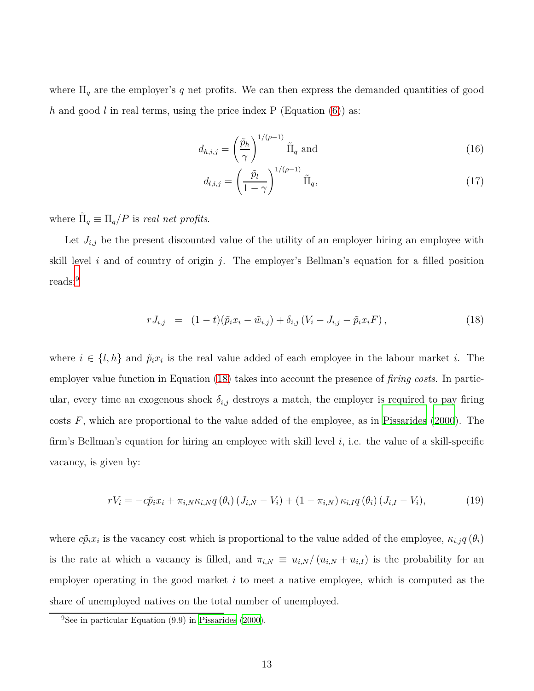where  $\Pi_q$  are the employer's q net profits. We can then express the demanded quantities of good *h* and good *l* in real terms, using the price index P (Equation [\(6\)](#page-9-1)) as:

$$
d_{h,i,j} = \left(\frac{\tilde{p}_h}{\gamma}\right)^{1/(\rho-1)} \tilde{\Pi}_q \text{ and } \tag{16}
$$

$$
d_{l,i,j} = \left(\frac{\tilde{p}_l}{1-\gamma}\right)^{1/(\rho-1)} \tilde{\Pi}_q,\tag{17}
$$

where  $\tilde{\Pi}_q \equiv \Pi_q/P$  is *real net profits*.

Let  $J_{i,j}$  be the present discounted value of the utility of an employer hiring an employee with skill level *i* and of country of origin *j*. The employer's Bellman's equation for a filled position reads:<sup>9</sup>

<span id="page-12-0"></span>
$$
rJ_{i,j} = (1-t)(\tilde{p}_ix_i - \tilde{w}_{i,j}) + \delta_{i,j}(V_i - J_{i,j} - \tilde{p}_ix_iF), \qquad (18)
$$

where  $i \in \{l, h\}$  and  $\tilde{p}_i x_i$  is the real value added of each employee in the labour market *i*. The employer value function in Equation [\(18\)](#page-12-0) takes into account the presence of *firing costs*. In particular, every time an exogenous shock  $\delta_{i,j}$  destroys a match, the employer is required to pay firing costs *F*, which are proportional to the value added of the employee, as in [Pissarides \(2000\)](#page-84-4). The firm's Bellman's equation for hiring an employee with skill level *i*, i.e. the value of a skill-specific vacancy, is given by:

<span id="page-12-1"></span>
$$
rV_i = -c\tilde{p}_ix_i + \pi_{i,N}\kappa_{i,N}q\left(\theta_i\right)\left(J_{i,N} - V_i\right) + \left(1 - \pi_{i,N}\right)\kappa_{i,I}q\left(\theta_i\right)\left(J_{i,I} - V_i\right),\tag{19}
$$

where  $c\tilde{p}_ix_i$  is the vacancy cost which is proportional to the value added of the employee,  $\kappa_{i,j}q(\theta_i)$ is the rate at which a vacancy is filled, and  $\pi_{i,N} \equiv u_{i,N}/(u_{i,N} + u_{i,I})$  is the probability for an employer operating in the good market *i* to meet a native employee, which is computed as the share of unemployed natives on the total number of unemployed.

<sup>&</sup>lt;sup>9</sup>See in particular Equation  $(9.9)$  in [Pissarides](#page-84-4)  $(2000)$ .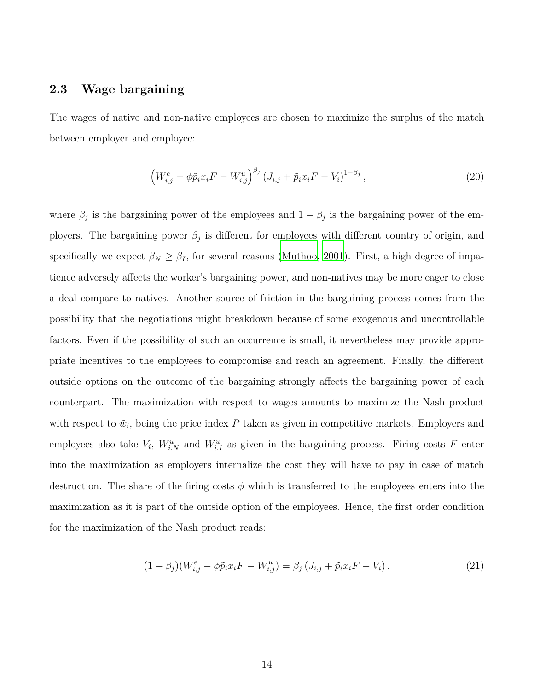### **2.3 Wage bargaining**

The wages of native and non-native employees are chosen to maximize the surplus of the match between employer and employee:

$$
\left(W_{i,j}^{e} - \phi \tilde{p}_{i} x_{i} F - W_{i,j}^{u}\right)^{\beta_{j}} \left(J_{i,j} + \tilde{p}_{i} x_{i} F - V_{i}\right)^{1-\beta_{j}},\tag{20}
$$

where  $\beta_j$  is the bargaining power of the employees and  $1 - \beta_j$  is the bargaining power of the employers. The bargaining power  $\beta_j$  is different for employees with different country of origin, and specifically we expect  $\beta_N \geq \beta_I$ , for several reasons [\(Muthoo, 2001](#page-83-5)). First, a high degree of impatience adversely affects the worker's bargaining power, and non-natives may be more eager to close a deal compare to natives. Another source of friction in the bargaining process comes from the possibility that the negotiations might breakdown because of some exogenous and uncontrollable factors. Even if the possibility of such an occurrence is small, it nevertheless may provide appropriate incentives to the employees to compromise and reach an agreement. Finally, the different outside options on the outcome of the bargaining strongly affects the bargaining power of each counterpart. The maximization with respect to wages amounts to maximize the Nash product with respect to  $\tilde{w}_i$ , being the price index  $P$  taken as given in competitive markets. Employers and employees also take  $V_i$ ,  $W_{i,N}^u$  and  $W_{i,I}^u$  as given in the bargaining process. Firing costs *F* enter into the maximization as employers internalize the cost they will have to pay in case of match destruction. The share of the firing costs  $\phi$  which is transferred to the employees enters into the maximization as it is part of the outside option of the employees. Hence, the first order condition for the maximization of the Nash product reads:

<span id="page-13-0"></span>
$$
(1 - \beta_j)(W_{i,j}^e - \phi \tilde{p}_i x_i F - W_{i,j}^u) = \beta_j (J_{i,j} + \tilde{p}_i x_i F - V_i).
$$
 (21)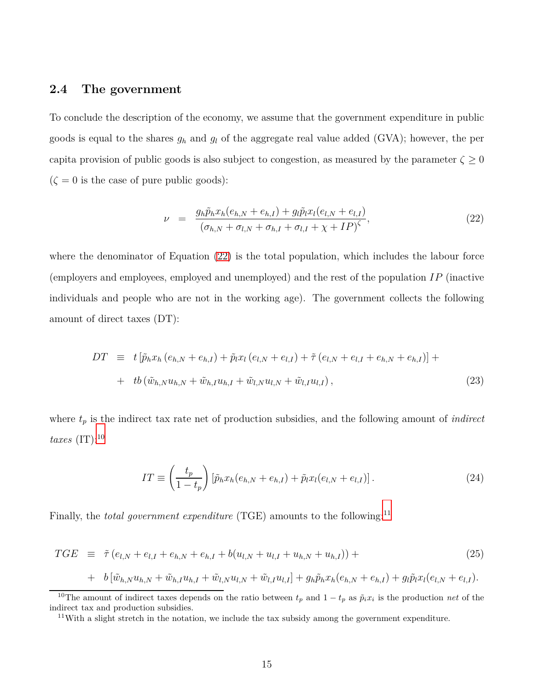## **2.4 The government**

To conclude the description of the economy, we assume that the government expenditure in public goods is equal to the shares  $g_h$  and  $g_l$  of the aggregate real value added (GVA); however, the per capita provision of public goods is also subject to congestion, as measured by the parameter  $\zeta \geq 0$  $(\zeta = 0$  is the case of pure public goods):

<span id="page-14-0"></span>
$$
\nu = \frac{g_h \tilde{p}_h x_h (e_{h,N} + e_{h,I}) + g_l \tilde{p}_l x_l (e_{l,N} + e_{l,I})}{(\sigma_{h,N} + \sigma_{l,N} + \sigma_{h,I} + \sigma_{l,I} + \chi + IP)^{\zeta}},
$$
\n(22)

where the denominator of Equation [\(22\)](#page-14-0) is the total population, which includes the labour force (employers and employees, employed and unemployed) and the rest of the population *IP* (inactive individuals and people who are not in the working age). The government collects the following amount of direct taxes (DT):

$$
DT \equiv t \left[ \tilde{p}_h x_h (e_{h,N} + e_{h,I}) + \tilde{p}_l x_l (e_{l,N} + e_{l,I}) + \tilde{\tau} (e_{l,N} + e_{l,I} + e_{h,N} + e_{h,I}) \right] +
$$
  
+ 
$$
tb \left( \tilde{w}_{h,N} u_{h,N} + \tilde{w}_{h,I} u_{h,I} + \tilde{w}_{l,N} u_{l,N} + \tilde{w}_{l,I} u_{l,I} \right),
$$
 (23)

where  $t_p$  is the indirect tax rate net of production subsidies, and the following amount of *indirect taxes* (IT):<sup>10</sup>

$$
IT \equiv \left(\frac{t_p}{1-t_p}\right) \left[\tilde{p}_h x_h(e_{h,N} + e_{h,I}) + \tilde{p}_l x_l(e_{l,N} + e_{l,I})\right].
$$
\n(24)

Finally, the *total government expenditure* (TGE) amounts to the following:<sup>11</sup>

$$
TGE \equiv \tilde{\tau} (e_{l,N} + e_{l,I} + e_{h,N} + e_{h,I} + b(u_{l,N} + u_{l,I} + u_{h,N} + u_{h,I})) +
$$
\n(25)

+ 
$$
b[\tilde{w}_{h,N}u_{h,N} + \tilde{w}_{h,I}u_{h,I} + \tilde{w}_{l,N}u_{l,N} + \tilde{w}_{l,I}u_{l,I}] + g_h\tilde{p}_hx_h(e_{h,N} + e_{h,I}) + g_l\tilde{p}_lx_l(e_{l,N} + e_{l,I}).
$$

<sup>&</sup>lt;sup>10</sup>The amount of indirect taxes depends on the ratio between  $t_p$  and  $1-t_p$  as  $\tilde{p}_i x_i$  is the production *net* of the indirect tax and production subsidies.

 $11$ With a slight stretch in the notation, we include the tax subsidy among the government expenditure.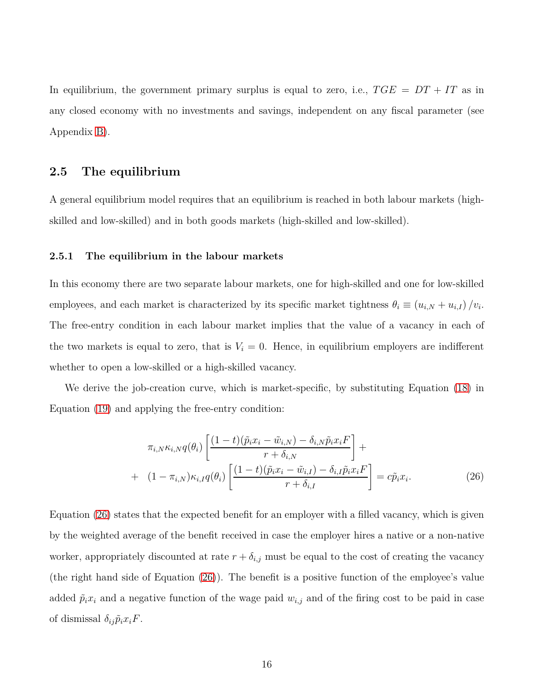In equilibrium, the government primary surplus is equal to zero, i.e.,  $TGE = DT + IT$  as in any closed economy with no investments and savings, independent on any fiscal parameter (see Appendix [B\)](#page-43-0).

### **2.5 The equilibrium**

A general equilibrium model requires that an equilibrium is reached in both labour markets (highskilled and low-skilled) and in both goods markets (high-skilled and low-skilled).

### **2.5.1 The equilibrium in the labour markets**

In this economy there are two separate labour markets, one for high-skilled and one for low-skilled employees, and each market is characterized by its specific market tightness  $\theta_i \equiv (u_{i,N} + u_{i,I})/v_i$ . The free-entry condition in each labour market implies that the value of a vacancy in each of the two markets is equal to zero, that is  $V_i = 0$ . Hence, in equilibrium employers are indifferent whether to open a low-skilled or a high-skilled vacancy.

We derive the job-creation curve, which is market-specific, by substituting Equation [\(18\)](#page-12-0) in Equation [\(19\)](#page-12-1) and applying the free-entry condition:

<span id="page-15-0"></span>
$$
\pi_{i,N}\kappa_{i,N}q(\theta_i)\left[\frac{(1-t)(\tilde{p}_ix_i-\tilde{w}_{i,N})-\delta_{i,N}\tilde{p}_ix_iF}{r+\delta_{i,N}}\right]+\n+ (1-\pi_{i,N})\kappa_{i,I}q(\theta_i)\left[\frac{(1-t)(\tilde{p}_ix_i-\tilde{w}_{i,I})-\delta_{i,I}\tilde{p}_ix_iF}{r+\delta_{i,I}}\right]=c\tilde{p}_ix_i.
$$
\n(26)

Equation [\(26\)](#page-15-0) states that the expected benefit for an employer with a filled vacancy, which is given by the weighted average of the benefit received in case the employer hires a native or a non-native worker, appropriately discounted at rate  $r + \delta_{i,j}$  must be equal to the cost of creating the vacancy (the right hand side of Equation [\(26\)](#page-15-0)). The benefit is a positive function of the employee's value added  $\tilde{p}_i x_i$  and a negative function of the wage paid  $w_{i,j}$  and of the firing cost to be paid in case of dismissal  $\delta_{ij}\tilde{p}_i x_i F$ .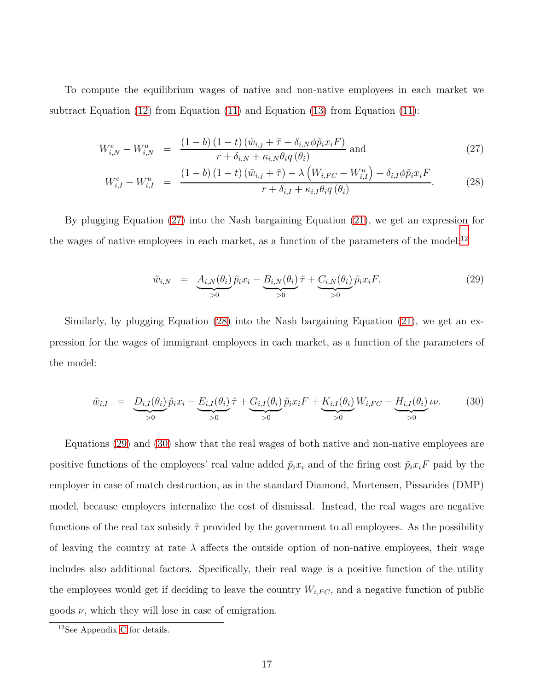To compute the equilibrium wages of native and non-native employees in each market we subtract Equation [\(12\)](#page-11-0) from Equation [\(11\)](#page-10-1) and Equation [\(13\)](#page-11-0) from Equation [\(11\)](#page-10-1):

<span id="page-16-0"></span>
$$
W_{i,N}^{e} - W_{i,N}^{u} = \frac{(1-b)(1-t)\left(\tilde{w}_{i,j} + \tilde{\tau} + \delta_{i,N}\phi\tilde{p}_{i}x_{i}F\right)}{r + \delta_{i,N} + \kappa_{i,N}\theta_{i}q\left(\theta_{i}\right)} \text{ and } \qquad (27)
$$

$$
W_{i,I}^{e} - W_{i,I}^{u} = \frac{(1-b)(1-t)\left(\tilde{w}_{i,j} + \tilde{\tau}\right) - \lambda \left(W_{i,FC} - W_{i,I}^{u}\right) + \delta_{i,I}\phi\tilde{p}_{i}x_{i}F}{r + \delta_{i,I} + \kappa_{i,I}\theta_{i}q\left(\theta_{i}\right)}.
$$
 (28)

By plugging Equation [\(27\)](#page-16-0) into the Nash bargaining Equation [\(21\)](#page-13-0), we get an expression for the wages of native employees in each market, as a function of the parameters of the model: $^{12}$ 

<span id="page-16-1"></span>
$$
\tilde{w}_{i,N} = \underbrace{A_{i,N}(\theta_i)}_{>0} \tilde{p}_i x_i - \underbrace{B_{i,N}(\theta_i)}_{>0} \tilde{\tau} + \underbrace{C_{i,N}(\theta_i)}_{>0} \tilde{p}_i x_i F. \tag{29}
$$

Similarly, by plugging Equation [\(28\)](#page-16-0) into the Nash bargaining Equation [\(21\)](#page-13-0), we get an expression for the wages of immigrant employees in each market, as a function of the parameters of the model:

<span id="page-16-2"></span>
$$
\tilde{w}_{i,I} = \underbrace{D_{i,I}(\theta_i)}_{>0} \tilde{p}_i x_i - \underbrace{E_{i,I}(\theta_i)}_{>0} \tilde{\tau} + \underbrace{G_{i,I}(\theta_i)}_{>0} \tilde{p}_i x_i F + \underbrace{K_{i,I}(\theta_i)}_{>0} W_{i,FC} - \underbrace{H_{i,I}(\theta_i)}_{>0} \iota \nu. \tag{30}
$$

Equations [\(29\)](#page-16-1) and [\(30\)](#page-16-2) show that the real wages of both native and non-native employees are positive functions of the employees' real value added  $\tilde{p}_i x_i$  and of the firing cost  $\tilde{p}_i x_i F$  paid by the employer in case of match destruction, as in the standard Diamond, Mortensen, Pissarides (DMP) model, because employers internalize the cost of dismissal. Instead, the real wages are negative functions of the real tax subsidy  $\tilde{\tau}$  provided by the government to all employees. As the possibility of leaving the country at rate  $\lambda$  affects the outside option of non-native employees, their wage includes also additional factors. Specifically, their real wage is a positive function of the utility the employees would get if deciding to leave the country  $W_{i,FC}$ , and a negative function of public goods  $\nu$ , which they will lose in case of emigration.

<sup>12</sup>See Appendix [C](#page-45-0) for details.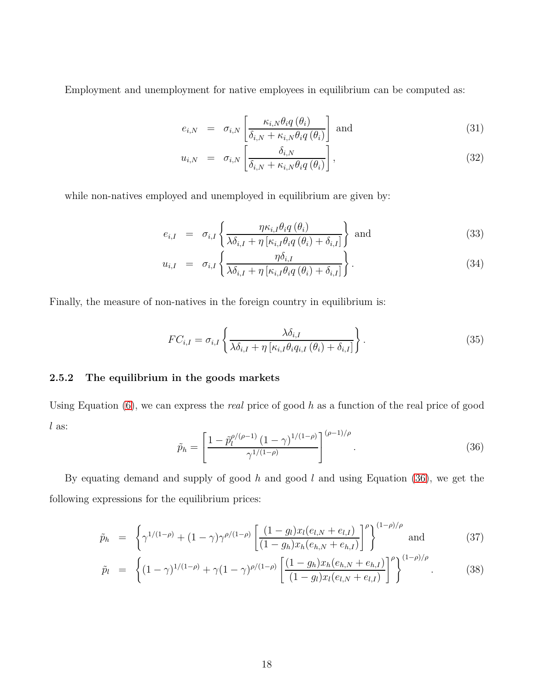Employment and unemployment for native employees in equilibrium can be computed as:

$$
e_{i,N} = \sigma_{i,N} \left[ \frac{\kappa_{i,N} \theta_i q(\theta_i)}{\delta_{i,N} + \kappa_{i,N} \theta_i q(\theta_i)} \right] \text{ and } (31)
$$

$$
u_{i,N} = \sigma_{i,N} \left[ \frac{\delta_{i,N}}{\delta_{i,N} + \kappa_{i,N} \theta_i q(\theta_i)} \right],
$$
\n(32)

while non-natives employed and unemployed in equilibrium are given by:

$$
e_{i,I} = \sigma_{i,I} \left\{ \frac{\eta \kappa_{i,I} \theta_i q \left( \theta_i \right)}{\lambda \delta_{i,I} + \eta \left[ \kappa_{i,I} \theta_i q \left( \theta_i \right) + \delta_{i,I} \right]} \right\} \text{ and } \tag{33}
$$

$$
u_{i,I} = \sigma_{i,I} \left\{ \frac{\eta \delta_{i,I}}{\lambda \delta_{i,I} + \eta \left[ \kappa_{i,I} \theta_i q \left( \theta_i \right) + \delta_{i,I} \right]} \right\}.
$$
\n(34)

Finally, the measure of non-natives in the foreign country in equilibrium is:

$$
FC_{i,I} = \sigma_{i,I} \left\{ \frac{\lambda \delta_{i,I}}{\lambda \delta_{i,I} + \eta \left[ \kappa_{i,I} \theta_i q_{i,I} \left( \theta_i \right) + \delta_{i,I} \right]} \right\}.
$$
\n(35)

### **2.5.2 The equilibrium in the goods markets**

<span id="page-17-0"></span>Using Equation [\(6\)](#page-9-1), we can express the *real* price of good *h* as a function of the real price of good *l* as:

$$
\tilde{p}_h = \left[ \frac{1 - \tilde{p}_l^{\rho/(\rho - 1)} (1 - \gamma)^{1/(1 - \rho)}}{\gamma^{1/(1 - \rho)}} \right]^{(\rho - 1)/\rho}.
$$
\n(36)

By equating demand and supply of good *h* and good *l* and using Equation [\(36\)](#page-17-0), we get the following expressions for the equilibrium prices:

<span id="page-17-1"></span>
$$
\tilde{p}_h = \left\{ \gamma^{1/(1-\rho)} + (1-\gamma)\gamma^{\rho/(1-\rho)} \left[ \frac{(1-g_l)x_l(e_{l,N} + e_{l,I})}{(1-g_h)x_h(e_{h,N} + e_{h,I})} \right]^\rho \right\}^{(1-\rho)/\rho} \text{ and } (37)
$$

$$
\tilde{p}_l = \left\{ (1 - \gamma)^{1/(1 - \rho)} + \gamma (1 - \gamma)^{\rho/(1 - \rho)} \left[ \frac{(1 - g_h)x_h(e_{h,N} + e_{h,I})}{(1 - g_l)x_l(e_{l,N} + e_{l,I})} \right]^\rho \right\}^{(1 - \rho)/\rho}.
$$
\n(38)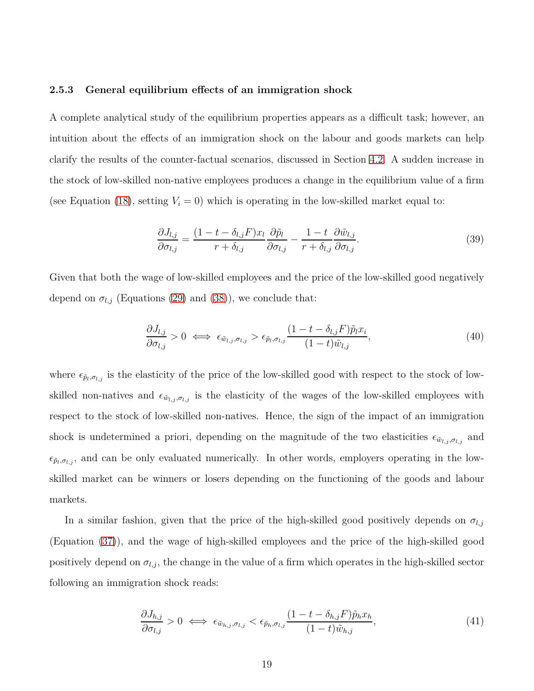#### **2.5.3 General equilibrium effects of an immigration shock**

A complete analytical study of the equilibrium properties appears as a difficult task; however, an intuition about the effects of an immigration shock on the labour and goods markets can help clarify the results of the counter-factual scenarios, discussed in Section [4.2.](#page-29-0) A sudden increase in the stock of low-skilled non-native employees produces a change in the equilibrium value of a firm (see Equation [\(18\)](#page-12-0), setting  $V_i = 0$ ) which is operating in the low-skilled market equal to:

$$
\frac{\partial J_{l,j}}{\partial \sigma_{l,j}} = \frac{(1 - t - \delta_{l,j}F)x_l}{r + \delta_{l,j}} \frac{\partial \tilde{p}_l}{\partial \sigma_{l,j}} - \frac{1 - t}{r + \delta_{l,j}} \frac{\partial \tilde{w}_{l,j}}{\partial \sigma_{l,j}}.
$$
(39)

Given that both the wage of low-skilled employees and the price of the low-skilled good negatively depend on  $\sigma_{l,j}$  (Equations [\(29\)](#page-16-1) and [\(38\)](#page-17-1)), we conclude that:

$$
\frac{\partial J_{l,j}}{\partial \sigma_{l,j}} > 0 \iff \epsilon_{\tilde{w}_{l,j}, \sigma_{l,j}} > \epsilon_{\tilde{p}_l, \sigma_{l,j}} \frac{(1 - t - \delta_{l,j} F) \tilde{p}_l x_i}{(1 - t) \tilde{w}_{l,j}},\tag{40}
$$

where  $\epsilon_{\tilde{p}_l,\sigma_{l,j}}$  is the elasticity of the price of the low-skilled good with respect to the stock of lowskilled non-natives and  $\epsilon_{\tilde{w}_{l,j},\sigma_{l,j}}$  is the elasticity of the wages of the low-skilled employees with respect to the stock of low-skilled non-natives. Hence, the sign of the impact of an immigration shock is undetermined a priori, depending on the magnitude of the two elasticities  $\epsilon_{\tilde{w}_{l,j},\sigma_{l,j}}$  and  $\epsilon_{\tilde{p}_l,\sigma_{l,j}}$ , and can be only evaluated numerically. In other words, employers operating in the lowskilled market can be winners or losers depending on the functioning of the goods and labour markets.

In a similar fashion, given that the price of the high-skilled good positively depends on  $\sigma_{l,j}$ (Equation [\(37\)](#page-17-1)), and the wage of high-skilled employees and the price of the high-skilled good positively depend on  $\sigma_{l,j}$ , the change in the value of a firm which operates in the high-skilled sector following an immigration shock reads:

$$
\frac{\partial J_{h,j}}{\partial \sigma_{l,j}} > 0 \iff \epsilon_{\tilde{w}_{h,j},\sigma_{l,j}} < \epsilon_{\tilde{p}_h,\sigma_{l,j}} \frac{(1 - t - \delta_{h,j} F)\tilde{p}_h x_h}{(1 - t)\tilde{w}_{h,j}},\tag{41}
$$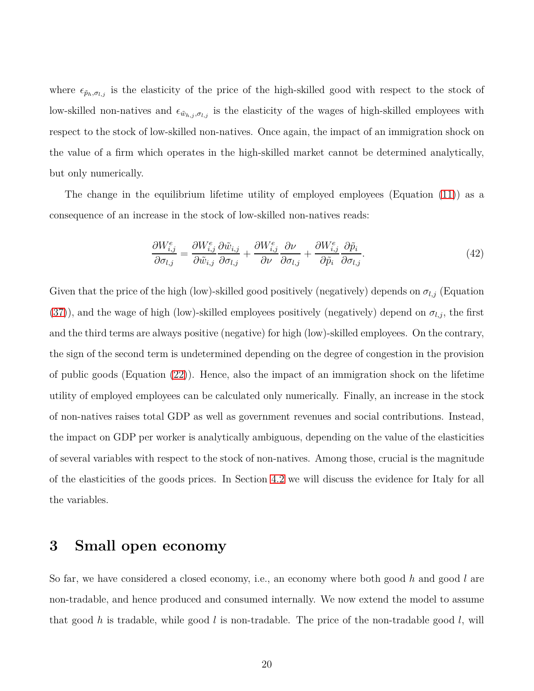where  $\epsilon_{\tilde{p}_h,\sigma_{l,j}}$  is the elasticity of the price of the high-skilled good with respect to the stock of low-skilled non-natives and  $\epsilon_{\tilde{w}_{h,j},\sigma_{l,j}}$  is the elasticity of the wages of high-skilled employees with respect to the stock of low-skilled non-natives. Once again, the impact of an immigration shock on the value of a firm which operates in the high-skilled market cannot be determined analytically, but only numerically.

The change in the equilibrium lifetime utility of employed employees (Equation [\(11\)](#page-10-1)) as a consequence of an increase in the stock of low-skilled non-natives reads:

$$
\frac{\partial W_{i,j}^e}{\partial \sigma_{l,j}} = \frac{\partial W_{i,j}^e}{\partial \tilde{w}_{i,j}} \frac{\partial \tilde{w}_{i,j}}{\partial \sigma_{l,j}} + \frac{\partial W_{i,j}^e}{\partial \nu} \frac{\partial \nu}{\partial \sigma_{l,j}} + \frac{\partial W_{i,j}^e}{\partial \tilde{p}_i} \frac{\partial \tilde{p}_i}{\partial \sigma_{l,j}}.
$$
(42)

Given that the price of the high (low)-skilled good positively (negatively) depends on  $\sigma_{l,j}$  (Equation [\(37\)](#page-17-1)), and the wage of high (low)-skilled employees positively (negatively) depend on  $\sigma_{l,j}$ , the first and the third terms are always positive (negative) for high (low)-skilled employees. On the contrary, the sign of the second term is undetermined depending on the degree of congestion in the provision of public goods (Equation [\(22\)](#page-14-0)). Hence, also the impact of an immigration shock on the lifetime utility of employed employees can be calculated only numerically. Finally, an increase in the stock of non-natives raises total GDP as well as government revenues and social contributions. Instead, the impact on GDP per worker is analytically ambiguous, depending on the value of the elasticities of several variables with respect to the stock of non-natives. Among those, crucial is the magnitude of the elasticities of the goods prices. In Section [4.2](#page-29-0) we will discuss the evidence for Italy for all the variables.

## <span id="page-19-0"></span>**3 Small open economy**

So far, we have considered a closed economy, i.e., an economy where both good *h* and good *l* are non-tradable, and hence produced and consumed internally. We now extend the model to assume that good *h* is tradable, while good *l* is non-tradable. The price of the non-tradable good *l*, will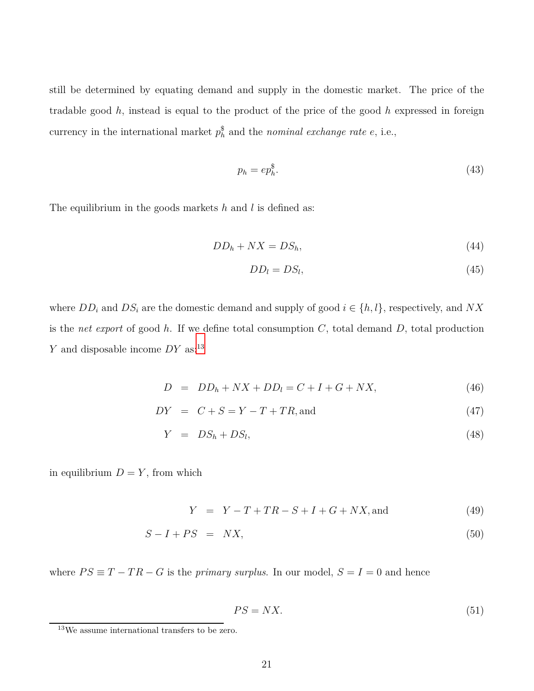still be determined by equating demand and supply in the domestic market. The price of the tradable good *h*, instead is equal to the product of the price of the good *h* expressed in foreign currency in the international market  $p_h^{\$}$  and the *nominal exchange rate*  $e$ , i.e.,

<span id="page-20-0"></span>
$$
p_h = ep_h^{\$}.\tag{43}
$$

The equilibrium in the goods markets *h* and *l* is defined as:

$$
DD_h + N X = DS_h,\tag{44}
$$

$$
DD_l = DS_l,\tag{45}
$$

where  $DD_i$  and  $DS_i$  are the domestic demand and supply of good  $i \in \{h, l\}$ , respectively, and  $NX$ is the *net export* of good *h*. If we define total consumption *C*, total demand *D*, total production *Y* and disposable income *DY* as:<sup>13</sup>

$$
D = DDh + N X + DDl = C + I + G + N X,
$$
\n(46)

$$
DY = C + S = Y - T + TR, and \t(47)
$$

$$
Y = DS_h + DS_l, \t\t(48)
$$

in equilibrium  $D = Y$ , from which

 $Y = Y - T + TR - S + I + G + NX$ , and (49)

$$
S - I + PS = N X, \tag{50}
$$

where  $PS \equiv T - TR - G$  is the *primary surplus*. In our model,  $S = I = 0$  and hence

<span id="page-20-1"></span>
$$
PS = N X.\tag{51}
$$

<sup>13</sup>We assume international transfers to be zero.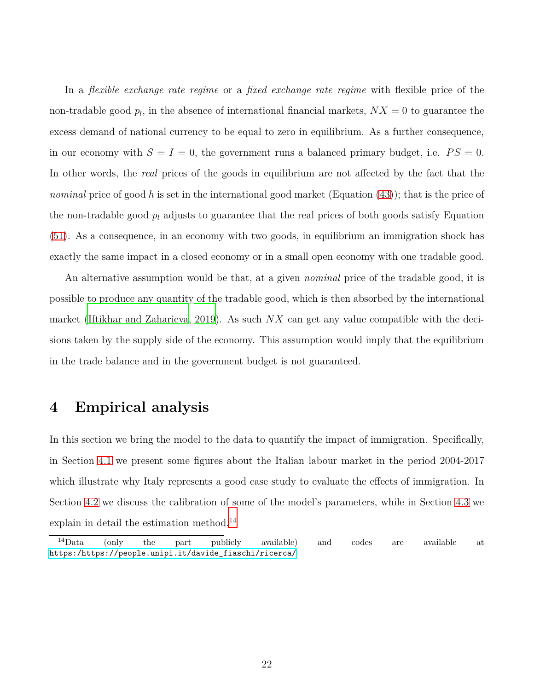In a *flexible exchange rate regime* or a *fixed exchange rate regime* with flexible price of the non-tradable good  $p_l$ , in the absence of international financial markets,  $NX = 0$  to guarantee the excess demand of national currency to be equal to zero in equilibrium. As a further consequence, in our economy with  $S = I = 0$ , the government runs a balanced primary budget, i.e.  $PS = 0$ . In other words, the *real* prices of the goods in equilibrium are not affected by the fact that the *nominal* price of good *h* is set in the international good market (Equation [\(43\)](#page-20-0)); that is the price of the non-tradable good *p<sup>l</sup>* adjusts to guarantee that the real prices of both goods satisfy Equation [\(51\)](#page-20-1). As a consequence, in an economy with two goods, in equilibrium an immigration shock has exactly the same impact in a closed economy or in a small open economy with one tradable good.

An alternative assumption would be that, at a given *nominal* price of the tradable good, it is possible to produce any quantity of the tradable good, which is then absorbed by the international market [\(Iftikhar and Zaharieva](#page-82-2), [2019](#page-82-2)). As such *NX* can get any value compatible with the decisions taken by the supply side of the economy. This assumption would imply that the equilibrium in the trade balance and in the government budget is not guaranteed.

## <span id="page-21-0"></span>**4 Empirical analysis**

In this section we bring the model to the data to quantify the impact of immigration. Specifically, in Section [4.1](#page-22-0) we present some figures about the Italian labour market in the period 2004-2017 which illustrate why Italy represents a good case study to evaluate the effects of immigration. In Section [4.2](#page-29-0) we discuss the calibration of some of the model's parameters, while in Section [4.3](#page-32-0) we explain in detail the estimation method.<sup>14</sup>

 $14$ Data (only the part publicly available) and codes are available at [https:/https://people.unipi.it/davide\\_fiaschi/ricerca/](https:/https://people.unipi.it/davide_fiaschi/ricerca/).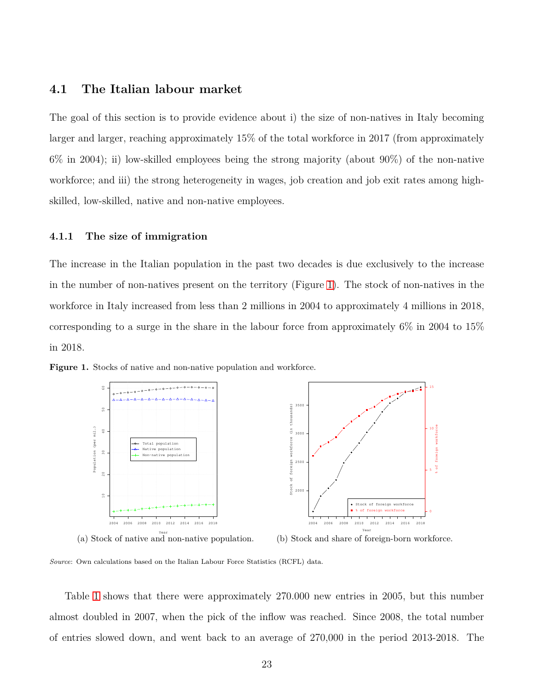## <span id="page-22-0"></span>**4.1 The Italian labour market**

The goal of this section is to provide evidence about i) the size of non-natives in Italy becoming larger and larger, reaching approximately 15% of the total workforce in 2017 (from approximately 6% in 2004); ii) low-skilled employees being the strong majority (about 90%) of the non-native workforce; and iii) the strong heterogeneity in wages, job creation and job exit rates among highskilled, low-skilled, native and non-native employees.

#### **4.1.1 The size of immigration**

The increase in the Italian population in the past two decades is due exclusively to the increase in the number of non-natives present on the territory (Figure [1\)](#page-22-1). The stock of non-natives in the workforce in Italy increased from less than 2 millions in 2004 to approximately 4 millions in 2018, corresponding to a surge in the share in the labour force from approximately  $6\%$  in 2004 to 15% in 2018.



<span id="page-22-1"></span>**Figure 1.** Stocks of native and non-native population and workforce.

(a) Stock of native and non-native population.



*Source*: Own calculations based on the Italian Labour Force Statistics (RCFL) data.

Table [1](#page-23-0) shows that there were approximately 270.000 new entries in 2005, but this number almost doubled in 2007, when the pick of the inflow was reached. Since 2008, the total number of entries slowed down, and went back to an average of 270,000 in the period 2013-2018. The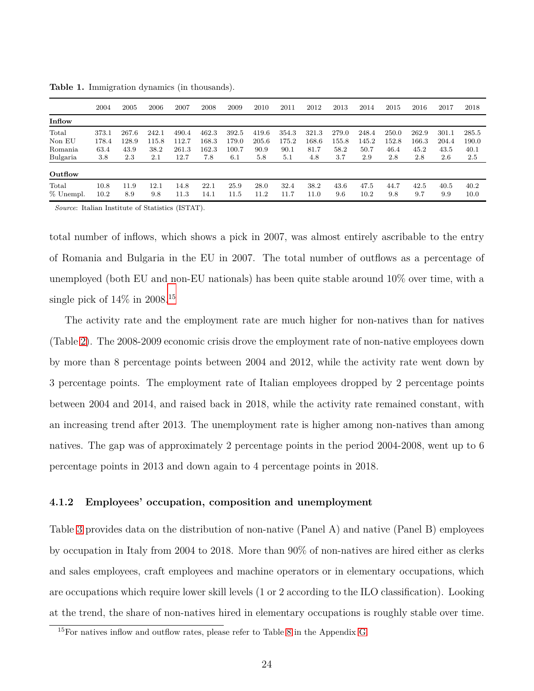|           | 2004  | 2005  | 2006     | 2007  | 2008  | 2009  | 2010  | 2011  | 2012  | 2013  | 2014  | 2015  | 2016  | 2017  | 2018  |
|-----------|-------|-------|----------|-------|-------|-------|-------|-------|-------|-------|-------|-------|-------|-------|-------|
| Inflow    |       |       |          |       |       |       |       |       |       |       |       |       |       |       |       |
| Total     | 373.1 | 267.6 | 242.1    | 490.4 | 462.3 | 392.5 | 419.6 | 354.3 | 321.3 | 279.0 | 248.4 | 250.0 | 262.9 | 301.1 | 285.5 |
| Non EU    | 178.4 | 128.9 | 115.8    | 112.7 | 168.3 | 179.0 | 205.6 | 175.2 | 168.6 | 155.8 | 145.2 | 152.8 | 166.3 | 204.4 | 190.0 |
| Romania   | 63.4  | 43.9  | 38.2     | 261.3 | 162.3 | 100.7 | 90.9  | 90.1  | 81.7  | 58.2  | 50.7  | 46.4  | 45.2  | 43.5  | 40.1  |
| Bulgaria  | 3.8   | 2.3   | 2.1      | 12.7  | 7.8   | 6.1   | 5.8   | 5.1   | 4.8   | 3.7   | 2.9   | 2.8   | 2.8   | 2.6   | 2.5   |
| Outflow   |       |       |          |       |       |       |       |       |       |       |       |       |       |       |       |
| Total     | 10.8  | 11.9  | $12.1\,$ | 14.8  | 22.1  | 25.9  | 28.0  | 32.4  | 38.2  | 43.6  | 47.5  | 44.7  | 42.5  | 40.5  | 40.2  |
| % Unempl. | 10.2  | 8.9   | 9.8      | 11.3  | 14.1  | 11.5  | 11.2  | 11.7  | 1.0   | 9.6   | 10.2  | 9.8   | 9.7   | 9.9   | 10.0  |

<span id="page-23-0"></span>**Table 1.** Immigration dynamics (in thousands).

*Source*: Italian Institute of Statistics (ISTAT).

total number of inflows, which shows a pick in 2007, was almost entirely ascribable to the entry of Romania and Bulgaria in the EU in 2007. The total number of outflows as a percentage of unemployed (both EU and non-EU nationals) has been quite stable around 10% over time, with a single pick of  $14\%$  in  $2008$ .<sup>15</sup>

The activity rate and the employment rate are much higher for non-natives than for natives (Table [2\)](#page-24-0). The 2008-2009 economic crisis drove the employment rate of non-native employees down by more than 8 percentage points between 2004 and 2012, while the activity rate went down by 3 percentage points. The employment rate of Italian employees dropped by 2 percentage points between 2004 and 2014, and raised back in 2018, while the activity rate remained constant, with an increasing trend after 2013. The unemployment rate is higher among non-natives than among natives. The gap was of approximately 2 percentage points in the period 2004-2008, went up to 6 percentage points in 2013 and down again to 4 percentage points in 2018.

#### <span id="page-23-1"></span>**4.1.2 Employees' occupation, composition and unemployment**

Table [3](#page-24-1) provides data on the distribution of non-native (Panel A) and native (Panel B) employees by occupation in Italy from 2004 to 2018. More than 90% of non-natives are hired either as clerks and sales employees, craft employees and machine operators or in elementary occupations, which are occupations which require lower skill levels (1 or 2 according to the ILO classification). Looking at the trend, the share of non-natives hired in elementary occupations is roughly stable over time.

<sup>15</sup>For natives inflow and outflow rates, please refer to Table [8](#page-47-1) in the Appendix [G.](#page-54-0)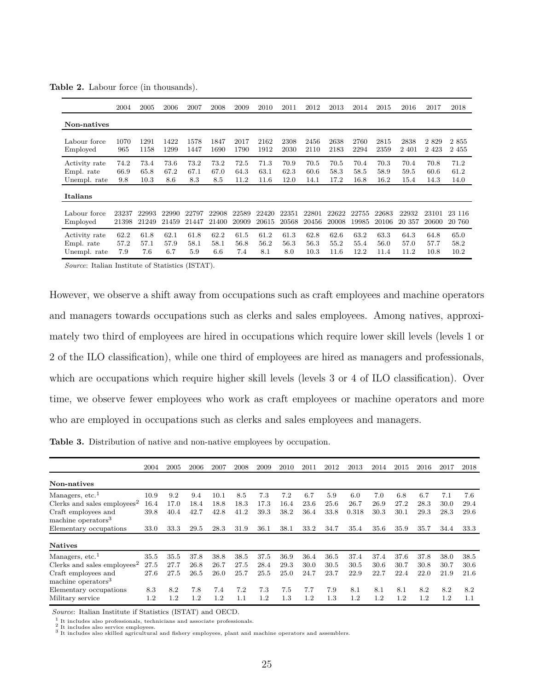|               | 2004  | 2005  | 2006  | 2007  | 2008  | 2009  | 2010  | 2011  | 2012  | 2013  | 2014  | 2015  | 2016   | 2017    | 2018   |
|---------------|-------|-------|-------|-------|-------|-------|-------|-------|-------|-------|-------|-------|--------|---------|--------|
| Non-natives   |       |       |       |       |       |       |       |       |       |       |       |       |        |         |        |
| Labour force  | 1070  | 1291  | 1422  | 1578  | 1847  | 2017  | 2162  | 2308  | 2456  | 2638  | 2760  | 2815  | 2838   | 2829    | 2855   |
| Employed      | 965   | 1158  | 1299  | 1447  | 1690  | 1790  | 1912  | 2030  | 2110  | 2183  | 2294  | 2359  | 2401   | 2 4 2 3 | 2 455  |
| Activity rate | 74.2  | 73.4  | 73.6  | 73.2  | 73.2  | 72.5  | 71.3  | 70.9  | 70.5  | 70.5  | 70.4  | 70.3  | 70.4   | 70.8    | 71.2   |
| Empl. rate    | 66.9  | 65.8  | 67.2  | 67.1  | 67.0  | 64.3  | 63.1  | 62.3  | 60.6  | 58.3  | 58.5  | 58.9  | 59.5   | 60.6    | 61.2   |
| Unempl. rate  | 9.8   | 10.3  | 8.6   | 8.3   | 8.5   | 11.2  | 11.6  | 12.0  | 14.1  | 17.2  | 16.8  | 16.2  | 15.4   | 14.3    | 14.0   |
| Italians      |       |       |       |       |       |       |       |       |       |       |       |       |        |         |        |
| Labour force  | 23237 | 22993 | 22990 | 22797 | 22908 | 22589 | 22420 | 22351 | 22801 | 22622 | 22755 | 22683 | 22932  | 23101   | 23 116 |
| Employed      | 21398 | 21249 | 21459 | 21447 | 21400 | 20909 | 20615 | 20568 | 20456 | 20008 | 19985 | 20106 | 20 357 | 20600   | 20 760 |
| Activity rate | 62.2  | 61.8  | 62.1  | 61.8  | 62.2  | 61.5  | 61.2  | 61.3  | 62.8  | 62.6  | 63.2  | 63.3  | 64.3   | 64.8    | 65.0   |
| Empl. rate    | 57.2  | 57.1  | 57.9  | 58.1  | 58.1  | 56.8  | 56.2  | 56.3  | 56.3  | 55.2  | 55.4  | 56.0  | 57.0   | 57.7    | 58.2   |
| Unempl. rate  | 7.9   | 7.6   | 6.7   | 5.9   | 6.6   | 7.4   | 8.1   | 8.0   | 10.3  | 11.6  | 12.2  | 11.4  | 11.2   | 10.8    | 10.2   |

<span id="page-24-0"></span>**Table 2.** Labour force (in thousands).

*Source*: Italian Institute of Statistics (ISTAT).

However, we observe a shift away from occupations such as craft employees and machine operators and managers towards occupations such as clerks and sales employees. Among natives, approximately two third of employees are hired in occupations which require lower skill levels (levels 1 or 2 of the ILO classification), while one third of employees are hired as managers and professionals, which are occupations which require higher skill levels (levels 3 or 4 of ILO classification). Over time, we observe fewer employees who work as craft employees or machine operators and more who are employed in occupations such as clerks and sales employees and managers.

<span id="page-24-1"></span>**Table 3.** Distribution of native and non-native employees by occupation.

|                                                       | 2004 | 2005    | 2006 | 2007     | 2008 | 2009 | 2010     | 2011 | 2012    | 2013    | 2014    | 2015    | 2016    | 2017    | 2018 |
|-------------------------------------------------------|------|---------|------|----------|------|------|----------|------|---------|---------|---------|---------|---------|---------|------|
| Non-natives                                           |      |         |      |          |      |      |          |      |         |         |         |         |         |         |      |
| Managers, etc. <sup>1</sup>                           | 10.9 | 9.2     | 9.4  | $10.1\,$ | 8.5  | 7.3  | 7.2      | 6.7  | 5.9     | 6.0     | 7.0     | 6.8     | 6.7     | 7.1     | 7.6  |
| Clerks and sales employees <sup>2</sup>               | 16.4 | 17.0    | 18.4 | 18.8     | 18.3 | 17.3 | $16.4\,$ | 23.6 | 25.6    | 26.7    | 26.9    | 27.2    | 28.3    | 30.0    | 29.4 |
| Craft employees and<br>machine operators <sup>3</sup> | 39.8 | 40.4    | 42.7 | 42.8     | 41.2 | 39.3 | 38.2     | 36.4 | 33.8    | 0.318   | 30.3    | 30.1    | 29.3    | 28.3    | 29.6 |
| Elementary occupations                                | 33.0 | 33.3    | 29.5 | 28.3     | 31.9 | 36.1 | 38.1     | 33.2 | 34.7    | 35.4    | 35.6    | 35.9    | 35.7    | 34.4    | 33.3 |
| <b>Natives</b>                                        |      |         |      |          |      |      |          |      |         |         |         |         |         |         |      |
| Managers, etc. $1$                                    | 35.5 | 35.5    | 37.8 | 38.8     | 38.5 | 37.5 | 36.9     | 36.4 | 36.5    | 37.4    | 37.4    | 37.6    | 37.8    | 38.0    | 38.5 |
| Clerks and sales employees <sup>2</sup>               | 27.5 | 27.7    | 26.8 | 26.7     | 27.5 | 28.4 | 29.3     | 30.0 | 30.5    | 30.5    | 30.6    | 30.7    | 30.8    | 30.7    | 30.6 |
| Craft employees and<br>machine operators <sup>3</sup> | 27.6 | 27.5    | 26.5 | 26.0     | 25.7 | 25.5 | 25.0     | 24.7 | 23.7    | 22.9    | 22.7    | 22.4    | 22.0    | 21.9    | 21.6 |
| Elementary occupations                                | 8.3  | 8.2     | 7.8  | 7.4      | 7.2  | 7.3  | 7.5      | 7.7  | 7.9     | 8.1     | 8.1     | 8.1     | 8.2     | 8.2     | 8.2  |
| Military service                                      | 1.2  | $1.2\,$ | 1.2  | 1.2      | 1.1  | 1.2  | 1.3      | 1.2  | $1.3\,$ | $1.2\,$ | $1.2\,$ | $1.2\,$ | $1.2\,$ | $1.2\,$ | 1.1  |

*Source*: Italian Institute if Statistics (ISTAT) and OECD.

 $^1$  It includes also professionals, technicians and associate professionals.<br> $^2$  It includes also service employees.<br> $^3$  It includes also skilled agricultural and fishery employees, plant and machine operators and asse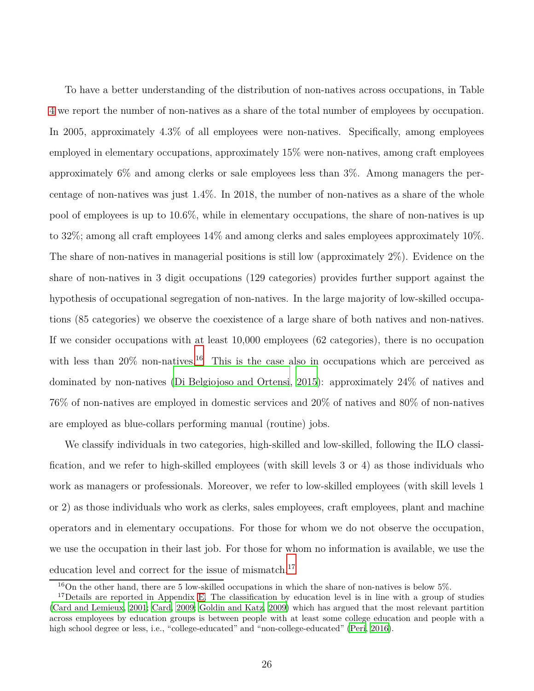To have a better understanding of the distribution of non-natives across occupations, in Table [4](#page-26-1) we report the number of non-natives as a share of the total number of employees by occupation. In 2005, approximately 4.3% of all employees were non-natives. Specifically, among employees employed in elementary occupations, approximately 15% were non-natives, among craft employees approximately 6% and among clerks or sale employees less than 3%. Among managers the percentage of non-natives was just 1.4%. In 2018, the number of non-natives as a share of the whole pool of employees is up to 10.6%, while in elementary occupations, the share of non-natives is up to 32%; among all craft employees 14% and among clerks and sales employees approximately 10%. The share of non-natives in managerial positions is still low (approximately 2%). Evidence on the share of non-natives in 3 digit occupations (129 categories) provides further support against the hypothesis of occupational segregation of non-natives. In the large majority of low-skilled occupations (85 categories) we observe the coexistence of a large share of both natives and non-natives. If we consider occupations with at least 10,000 employees (62 categories), there is no occupation with less than  $20\%$  non-natives.<sup>16</sup> This is the case also in occupations which are perceived as dominated by non-natives [\(Di Belgiojoso and Ortensi](#page-81-3), [2015\)](#page-81-3): approximately 24% of natives and 76% of non-natives are employed in domestic services and 20% of natives and 80% of non-natives are employed as blue-collars performing manual (routine) jobs.

We classify individuals in two categories, high-skilled and low-skilled, following the ILO classification, and we refer to high-skilled employees (with skill levels 3 or 4) as those individuals who work as managers or professionals. Moreover, we refer to low-skilled employees (with skill levels 1 or 2) as those individuals who work as clerks, sales employees, craft employees, plant and machine operators and in elementary occupations. For those for whom we do not observe the occupation, we use the occupation in their last job. For those for whom no information is available, we use the education level and correct for the issue of mismatch.<sup>17</sup>

<sup>16</sup>On the other hand, there are 5 low-skilled occupations in which the share of non-natives is below 5%.

<sup>&</sup>lt;sup>17</sup>Details are reported in Appendix [E.](#page-47-2) The classification by education level is in line with a group of studies [\(Card and Lemieux, 2001](#page-80-8); [Card](#page-80-9), [2009;](#page-80-9) [Goldin and Katz, 2009](#page-82-5)) which has argued that the most relevant partition across employees by education groups is between people with at least some college education and people with a high school degree or less, i.e., "college-educated" and "non-college-educated" [\(Peri](#page-84-5), [2016\)](#page-84-5).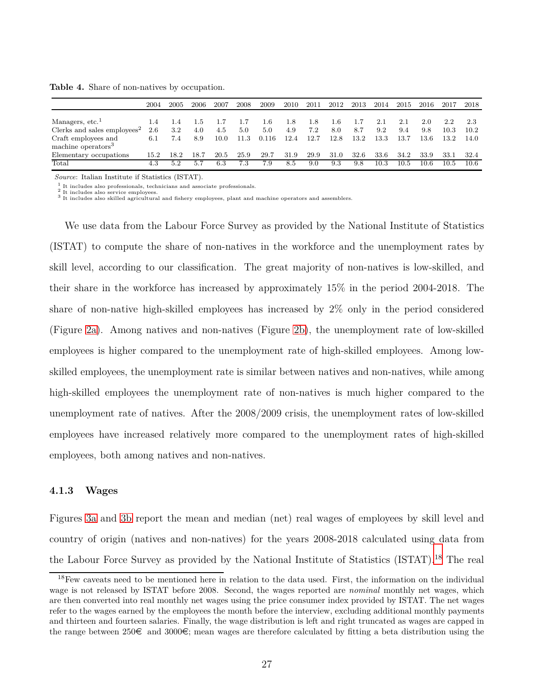2004 2005 2006 2007 2008 2009 2010 2011 2012 2013 2014 2015 2016 2017 2018 Managers, etc.<sup>1</sup> 1.4 1.4 1.5 1.7 1.7 1.6 1.8 1.8 1.6 1.7 2.1 2.1 2.0 2.2 2.3<br>Clerks and sales employees<sup>2</sup> 2.6 3.2 4.0 4.5 5.0 5.0 4.9 7.2 8.0 8.7 9.2 9.4 9.8 10.3 10.2 Clerks and sales employees<sup>2</sup> 2.6 3.2 4.0 4.5 5.0 5.0 4.9 7.2 8.0 8.7 9.2 9.4 9.8 10.3 10.2 Craft employees and machine operators<sup>3</sup> 6.1 7.4 8.9 10.0 11.3 0.116 12.4 12.7 12.8 13.2 13.3 13.7 13.6 13.2 14.0 Elementary occupations 15.2 18.2 18.7 20.5 25.9 29.7 31.9 29.9 31.0 32.6 33.6 34.2 33.9 33.1 32.4 Total 4.3 5.2 5.7 6.3 7.3 7.9 8.5 9.0 9.3 9.8 10.3 10.5 10.6 10.5 10.6

<span id="page-26-1"></span>**Table 4.** Share of non-natives by occupation.

*Source*: Italian Institute if Statistics (ISTAT).

 $1$  It includes also professionals, technicians and associate professionals.

<sup>2</sup> It includes also service employees. <sup>3</sup> It includes also skilled agricultural and fishery employees, plant and machine operators and assemblers.

We use data from the Labour Force Survey as provided by the National Institute of Statistics (ISTAT) to compute the share of non-natives in the workforce and the unemployment rates by skill level, according to our classification. The great majority of non-natives is low-skilled, and their share in the workforce has increased by approximately 15% in the period 2004-2018. The share of non-native high-skilled employees has increased by 2% only in the period considered (Figure [2a\)](#page-27-0). Among natives and non-natives (Figure [2b\)](#page-27-0), the unemployment rate of low-skilled employees is higher compared to the unemployment rate of high-skilled employees. Among lowskilled employees, the unemployment rate is similar between natives and non-natives, while among high-skilled employees the unemployment rate of non-natives is much higher compared to the unemployment rate of natives. After the 2008/2009 crisis, the unemployment rates of low-skilled employees have increased relatively more compared to the unemployment rates of high-skilled employees, both among natives and non-natives.

### <span id="page-26-0"></span>**4.1.3 Wages**

Figures [3a](#page-28-1) and [3b](#page-28-1) report the mean and median (net) real wages of employees by skill level and country of origin (natives and non-natives) for the years 2008-2018 calculated using data from the Labour Force Survey as provided by the National Institute of Statistics (ISTAT).<sup>18</sup> The real

<sup>18</sup>Few caveats need to be mentioned here in relation to the data used. First, the information on the individual wage is not released by ISTAT before 2008. Second, the wages reported are *nominal* monthly net wages, which are then converted into real monthly net wages using the price consumer index provided by ISTAT. The net wages refer to the wages earned by the employees the month before the interview, excluding additional monthly payments and thirteen and fourteen salaries. Finally, the wage distribution is left and right truncated as wages are capped in the range between  $250\epsilon$  and  $3000\epsilon$ ; mean wages are therefore calculated by fitting a beta distribution using the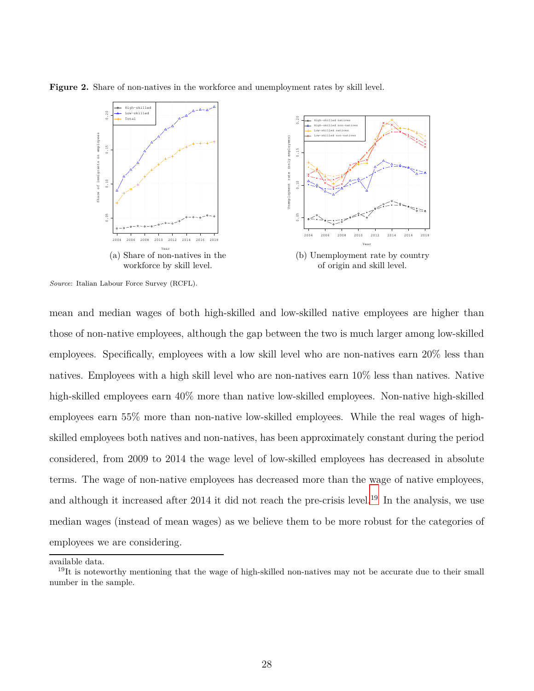<span id="page-27-0"></span>**Figure 2.** Share of non-natives in the workforce and unemployment rates by skill level.



*Source*: Italian Labour Force Survey (RCFL).

mean and median wages of both high-skilled and low-skilled native employees are higher than those of non-native employees, although the gap between the two is much larger among low-skilled employees. Specifically, employees with a low skill level who are non-natives earn 20% less than natives. Employees with a high skill level who are non-natives earn 10% less than natives. Native high-skilled employees earn  $40\%$  more than native low-skilled employees. Non-native high-skilled employees earn 55% more than non-native low-skilled employees. While the real wages of highskilled employees both natives and non-natives, has been approximately constant during the period considered, from 2009 to 2014 the wage level of low-skilled employees has decreased in absolute terms. The wage of non-native employees has decreased more than the wage of native employees, and although it increased after 2014 it did not reach the pre-crisis level.<sup>19</sup> In the analysis, we use median wages (instead of mean wages) as we believe them to be more robust for the categories of employees we are considering.

available data.

<sup>&</sup>lt;sup>19</sup>It is noteworthy mentioning that the wage of high-skilled non-natives may not be accurate due to their small number in the sample.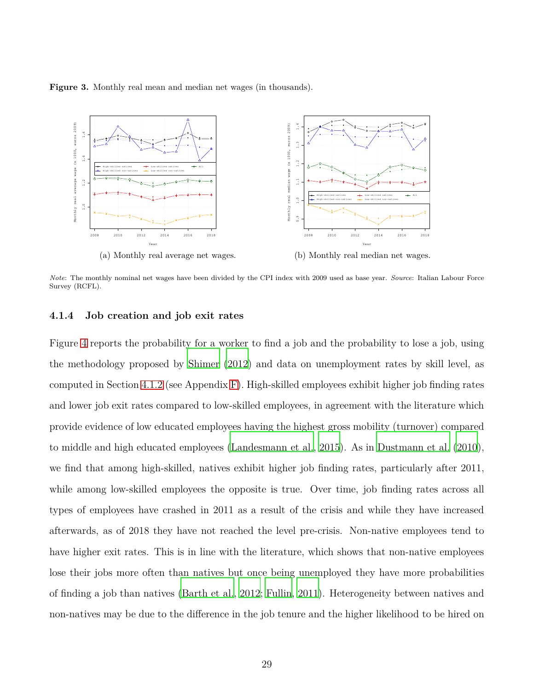<span id="page-28-1"></span>**Figure 3.** Monthly real mean and median net wages (in thousands).



<span id="page-28-0"></span>*Note*: The monthly nominal net wages have been divided by the CPI index with 2009 used as base year. *Source*: Italian Labour Force Survey (RCFL).

#### **4.1.4 Job creation and job exit rates**

Figure [4](#page-29-1) reports the probability for a worker to find a job and the probability to lose a job, using the methodology proposed by [Shimer](#page-84-6) [\(2012\)](#page-84-6) and data on unemployment rates by skill level, as computed in Section [4.1.2](#page-23-1) (see Appendix [F\)](#page-52-0). High-skilled employees exhibit higher job finding rates and lower job exit rates compared to low-skilled employees, in agreement with the literature which provide evidence of low educated employees having the highest gross mobility (turnover) compared to middle and high educated employees [\(Landesmann et al., 2015\)](#page-83-6). As in [Dustmann et al.](#page-81-4) [\(2010\)](#page-81-4), we find that among high-skilled, natives exhibit higher job finding rates, particularly after 2011, while among low-skilled employees the opposite is true. Over time, job finding rates across all types of employees have crashed in 2011 as a result of the crisis and while they have increased afterwards, as of 2018 they have not reached the level pre-crisis. Non-native employees tend to have higher exit rates. This is in line with the literature, which shows that non-native employees lose their jobs more often than natives but once being unemployed they have more probabilities of finding a job than natives [\(Barth et al.](#page-79-6), [2012;](#page-79-6) [Fullin, 2011](#page-81-5)). Heterogeneity between natives and non-natives may be due to the difference in the job tenure and the higher likelihood to be hired on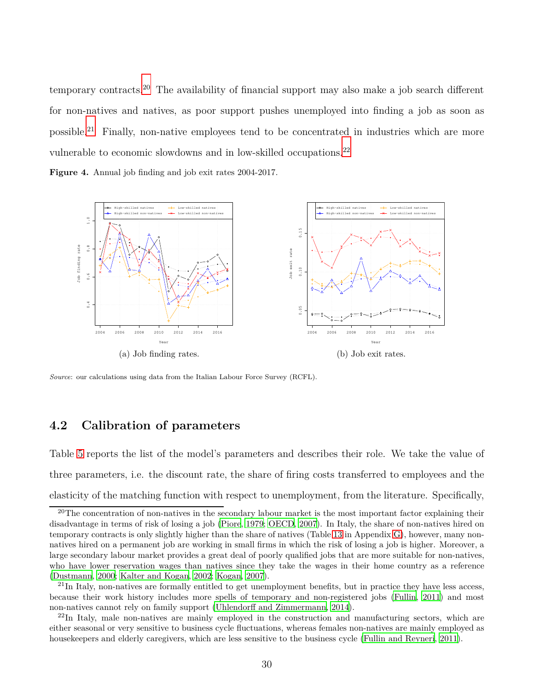temporary contracts.<sup>20</sup> The availability of financial support may also make a job search different for non-natives and natives, as poor support pushes unemployed into finding a job as soon as possible.<sup>21</sup> Finally, non-native employees tend to be concentrated in industries which are more vulnerable to economic slowdowns and in low-skilled occupations.<sup>22</sup>

<span id="page-29-1"></span>**Figure 4.** Annual job finding and job exit rates 2004-2017.



<span id="page-29-0"></span>*Source*: our calculations using data from the Italian Labour Force Survey (RCFL).

## **4.2 Calibration of parameters**

Table [5](#page-31-0) reports the list of the model's parameters and describes their role. We take the value of three parameters, i.e. the discount rate, the share of firing costs transferred to employees and the elasticity of the matching function with respect to unemployment, from the literature. Specifically,

<sup>&</sup>lt;sup>20</sup>The concentration of non-natives in the secondary labour market is the most important factor explaining their disadvantage in terms of risk of losing a job [\(Piore](#page-84-7), [1979](#page-84-7); [OECD](#page-84-8), [2007](#page-84-8)). In Italy, the share of non-natives hired on temporary contracts is only slightly higher than the share of natives (Table [13](#page-55-0) in Appendix [G\)](#page-54-0), however, many nonnatives hired on a permanent job are working in small firms in which the risk of losing a job is higher. Moreover, a large secondary labour market provides a great deal of poorly qualified jobs that are more suitable for non-natives, who have lower reservation wages than natives since they take the wages in their home country as a reference [\(Dustmann, 2000;](#page-81-6) [Kalter and Kogan, 2002;](#page-83-7) [Kogan, 2007\)](#page-83-8).

 $^{21}$ In Italy, non-natives are formally entitled to get unemployment benefits, but in practice they have less access, because their work history includes more spells of temporary and non-registered jobs [\(Fullin](#page-81-5), [2011\)](#page-81-5) and most non-natives cannot rely on family support [\(Uhlendorff and Zimmermann](#page-85-1), [2014](#page-85-1)).

 $^{22}$ In Italy, male non-natives are mainly employed in the construction and manufacturing sectors, which are either seasonal or very sensitive to business cycle fluctuations, whereas females non-natives are mainly employed as housekeepers and elderly caregivers, which are less sensitive to the business cycle [\(Fullin and Reyneri, 2011\)](#page-82-6).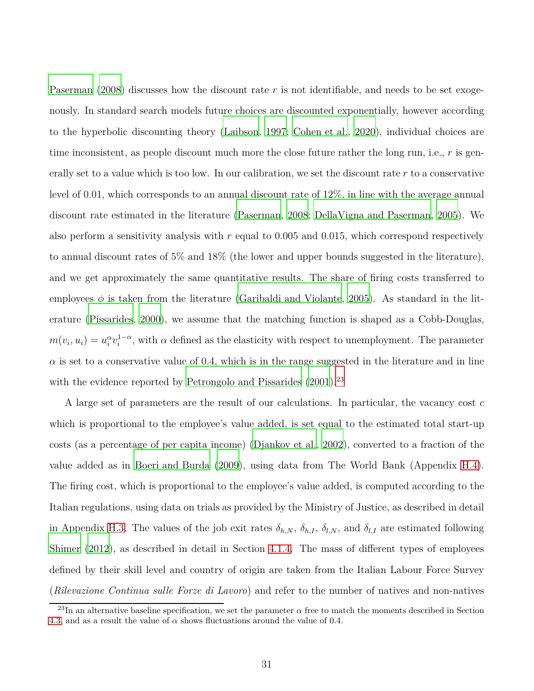[Paserman \(2008\)](#page-84-9) discusses how the discount rate *r* is not identifiable, and needs to be set exogenously. In standard search models future choices are discounted exponentially, however according to the hyperbolic discounting theory [\(Laibson, 1997](#page-83-9); [Cohen](#page-80-10) et al., [2020\)](#page-80-10), individual choices are time inconsistent, as people discount much more the close future rather the long run, i.e., *r* is generally set to a value which is too low. In our calibration, we set the discount rate *r* to a conservative level of 0.01, which corresponds to an annual discount rate of 12%, in line with the average annual discount rate estimated in the literature [\(Paserman](#page-84-9), [2008](#page-84-9); [DellaVigna and Paserman](#page-81-7), [2005](#page-81-7)). We also perform a sensitivity analysis with *r* equal to 0.005 and 0.015, which correspond respectively to annual discount rates of 5% and 18% (the lower and upper bounds suggested in the literature), and we get approximately the same quantitative results. The share of firing costs transferred to employees  $\phi$  is taken from the literature [\(Garibaldi and Violante, 2005](#page-82-4)). As standard in the literature [\(Pissarides, 2000](#page-84-4)), we assume that the matching function is shaped as a Cobb-Douglas,  $m(v_i, u_i) = u_i^{\alpha} v_i^{1-\alpha}$ , with  $\alpha$  defined as the elasticity with respect to unemployment. The parameter  $\alpha$  is set to a conservative value of 0.4, which is in the range suggested in the literature and in line with the evidence reported by [Petrongolo and Pissarides](#page-84-10) [\(2001](#page-84-10)).<sup>23</sup>

A large set of parameters are the result of our calculations. In particular, the vacancy cost *c* which is proportional to the employee's value added, is set equal to the estimated total start-up costs (as a percentage of per capita income) [\(Djankov et al.,](#page-81-8) [2002\)](#page-81-8), converted to a fraction of the value added as in [Boeri and Burda \(2009\)](#page-79-7), using data from The World Bank (Appendix [H.4\)](#page-62-0). The firing cost, which is proportional to the employee's value added, is computed according to the Italian regulations, using data on trials as provided by the Ministry of Justice, as described in detail in Appendix [H.3.](#page-57-0) The values of the job exit rates  $\delta_{h,N}$ ,  $\delta_{h,I}$ ,  $\delta_{l,N}$ , and  $\delta_{l,I}$  are estimated following [Shimer](#page-84-6) [\(2012](#page-84-6)), as described in detail in Section [4.1.4.](#page-28-0) The mass of different types of employees defined by their skill level and country of origin are taken from the Italian Labour Force Survey (*Rilevazione Continua sulle Forze di Lavoro*) and refer to the number of natives and non-natives

<sup>&</sup>lt;sup>23</sup>In an alternative baseline specification, we set the parameter  $\alpha$  free to match the moments described in Section [4.3,](#page-32-0) and as a result the value of  $\alpha$  shows fluctuations around the value of 0.4.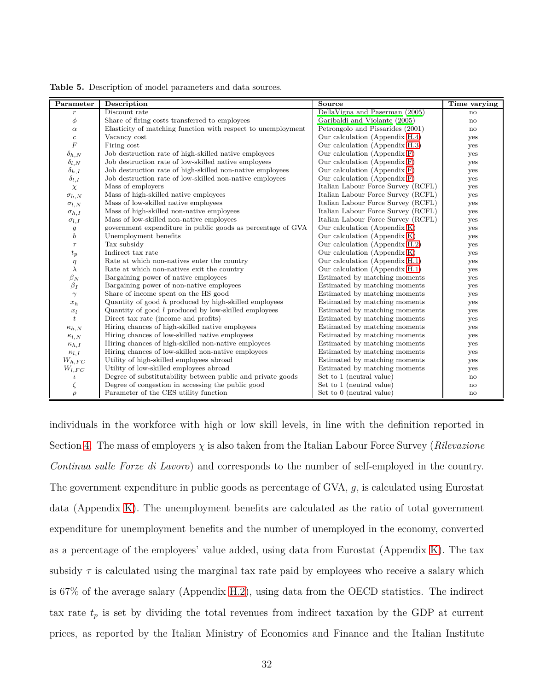| Parameter           | Description                                                  | Source                             | Time varying |
|---------------------|--------------------------------------------------------------|------------------------------------|--------------|
| $\,r\,$             | Discount rate                                                | DellaVigna and Paserman (2005)     | no           |
| $\phi$              | Share of firing costs transferred to employees               | Garibaldi and Violante (2005)      | no           |
| $\alpha$            | Elasticity of matching function with respect to unemployment | Petrongolo and Pissarides (2001)   | $\mathbf{n}$ |
| $\boldsymbol{c}$    | Vacancy cost                                                 | Our calculation (Appendix H.4)     | yes          |
| $\overline{F}$      | Firing cost                                                  | Our calculation (Appendix H.3)     | yes          |
| $\delta_{h,N}$      | Job destruction rate of high-skilled native employees        | Our calculation (Appendix F)       | yes          |
| $\delta_{l,N}$      | Job destruction rate of low-skilled native employees         | Our calculation (Appendix F)       | yes          |
| $\delta_{h,I}$      | Job destruction rate of high-skilled non-native employees    | Our calculation (Appendix F)       | yes          |
| $\delta_{l,I}$      | Job destruction rate of low-skilled non-native employees     | Our calculation (Appendix F)       | yes          |
| $\chi$              | Mass of employers                                            | Italian Labour Force Survey (RCFL) | yes          |
| $\sigma_{h,N}$      | Mass of high-skilled native employees                        | Italian Labour Force Survey (RCFL) | yes          |
| $\sigma_{l,N}$      | Mass of low-skilled native employees                         | Italian Labour Force Survey (RCFL) | yes          |
| $\sigma_{h.I}$      | Mass of high-skilled non-native employees                    | Italian Labour Force Survey (RCFL) | yes          |
| $\sigma_{l,I}$      | Mass of low-skilled non-native employees                     | Italian Labour Force Survey (RCFL) | yes          |
|                     | government expenditure in public goods as percentage of GVA  | Our calculation (Appendix K)       | yes          |
| $\frac{g}{b}$       | Unemployment benefits                                        | Our calculation (Appendix K)       | yes          |
| $\tau$              | Tax subsidy                                                  | Our calculation (Appendix H.2)     | yes          |
| $\boldsymbol{t}_p$  | Indirect tax rate                                            | Our calculation (Appendix K)       | yes          |
| $\eta$<br>$\lambda$ | Rate at which non-natives enter the country                  | Our calculation (Appendix H.1)     | yes          |
|                     | Rate at which non-natives exit the country                   | Our calculation (Appendix H.1)     | yes          |
| $\beta_N$           | Bargaining power of native employees                         | Estimated by matching moments      | yes          |
| $\beta_I$           | Bargaining power of non-native employees                     | Estimated by matching moments      | yes          |
| $\gamma$            | Share of income spent on the HS good                         | Estimated by matching moments      | yes          |
| $x_h$               | Quantity of good $h$ produced by high-skilled employees      | Estimated by matching moments      | yes          |
| $x_l$               | Quantity of good $l$ produced by low-skilled employees       | Estimated by matching moments      | yes          |
| $\boldsymbol{t}$    | Direct tax rate (income and profits)                         | Estimated by matching moments      | yes          |
| $\kappa_{h,N}$      | Hiring chances of high-skilled native employees              | Estimated by matching moments      | yes          |
| $\kappa_{l,N}$      | Hiring chances of low-skilled native employees               | Estimated by matching moments      | yes          |
| $\kappa_{h,I}$      | Hiring chances of high-skilled non-native employees          | Estimated by matching moments      | yes          |
| $\kappa_{l,I}$      | Hiring chances of low-skilled non-native employees           | Estimated by matching moments      | yes          |
| $W_{h,FC}$          | Utility of high-skilled employees abroad                     | Estimated by matching moments      | yes          |
| $W_{l,FC}$          | Utility of low-skilled employees abroad                      | Estimated by matching moments      | yes          |
| $\iota$             | Degree of substitutability between public and private goods  | Set to 1 (neutral value)           | $\mathbf{n}$ |
| ζ                   | Degree of congestion in accessing the public good            | Set to 1 (neutral value)           | $\mathbf{n}$ |
| $\rho$              | Parameter of the CES utility function                        | Set to 0 (neutral value)           | $\mathbf{n}$ |

<span id="page-31-0"></span>**Table 5.** Description of model parameters and data sources.

individuals in the workforce with high or low skill levels, in line with the definition reported in Section [4.](#page-21-0) The mass of employers  $\chi$  is also taken from the Italian Labour Force Survey (*Rilevazione Continua sulle Forze di Lavoro*) and corresponds to the number of self-employed in the country. The government expenditure in public goods as percentage of GVA, *g*, is calculated using Eurostat data (Appendix [K\)](#page-66-0). The unemployment benefits are calculated as the ratio of total government expenditure for unemployment benefits and the number of unemployed in the economy, converted as a percentage of the employees' value added, using data from Eurostat (Appendix [K\)](#page-66-0). The tax subsidy  $\tau$  is calculated using the marginal tax rate paid by employees who receive a salary which is 67% of the average salary (Appendix [H.2\)](#page-56-0), using data from the OECD statistics. The indirect tax rate  $t_p$  is set by dividing the total revenues from indirect taxation by the GDP at current prices, as reported by the Italian Ministry of Economics and Finance and the Italian Institute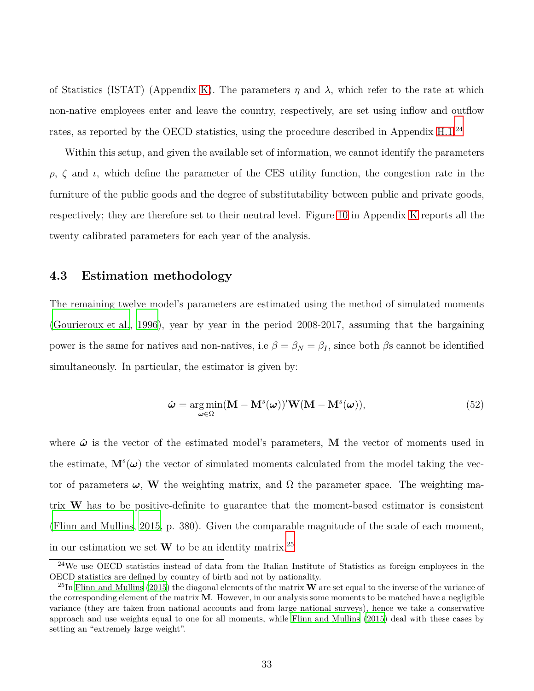of Statistics (ISTAT) (Appendix [K\)](#page-66-0). The parameters  $\eta$  and  $\lambda$ , which refer to the rate at which non-native employees enter and leave the country, respectively, are set using inflow and outflow rates, as reported by the OECD statistics, using the procedure described in Appendix [H.1.](#page-55-1)<sup>24</sup>

Within this setup, and given the available set of information, we cannot identify the parameters *ρ*,  $\zeta$  and *ι*, which define the parameter of the CES utility function, the congestion rate in the furniture of the public goods and the degree of substitutability between public and private goods, respectively; they are therefore set to their neutral level. Figure [10](#page-66-1) in Appendix [K](#page-66-0) reports all the twenty calibrated parameters for each year of the analysis.

### <span id="page-32-0"></span>**4.3 Estimation methodology**

The remaining twelve model's parameters are estimated using the method of simulated moments [\(Gourieroux et al., 1996\)](#page-82-7), year by year in the period 2008-2017, assuming that the bargaining power is the same for natives and non-natives, i.e  $\beta = \beta_N = \beta_I$ , since both  $\beta$ s cannot be identified simultaneously. In particular, the estimator is given by:

$$
\hat{\boldsymbol{\omega}} = \underset{\boldsymbol{\omega} \in \Omega}{\arg \min} (\mathbf{M} - \mathbf{M}^s(\boldsymbol{\omega}))' \mathbf{W} (\mathbf{M} - \mathbf{M}^s(\boldsymbol{\omega})), \tag{52}
$$

where  $\hat{\boldsymbol{\omega}}$  is the vector of the estimated model's parameters, **M** the vector of moments used in the estimate,  $\mathbf{M}^{s}(\boldsymbol{\omega})$  the vector of simulated moments calculated from the model taking the vector of parameters  $\omega$ , W the weighting matrix, and  $\Omega$  the parameter space. The weighting matrix **W** has to be positive-definite to guarantee that the moment-based estimator is consistent [\(Flinn and Mullins](#page-81-2), [2015,](#page-81-2) p. 380). Given the comparable magnitude of the scale of each moment, in our estimation we set  $W$  to be an identity matrix.<sup>25</sup>

<sup>&</sup>lt;sup>24</sup>We use OECD statistics instead of data from the Italian Institute of Statistics as foreign employees in the OECD statistics are defined by country of birth and not by nationality.

<sup>25</sup>In [Flinn and Mullins](#page-81-2) [\(2015\)](#page-81-2) the diagonal elements of the matrix **W** are set equal to the inverse of the variance of the corresponding element of the matrix **M**. However, in our analysis some moments to be matched have a negligible variance (they are taken from national accounts and from large national surveys), hence we take a conservative approach and use weights equal to one for all moments, while [Flinn and Mullins](#page-81-2) [\(2015\)](#page-81-2) deal with these cases by setting an "extremely large weight".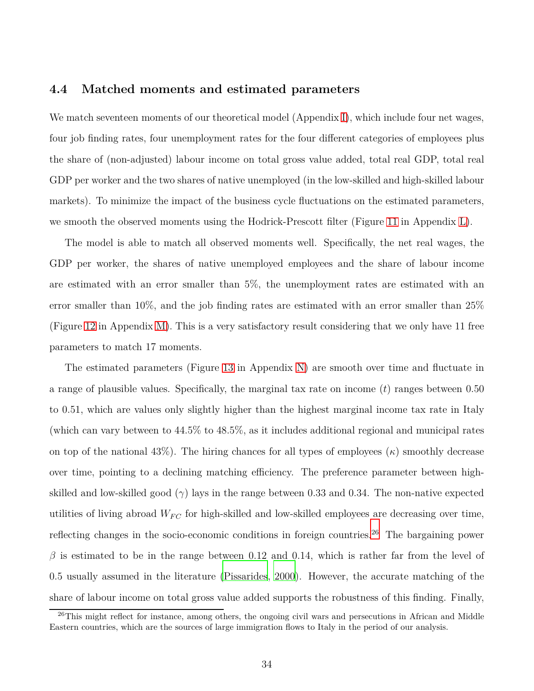### **4.4 Matched moments and estimated parameters**

We match seventeen moments of our theoretical model (Appendix [I\)](#page-63-0), which include four net wages, four job finding rates, four unemployment rates for the four different categories of employees plus the share of (non-adjusted) labour income on total gross value added, total real GDP, total real GDP per worker and the two shares of native unemployed (in the low-skilled and high-skilled labour markets). To minimize the impact of the business cycle fluctuations on the estimated parameters, we smooth the observed moments using the Hodrick-Prescott filter (Figure [11](#page-67-0) in Appendix [L\)](#page-67-1).

The model is able to match all observed moments well. Specifically, the net real wages, the GDP per worker, the shares of native unemployed employees and the share of labour income are estimated with an error smaller than 5%, the unemployment rates are estimated with an error smaller than 10%, and the job finding rates are estimated with an error smaller than 25% (Figure [12](#page-68-0) in Appendix [M\)](#page-68-1). This is a very satisfactory result considering that we only have 11 free parameters to match 17 moments.

The estimated parameters (Figure [13](#page-69-0) in Appendix [N\)](#page-69-1) are smooth over time and fluctuate in a range of plausible values. Specifically, the marginal tax rate on income (*t*) ranges between 0.50 to 0.51, which are values only slightly higher than the highest marginal income tax rate in Italy (which can vary between to 44.5% to 48.5%, as it includes additional regional and municipal rates on top of the national  $43\%$ ). The hiring chances for all types of employees  $(\kappa)$  smoothly decrease over time, pointing to a declining matching efficiency. The preference parameter between highskilled and low-skilled good  $(\gamma)$  lays in the range between 0.33 and 0.34. The non-native expected utilities of living abroad  $W_{FC}$  for high-skilled and low-skilled employees are decreasing over time, reflecting changes in the socio-economic conditions in foreign countries.<sup>26</sup> The bargaining power  $\beta$  is estimated to be in the range between 0.12 and 0.14, which is rather far from the level of 0.5 usually assumed in the literature [\(Pissarides](#page-84-4), [2000](#page-84-4)). However, the accurate matching of the share of labour income on total gross value added supports the robustness of this finding. Finally,

<sup>&</sup>lt;sup>26</sup>This might reflect for instance, among others, the ongoing civil wars and persecutions in African and Middle Eastern countries, which are the sources of large immigration flows to Italy in the period of our analysis.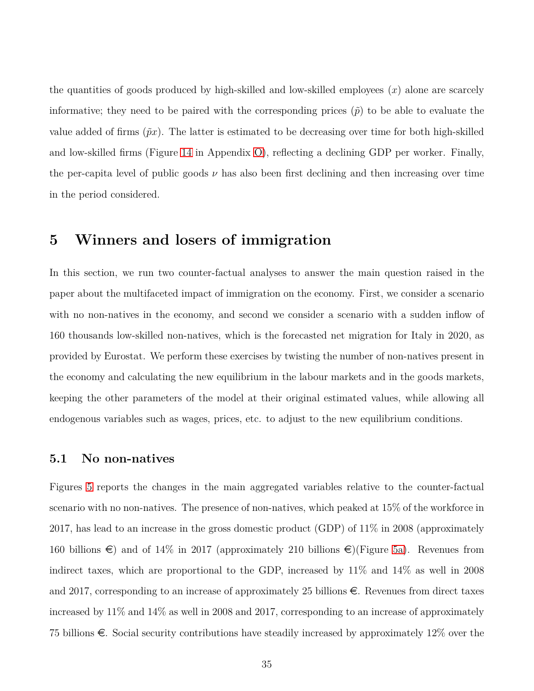the quantities of goods produced by high-skilled and low-skilled employees (*x*) alone are scarcely informative; they need to be paired with the corresponding prices  $(\tilde{p})$  to be able to evaluate the value added of firms  $(\tilde{p}x)$ . The latter is estimated to be decreasing over time for both high-skilled and low-skilled firms (Figure [14](#page-70-0) in Appendix [O\)](#page-70-1), reflecting a declining GDP per worker. Finally, the per-capita level of public goods  $\nu$  has also been first declining and then increasing over time in the period considered.

## <span id="page-34-0"></span>**5 Winners and losers of immigration**

In this section, we run two counter-factual analyses to answer the main question raised in the paper about the multifaceted impact of immigration on the economy. First, we consider a scenario with no non-natives in the economy, and second we consider a scenario with a sudden inflow of 160 thousands low-skilled non-natives, which is the forecasted net migration for Italy in 2020, as provided by Eurostat. We perform these exercises by twisting the number of non-natives present in the economy and calculating the new equilibrium in the labour markets and in the goods markets, keeping the other parameters of the model at their original estimated values, while allowing all endogenous variables such as wages, prices, etc. to adjust to the new equilibrium conditions.

### **5.1 No non-natives**

Figures [5](#page-36-0) reports the changes in the main aggregated variables relative to the counter-factual scenario with no non-natives. The presence of non-natives, which peaked at 15% of the workforce in 2017, has lead to an increase in the gross domestic product (GDP) of 11% in 2008 (approximately 160 billions  $\epsilon$ ) and of 14% in 2017 (approximately 210 billions  $\epsilon$ )(Figure [5a\)](#page-36-0). Revenues from indirect taxes, which are proportional to the GDP, increased by 11% and 14% as well in 2008 and 2017, corresponding to an increase of approximately 25 billions  $\epsilon$ . Revenues from direct taxes increased by 11% and 14% as well in 2008 and 2017, corresponding to an increase of approximately 75 billions  $\epsilon$ . Social security contributions have steadily increased by approximately 12% over the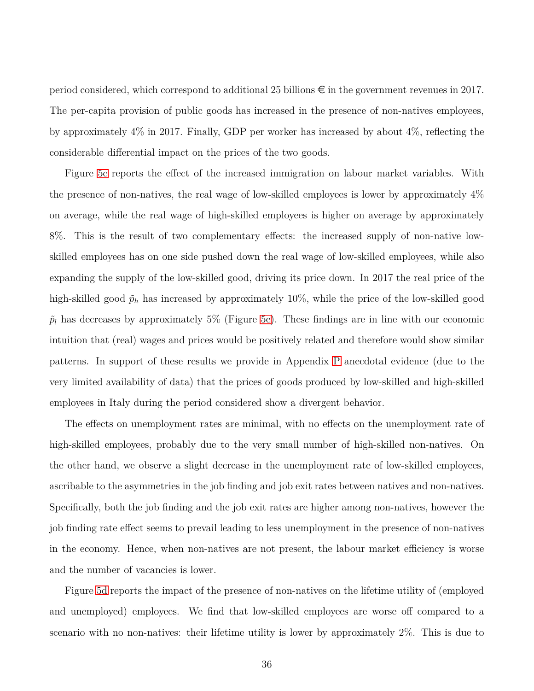period considered, which correspond to additional 25 billions  $\epsilon$  in the government revenues in 2017. The per-capita provision of public goods has increased in the presence of non-natives employees, by approximately 4% in 2017. Finally, GDP per worker has increased by about 4%, reflecting the considerable differential impact on the prices of the two goods.

Figure [5c](#page-36-0) reports the effect of the increased immigration on labour market variables. With the presence of non-natives, the real wage of low-skilled employees is lower by approximately 4% on average, while the real wage of high-skilled employees is higher on average by approximately 8%. This is the result of two complementary effects: the increased supply of non-native lowskilled employees has on one side pushed down the real wage of low-skilled employees, while also expanding the supply of the low-skilled good, driving its price down. In 2017 the real price of the high-skilled good  $\tilde{p}_h$  has increased by approximately 10%, while the price of the low-skilled good  $\tilde{p}_l$  has decreases by approximately 5% (Figure [5e\)](#page-36-0). These findings are in line with our economic intuition that (real) wages and prices would be positively related and therefore would show similar patterns. In support of these results we provide in Appendix [P](#page-71-0) anecdotal evidence (due to the very limited availability of data) that the prices of goods produced by low-skilled and high-skilled employees in Italy during the period considered show a divergent behavior.

The effects on unemployment rates are minimal, with no effects on the unemployment rate of high-skilled employees, probably due to the very small number of high-skilled non-natives. On the other hand, we observe a slight decrease in the unemployment rate of low-skilled employees, ascribable to the asymmetries in the job finding and job exit rates between natives and non-natives. Specifically, both the job finding and the job exit rates are higher among non-natives, however the job finding rate effect seems to prevail leading to less unemployment in the presence of non-natives in the economy. Hence, when non-natives are not present, the labour market efficiency is worse and the number of vacancies is lower.

Figure [5d](#page-36-0) reports the impact of the presence of non-natives on the lifetime utility of (employed and unemployed) employees. We find that low-skilled employees are worse off compared to a scenario with no non-natives: their lifetime utility is lower by approximately 2%. This is due to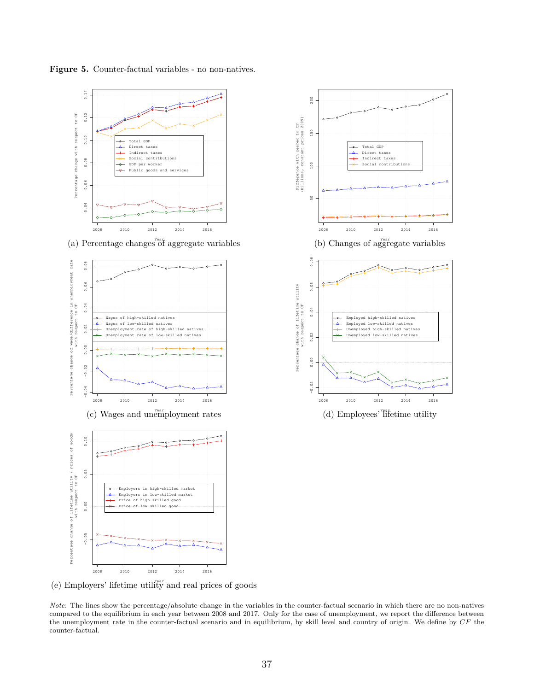<span id="page-36-0"></span>





(e) Employers' lifetime utility and real prices of goods

*Note*: The lines show the percentage/absolute change in the variables in the counter-factual scenario in which there are no non-natives compared to the equilibrium in each year between 2008 and 2017. Only for the case of unemployment, we report the difference between the unemployment rate in the counter-factual scenario and in equilibrium, by skill level and country of origin. We define by *CF* the counter-factual.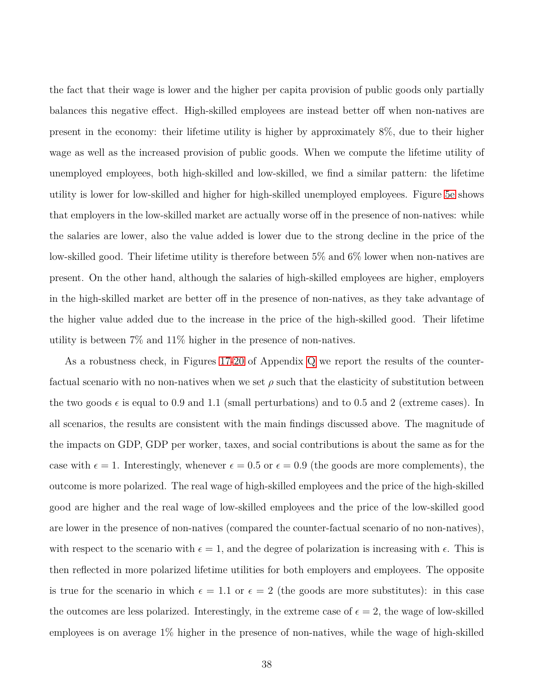the fact that their wage is lower and the higher per capita provision of public goods only partially balances this negative effect. High-skilled employees are instead better off when non-natives are present in the economy: their lifetime utility is higher by approximately 8%, due to their higher wage as well as the increased provision of public goods. When we compute the lifetime utility of unemployed employees, both high-skilled and low-skilled, we find a similar pattern: the lifetime utility is lower for low-skilled and higher for high-skilled unemployed employees. Figure [5e](#page-36-0) shows that employers in the low-skilled market are actually worse off in the presence of non-natives: while the salaries are lower, also the value added is lower due to the strong decline in the price of the low-skilled good. Their lifetime utility is therefore between 5% and 6% lower when non-natives are present. On the other hand, although the salaries of high-skilled employees are higher, employers in the high-skilled market are better off in the presence of non-natives, as they take advantage of the higher value added due to the increase in the price of the high-skilled good. Their lifetime utility is between 7% and 11% higher in the presence of non-natives.

As a robustness check, in Figures [17](#page-73-0)[-20](#page-76-0) of Appendix [Q](#page-73-1) we report the results of the counterfactual scenario with no non-natives when we set  $\rho$  such that the elasticity of substitution between the two goods  $\epsilon$  is equal to 0.9 and 1.1 (small perturbations) and to 0.5 and 2 (extreme cases). In all scenarios, the results are consistent with the main findings discussed above. The magnitude of the impacts on GDP, GDP per worker, taxes, and social contributions is about the same as for the case with  $\epsilon = 1$ . Interestingly, whenever  $\epsilon = 0.5$  or  $\epsilon = 0.9$  (the goods are more complements), the outcome is more polarized. The real wage of high-skilled employees and the price of the high-skilled good are higher and the real wage of low-skilled employees and the price of the low-skilled good are lower in the presence of non-natives (compared the counter-factual scenario of no non-natives), with respect to the scenario with  $\epsilon = 1$ , and the degree of polarization is increasing with  $\epsilon$ . This is then reflected in more polarized lifetime utilities for both employers and employees. The opposite is true for the scenario in which  $\epsilon = 1.1$  or  $\epsilon = 2$  (the goods are more substitutes): in this case the outcomes are less polarized. Interestingly, in the extreme case of  $\epsilon = 2$ , the wage of low-skilled employees is on average 1% higher in the presence of non-natives, while the wage of high-skilled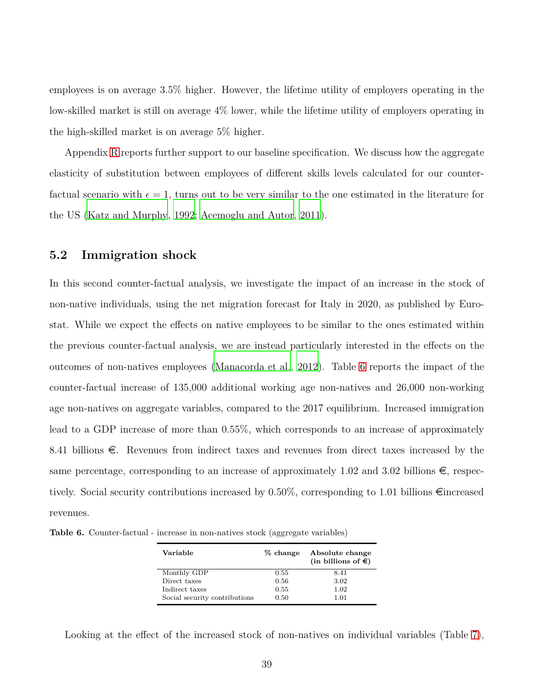employees is on average 3.5% higher. However, the lifetime utility of employers operating in the low-skilled market is still on average 4% lower, while the lifetime utility of employers operating in the high-skilled market is on average 5% higher.

Appendix [R](#page-77-0) reports further support to our baseline specification. We discuss how the aggregate elasticity of substitution between employees of different skills levels calculated for our counterfactual scenario with  $\epsilon = 1$ , turns out to be very similar to the one estimated in the literature for the US [\(Katz and Murphy](#page-83-0), [1992](#page-83-0); [Acemoglu and Autor](#page-79-0), [2011\)](#page-79-0).

#### **5.2 Immigration shock**

In this second counter-factual analysis, we investigate the impact of an increase in the stock of non-native individuals, using the net migration forecast for Italy in 2020, as published by Eurostat. While we expect the effects on native employees to be similar to the ones estimated within the previous counter-factual analysis, we are instead particularly interested in the effects on the outcomes of non-natives employees [\(Manacorda et al.](#page-83-1), [2012\)](#page-83-1). Table [6](#page-38-0) reports the impact of the counter-factual increase of 135,000 additional working age non-natives and 26,000 non-working age non-natives on aggregate variables, compared to the 2017 equilibrium. Increased immigration lead to a GDP increase of more than 0.55%, which corresponds to an increase of approximately 8.41 billions  $\epsilon$ . Revenues from indirect taxes and revenues from direct taxes increased by the same percentage, corresponding to an increase of approximately 1.02 and 3.02 billions  $\epsilon$ , respectively. Social security contributions increased by 0.50%, corresponding to 1.01 billions  $\epsilon$  increased revenues.

<span id="page-38-0"></span>**Table 6.** Counter-factual - increase in non-natives stock (aggregate variables)

| Variable                      | % change | Absolute change<br>(in billions of $\epsilon$ ) |
|-------------------------------|----------|-------------------------------------------------|
| Monthly GDP                   | 0.55     | 8.41                                            |
| Direct taxes                  | 0.56     | 3.02                                            |
| Indirect taxes                | 0.55     | 1.02                                            |
| Social security contributions | 0.50     | 1.01                                            |

Looking at the effect of the increased stock of non-natives on individual variables (Table [7\)](#page-39-0),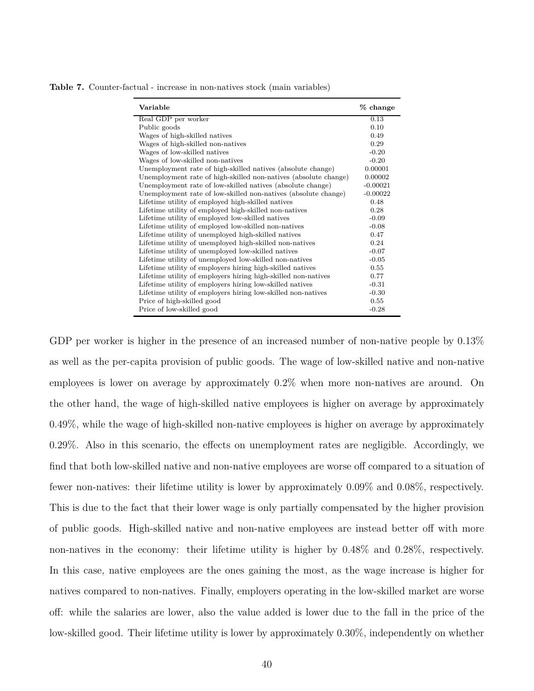| Variable                                                        | % change   |
|-----------------------------------------------------------------|------------|
| Real GDP per worker                                             | 0.13       |
| Public goods                                                    | 0.10       |
| Wages of high-skilled natives                                   | 0.49       |
| Wages of high-skilled non-natives                               | 0.29       |
| Wages of low-skilled natives                                    | $-0.20$    |
| Wages of low-skilled non-natives                                | $-0.20$    |
| Unemployment rate of high-skilled natives (absolute change)     | 0.00001    |
| Unemployment rate of high-skilled non-natives (absolute change) | 0.00002    |
| Unemployment rate of low-skilled natives (absolute change)      | $-0.00021$ |
| Unemployment rate of low-skilled non-natives (absolute change)  | $-0.00022$ |
| Lifetime utility of employed high-skilled natives               | 0.48       |
| Lifetime utility of employed high-skilled non-natives           | 0.28       |
| Lifetime utility of employed low-skilled natives                | $-0.09$    |
| Lifetime utility of employed low-skilled non-natives            | $-0.08$    |
| Lifetime utility of unemployed high-skilled natives             | 0.47       |
| Lifetime utility of unemployed high-skilled non-natives         | 0.24       |
| Lifetime utility of unemployed low-skilled natives              | $-0.07$    |
| Lifetime utility of unemployed low-skilled non-natives          | $-0.05$    |
| Lifetime utility of employers hiring high-skilled natives       | 0.55       |
| Lifetime utility of employers hiring high-skilled non-natives   | 0.77       |
| Lifetime utility of employers hiring low-skilled natives        | $-0.31$    |
| Lifetime utility of employers hiring low-skilled non-natives    | $-0.30$    |
| Price of high-skilled good                                      | 0.55       |
| Price of low-skilled good                                       | $-0.28$    |

<span id="page-39-0"></span>**Table 7.** Counter-factual - increase in non-natives stock (main variables)

GDP per worker is higher in the presence of an increased number of non-native people by 0.13% as well as the per-capita provision of public goods. The wage of low-skilled native and non-native employees is lower on average by approximately 0.2% when more non-natives are around. On the other hand, the wage of high-skilled native employees is higher on average by approximately 0.49%, while the wage of high-skilled non-native employees is higher on average by approximately 0.29%. Also in this scenario, the effects on unemployment rates are negligible. Accordingly, we find that both low-skilled native and non-native employees are worse off compared to a situation of fewer non-natives: their lifetime utility is lower by approximately 0.09% and 0.08%, respectively. This is due to the fact that their lower wage is only partially compensated by the higher provision of public goods. High-skilled native and non-native employees are instead better off with more non-natives in the economy: their lifetime utility is higher by 0.48% and 0.28%, respectively. In this case, native employees are the ones gaining the most, as the wage increase is higher for natives compared to non-natives. Finally, employers operating in the low-skilled market are worse off: while the salaries are lower, also the value added is lower due to the fall in the price of the low-skilled good. Their lifetime utility is lower by approximately 0.30%, independently on whether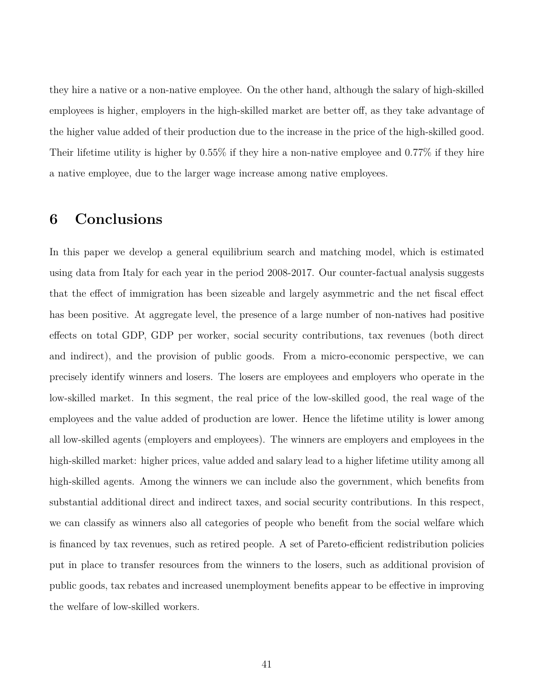they hire a native or a non-native employee. On the other hand, although the salary of high-skilled employees is higher, employers in the high-skilled market are better off, as they take advantage of the higher value added of their production due to the increase in the price of the high-skilled good. Their lifetime utility is higher by 0.55% if they hire a non-native employee and 0.77% if they hire a native employee, due to the larger wage increase among native employees.

## **6 Conclusions**

In this paper we develop a general equilibrium search and matching model, which is estimated using data from Italy for each year in the period 2008-2017. Our counter-factual analysis suggests that the effect of immigration has been sizeable and largely asymmetric and the net fiscal effect has been positive. At aggregate level, the presence of a large number of non-natives had positive effects on total GDP, GDP per worker, social security contributions, tax revenues (both direct and indirect), and the provision of public goods. From a micro-economic perspective, we can precisely identify winners and losers. The losers are employees and employers who operate in the low-skilled market. In this segment, the real price of the low-skilled good, the real wage of the employees and the value added of production are lower. Hence the lifetime utility is lower among all low-skilled agents (employers and employees). The winners are employers and employees in the high-skilled market: higher prices, value added and salary lead to a higher lifetime utility among all high-skilled agents. Among the winners we can include also the government, which benefits from substantial additional direct and indirect taxes, and social security contributions. In this respect, we can classify as winners also all categories of people who benefit from the social welfare which is financed by tax revenues, such as retired people. A set of Pareto-efficient redistribution policies put in place to transfer resources from the winners to the losers, such as additional provision of public goods, tax rebates and increased unemployment benefits appear to be effective in improving the welfare of low-skilled workers.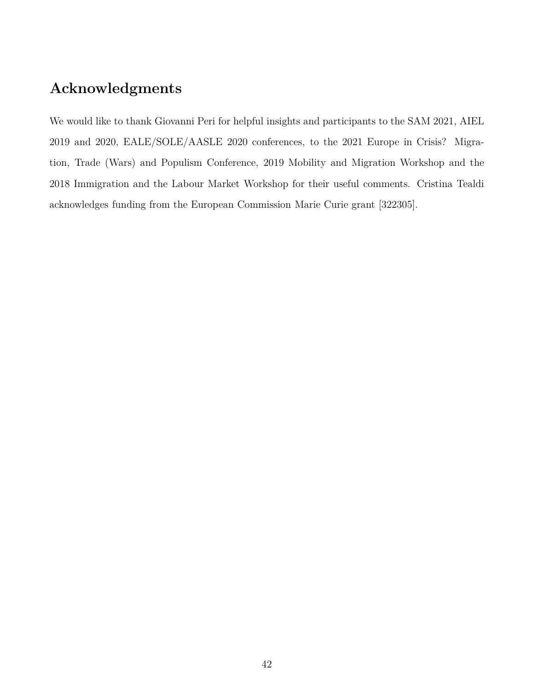## **Acknowledgments**

We would like to thank Giovanni Peri for helpful insights and participants to the SAM 2021, AIEL 2019 and 2020, EALE/SOLE/AASLE 2020 conferences, to the 2021 Europe in Crisis? Migration, Trade (Wars) and Populism Conference, 2019 Mobility and Migration Workshop and the 2018 Immigration and the Labour Market Workshop for their useful comments. Cristina Tealdi acknowledges funding from the European Commission Marie Curie grant [322305].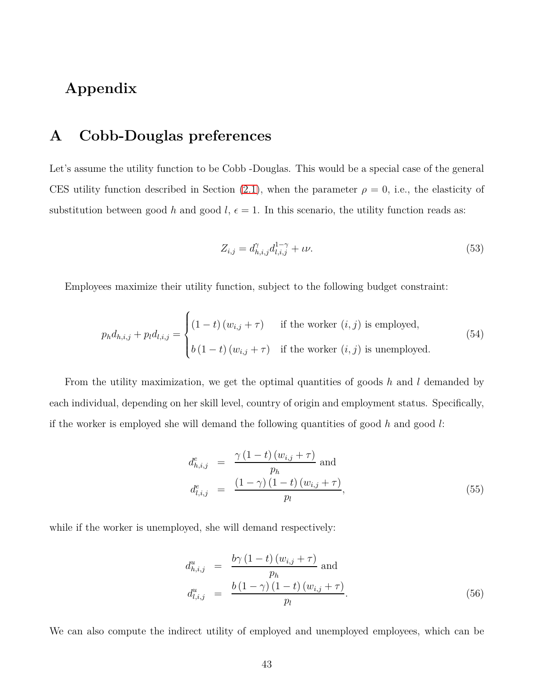## **Appendix**

## **A Cobb-Douglas preferences**

Let's assume the utility function to be Cobb -Douglas. This would be a special case of the general CES utility function described in Section  $(2.1)$ , when the parameter  $\rho = 0$ , i.e., the elasticity of substitution between good *h* and good *l*,  $\epsilon = 1$ . In this scenario, the utility function reads as:

$$
Z_{i,j} = d_{h,i,j}^{\gamma} d_{l,i,j}^{1-\gamma} + \iota \nu.
$$
\n(53)

Employees maximize their utility function, subject to the following budget constraint:

$$
p_h d_{h,i,j} + p_l d_{l,i,j} = \begin{cases} (1-t)(w_{i,j} + \tau) & \text{if the worker } (i,j) \text{ is employed,} \\ b(1-t)(w_{i,j} + \tau) & \text{if the worker } (i,j) \text{ is unemployed.} \end{cases}
$$
(54)

From the utility maximization, we get the optimal quantities of goods *h* and *l* demanded by each individual, depending on her skill level, country of origin and employment status. Specifically, if the worker is employed she will demand the following quantities of good *h* and good *l*:

$$
d_{h,i,j}^{e} = \frac{\gamma (1-t) (w_{i,j} + \tau)}{p_h} \text{ and}
$$
  

$$
d_{l,i,j}^{e} = \frac{(1-\gamma) (1-t) (w_{i,j} + \tau)}{p_l},
$$
 (55)

while if the worker is unemployed, she will demand respectively:

$$
d_{h,i,j}^{u} = \frac{b\gamma (1-t) (w_{i,j} + \tau)}{p_h} \text{ and}
$$
  

$$
d_{l,i,j}^{u} = \frac{b (1 - \gamma) (1-t) (w_{i,j} + \tau)}{p_l}.
$$
 (56)

We can also compute the indirect utility of employed and unemployed employees, which can be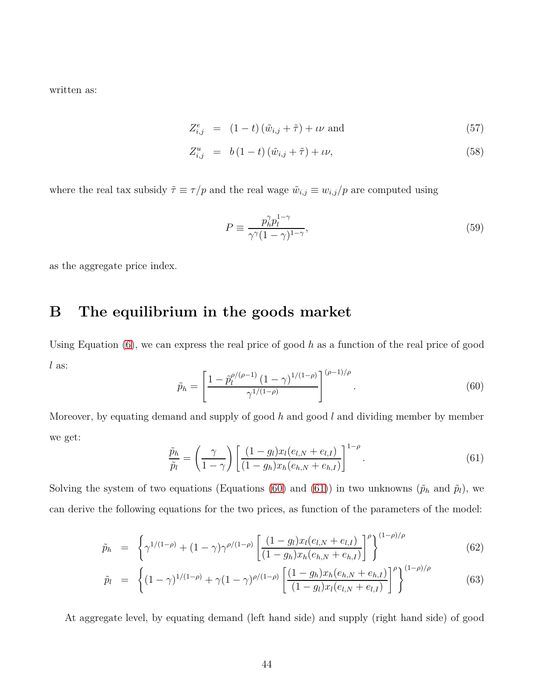written as:

$$
Z_{i,j}^e = (1-t)(\tilde{w}_{i,j} + \tilde{\tau}) + \iota \nu \text{ and } (57)
$$

$$
Z_{i,j}^u = b(1-t)(\tilde{w}_{i,j} + \tilde{\tau}) + \iota \nu,
$$
\n
$$
(58)
$$

where the real tax subsidy  $\tilde{\tau} \equiv \tau/p$  and the real wage  $\tilde{w}_{i,j} \equiv w_{i,j}/p$  are computed using

$$
P \equiv \frac{p_h^{\gamma} p_l^{1-\gamma}}{\gamma^{\gamma} (1-\gamma)^{1-\gamma}},\tag{59}
$$

as the aggregate price index.

### **B The equilibrium in the goods market**

<span id="page-43-0"></span>Using Equation [\(6\)](#page-9-0), we can express the real price of good *h* as a function of the real price of good *l* as:

$$
\tilde{p}_h = \left[ \frac{1 - \tilde{p}_l^{\rho/(\rho - 1)} (1 - \gamma)^{1/(1 - \rho)}}{\gamma^{1/(1 - \rho)}} \right]^{(\rho - 1)/\rho} . \tag{60}
$$

<span id="page-43-1"></span>Moreover, by equating demand and supply of good *h* and good *l* and dividing member by member we get:

$$
\frac{\tilde{p}_h}{\tilde{p}_l} = \left(\frac{\gamma}{1-\gamma}\right) \left[ \frac{(1-g_l)x_l(e_{l,N} + e_{l,I})}{(1-g_h)x_h(e_{h,N} + e_{h,I})} \right]^{1-\rho}.
$$
\n(61)

Solving the system of two equations (Equations [\(60\)](#page-43-0) and [\(61\)](#page-43-1)) in two unknowns ( $\tilde{p}_h$  and  $\tilde{p}_l$ ), we can derive the following equations for the two prices, as function of the parameters of the model:

$$
\tilde{p}_h = \left\{ \gamma^{1/(1-\rho)} + (1-\gamma)\gamma^{\rho/(1-\rho)} \left[ \frac{(1-g_l)x_l(e_{l,N} + e_{l,I})}{(1-g_h)x_h(e_{h,N} + e_{h,I})} \right]^\rho \right\}^{(1-\rho)/\rho} \tag{62}
$$

$$
\tilde{p}_l = \left\{ (1 - \gamma)^{1/(1 - \rho)} + \gamma (1 - \gamma)^{\rho/(1 - \rho)} \left[ \frac{(1 - g_h)x_h(e_{h,N} + e_{h,I})}{(1 - g_l)x_l(e_{l,N} + e_{l,I})} \right]^\rho \right\}^{(1 - \rho)/\rho}
$$
(63)

At aggregate level, by equating demand (left hand side) and supply (right hand side) of good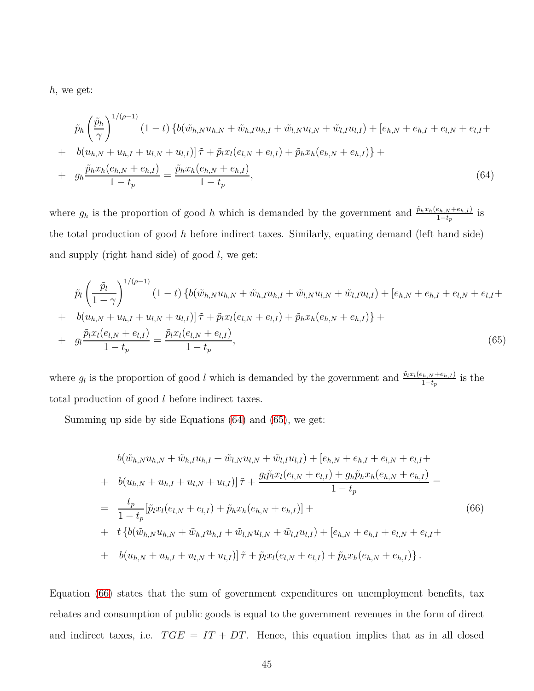*h*, we get:

<span id="page-44-0"></span>
$$
\tilde{p}_h \left(\frac{\tilde{p}_h}{\gamma}\right)^{1/(\rho-1)} (1-t) \left\{b(\tilde{w}_{h,N}u_{h,N} + \tilde{w}_{h,I}u_{h,I} + \tilde{w}_{l,N}u_{l,N} + \tilde{w}_{l,I}u_{l,I}) + [e_{h,N} + e_{h,I} + e_{l,N} + e_{l,I} + b(u_{h,N} + u_{h,I} + u_{l,N} + u_{l,I})] \tilde{\tau} + \tilde{p}_l x_l (e_{l,N} + e_{l,I}) + \tilde{p}_h x_h (e_{h,N} + e_{h,I}) \right\} +
$$
\n
$$
+ g_h \frac{\tilde{p}_h x_h (e_{h,N} + e_{h,I})}{1 - t_p} = \frac{\tilde{p}_h x_h (e_{h,N} + e_{h,I})}{1 - t_p},
$$
\n(64)

where  $g_h$  is the proportion of good *h* which is demanded by the government and  $\frac{\tilde{p}_hx_h(e_{h,N}+e_{h,I})}{1-t_p}$  is the total production of good *h* before indirect taxes. Similarly, equating demand (left hand side) and supply (right hand side) of good *l*, we get:

<span id="page-44-1"></span>
$$
\tilde{p}_l \left( \frac{\tilde{p}_l}{1 - \gamma} \right)^{1/(\rho - 1)} (1 - t) \left\{ b(\tilde{w}_{h,N} u_{h,N} + \tilde{w}_{h,I} u_{h,I} + \tilde{w}_{l,N} u_{l,N} + \tilde{w}_{l,I} u_{l,I}) + [e_{h,N} + e_{h,I} + e_{l,N} + e_{l,I} + e_{l,N} u_{l,I} + e_{l,N} u_{l,N} + u_{l,N} + u_{l,N} u_{l,I}) \right\} +
$$
\n
$$
+ g_l \frac{\tilde{p}_l x_l (e_{l,N} + e_{l,I})}{1 - t_p} = \frac{\tilde{p}_l x_l (e_{l,N} + e_{l,I})}{1 - t_p}, \qquad (65)
$$

where  $g_l$  is the proportion of good *l* which is demanded by the government and  $\frac{\tilde{p}_l x_l(e_{h,N} + e_{h,I})}{1-t_p}$  is the total production of good *l* before indirect taxes.

Summing up side by side Equations [\(64\)](#page-44-0) and [\(65\)](#page-44-1), we get:

<span id="page-44-2"></span>
$$
b(\tilde{w}_{h,N}u_{h,N} + \tilde{w}_{h,I}u_{h,I} + \tilde{w}_{l,N}u_{l,N} + \tilde{w}_{l,I}u_{l,I}) + [e_{h,N} + e_{h,I} + e_{l,N} + e_{l,I} +
$$
  
+ 
$$
b(u_{h,N} + u_{h,I} + u_{l,N} + u_{l,I})]\tilde{\tau} + \frac{g_l\tilde{p}_lx_l(e_{l,N} + e_{l,I}) + g_h\tilde{p}_hx_h(e_{h,N} + e_{h,I})}{1 - t_p} =
$$
  
= 
$$
\frac{t_p}{1 - t_p}[\tilde{p}_lx_l(e_{l,N} + e_{l,I}) + \tilde{p}_hx_h(e_{h,N} + e_{h,I})] +
$$
  
+ 
$$
t\{b(\tilde{w}_{h,N}u_{h,N} + \tilde{w}_{h,I}u_{h,I} + \tilde{w}_{l,N}u_{l,N} + \tilde{w}_{l,I}u_{l,I}) + [e_{h,N} + e_{h,I} + e_{l,N} + e_{l,I} +
$$
  
+ 
$$
b(u_{h,N} + u_{h,I} + u_{l,N} + u_{l,I})]\tilde{\tau} + \tilde{p}_lx_l(e_{l,N} + e_{l,I}) + \tilde{p}_hx_h(e_{h,N} + e_{h,I})\}.
$$
 (66)

Equation [\(66\)](#page-44-2) states that the sum of government expenditures on unemployment benefits, tax rebates and consumption of public goods is equal to the government revenues in the form of direct and indirect taxes, i.e.  $TGE = IT + DT$ . Hence, this equation implies that as in all closed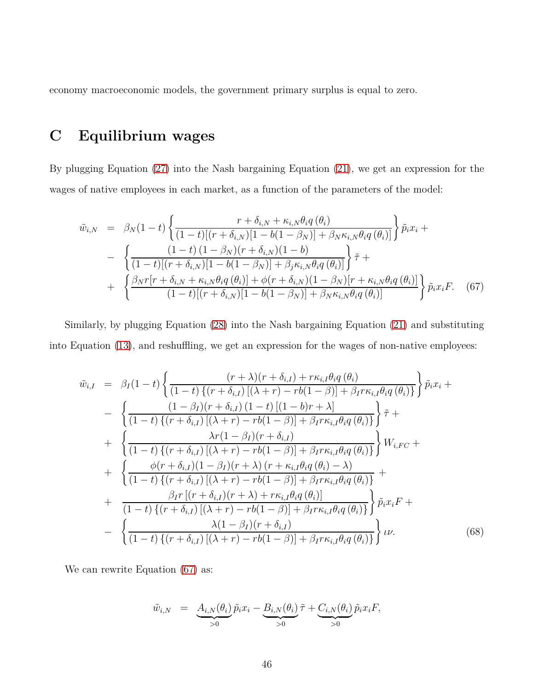economy macroeconomic models, the government primary surplus is equal to zero.

## **C Equilibrium wages**

By plugging Equation [\(27\)](#page-16-0) into the Nash bargaining Equation [\(21\)](#page-13-0), we get an expression for the wages of native employees in each market, as a function of the parameters of the model:

<span id="page-45-0"></span>
$$
\tilde{w}_{i,N} = \beta_N (1-t) \left\{ \frac{r + \delta_{i,N} + \kappa_{i,N} \theta_i q(\theta_i)}{(1-t)[(r + \delta_{i,N})[1 - b(1 - \beta_N)] + \beta_N \kappa_{i,N} \theta_i q(\theta_i)]} \right\} \tilde{p}_i x_i + \n- \left\{ \frac{(1-t) (1 - \beta_N)(r + \delta_{i,N}) (1 - b)}{(1-t)[(r + \delta_{i,N})[1 - b(1 - \beta_N)] + \beta_j \kappa_{i,N} \theta_i q(\theta_i)]} \right\} \tilde{\tau} + \n+ \left\{ \frac{\beta_N r[r + \delta_{i,N} + \kappa_{i,N} \theta_i q(\theta_i)] + \phi(r + \delta_{i,N}) (1 - \beta_N)[r + \kappa_{i,N} \theta_i q(\theta_i)]}{(1-t)[(r + \delta_{i,N})[1 - b(1 - \beta_N)] + \beta_N \kappa_{i,N} \theta_i q(\theta_i)]} \right\} \tilde{p}_i x_i F. \quad (67)
$$

Similarly, by plugging Equation [\(28\)](#page-16-0) into the Nash bargaining Equation [\(21\)](#page-13-0) and substituting into Equation [\(13\)](#page-11-0), and reshuffling, we get an expression for the wages of non-native employees:

<span id="page-45-1"></span>
$$
\tilde{w}_{i,I} = \beta_{I}(1-t) \left\{ \frac{(r+\lambda)(r+\delta_{i,I}) + r\kappa_{i,I}\theta_{i}q(\theta_{i})}{(1-t)\{(r+\delta_{i,I})[(\lambda+r)-rb(1-\beta)] + \beta_{I}r\kappa_{i,I}\theta_{i}q(\theta_{i})\}} \right\} \tilde{p}_{i}x_{i} +
$$
\n
$$
- \left\{ \frac{(1-\beta_{I})(r+\delta_{i,I})[(1-t)[(1-b)r+\lambda]}{(1-t)\{(r+\delta_{i,I})[(\lambda+r)-rb(1-\beta)] + \beta_{I}r\kappa_{i,I}\theta_{i}q(\theta_{i})\}} \right\} \tilde{\tau} +
$$
\n
$$
+ \left\{ \frac{\lambda r(1-\beta_{I})(r+\delta_{i,I})}{(1-t)\{(r+\delta_{i,I})[(\lambda+r)-rb(1-\beta)] + \beta_{I}r\kappa_{i,I}\theta_{i}q(\theta_{i})\}} \right\} W_{i,FC} +
$$
\n
$$
+ \left\{ \frac{\phi(r+\delta_{i,I})(1-\beta_{I})(r+\lambda)(r+\kappa_{i,I}\theta_{i}q(\theta_{i})-\lambda)}{(1-t)\{(r+\delta_{i,I})[(\lambda+r)-rb(1-\beta)] + \beta_{I}r\kappa_{i,I}\theta_{i}q(\theta_{i})\}} + \frac{\beta_{I}r[(r+\delta_{i,I})(r+\lambda)+r\kappa_{i,I}\theta_{i}q(\theta_{i})]}{(1-t)\{(r+\delta_{i,I})[(\lambda+r)-rb(1-\beta)] + \beta_{I}r\kappa_{i,I}\theta_{i}q(\theta_{i})\}} \right\} \tilde{p}_{i}x_{i}F +
$$
\n
$$
- \left\{ \frac{\lambda(1-\beta_{I})(r+\delta_{i,I})}{(1-t)\{(r+\delta_{i,I})[(\lambda+r)-rb(1-\beta)] + \beta_{I}r\kappa_{i,I}\theta_{i}q(\theta_{i})\}} \right\} \tilde{\nu} \nu.
$$
\n(68)

We can rewrite Equation  $(67)$  as:

$$
\tilde{w}_{i,N} = \underbrace{A_{i,N}(\theta_i)}_{>0} \tilde{p}_i x_i - \underbrace{B_{i,N}(\theta_i)}_{>0} \tilde{\tau} + \underbrace{C_{i,N}(\theta_i)}_{>0} \tilde{p}_i x_i F,
$$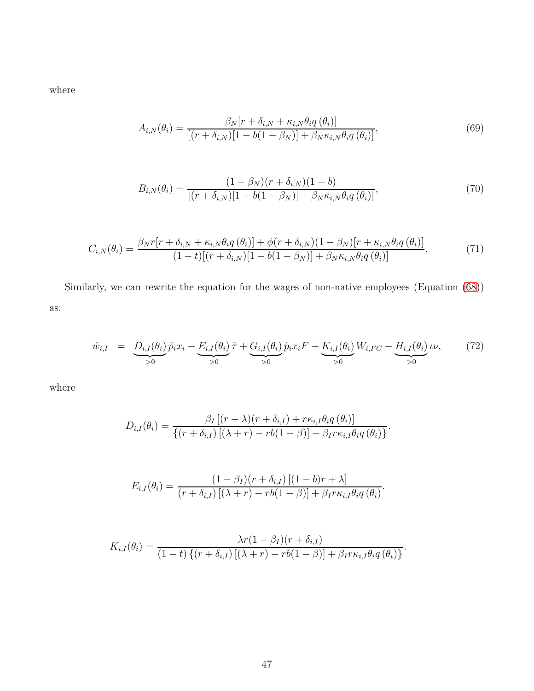where

$$
A_{i,N}(\theta_i) = \frac{\beta_N[r + \delta_{i,N} + \kappa_{i,N}\theta_i q(\theta_i)]}{[(r + \delta_{i,N})[1 - b(1 - \beta_N)] + \beta_N\kappa_{i,N}\theta_i q(\theta_i)]},
$$
(69)

$$
B_{i,N}(\theta_i) = \frac{(1 - \beta_N)(r + \delta_{i,N})(1 - b)}{[(r + \delta_{i,N})[1 - b(1 - \beta_N)] + \beta_N \kappa_{i,N} \theta_i q(\theta_i)]},
$$
(70)

$$
C_{i,N}(\theta_i) = \frac{\beta_N r [r + \delta_{i,N} + \kappa_{i,N} \theta_i q(\theta_i)] + \phi(r + \delta_{i,N})(1 - \beta_N)[r + \kappa_{i,N} \theta_i q(\theta_i)]}{(1 - t)[(r + \delta_{i,N})[1 - b(1 - \beta_N)] + \beta_N \kappa_{i,N} \theta_i q(\theta_i)]}.
$$
(71)

Similarly, we can rewrite the equation for the wages of non-native employees (Equation [\(68\)](#page-45-1)) as:

$$
\tilde{w}_{i,I} = \underbrace{D_{i,I}(\theta_i)}_{>0} \tilde{p}_i x_i - \underbrace{E_{i,I}(\theta_i)}_{>0} \tilde{\tau} + \underbrace{G_{i,I}(\theta_i)}_{>0} \tilde{p}_i x_i F + \underbrace{K_{i,I}(\theta_i)}_{>0} W_{i,FC} - \underbrace{H_{i,I}(\theta_i)}_{>0} \iota \nu,
$$
\n(72)

where

$$
D_{i,I}(\theta_i) = \frac{\beta_I \left[ (r + \lambda)(r + \delta_{i,I}) + r\kappa_{i,I}\theta_i q\left(\theta_i\right) \right]}{\left\{ (r + \delta_{i,I}) \left[ (\lambda + r) - rb(1 - \beta) \right] + \beta_I r\kappa_{i,I}\theta_i q\left(\theta_i\right) \right\}}.
$$

$$
E_{i,I}(\theta_i) = \frac{(1-\beta_I)(r+\delta_{i,I})[(1-b)r+\lambda]}{(r+\delta_{i,I})[(\lambda+r)-rb(1-\beta)]+\beta_I r\kappa_{i,I}\theta_i q(\theta_i)}.
$$

$$
K_{i,I}(\theta_i) = \frac{\lambda r(1-\beta_I)(r+\delta_{i,I})}{(1-t)\left\{(r+\delta_{i,I})\left[(\lambda+r)-rb(1-\beta)\right]+\beta_I r \kappa_{i,I} \theta_i q(\theta_i)\right\}}.
$$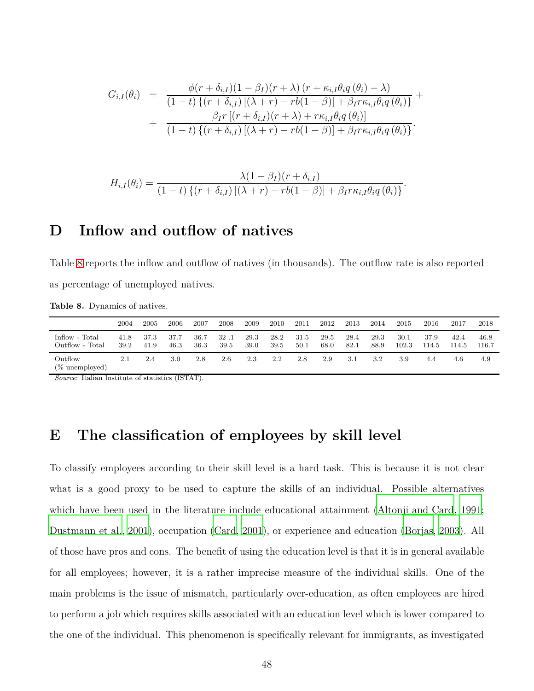$$
G_{i,I}(\theta_i) = \frac{\phi(r+\delta_{i,I})(1-\beta_I)(r+\lambda) (r+\kappa_{i,I}\theta_i q(\theta_i)-\lambda)}{(1-t) \{(r+\delta_{i,I})[(\lambda+r)-rb(1-\beta)]+\beta_I r\kappa_{i,I}\theta_i q(\theta_i)\}} + \frac{\beta_I r [(r+\delta_{i,I})(r+\lambda)+r\kappa_{i,I}\theta_i q(\theta_i)]}{(1-t) \{(r+\delta_{i,I})[(\lambda+r)-rb(1-\beta)]+\beta_I r\kappa_{i,I}\theta_i q(\theta_i)\}}.
$$

$$
H_{i,I}(\theta_i) = \frac{\lambda(1-\beta_I)(r+\delta_{i,I})}{(1-t)\left\{(r+\delta_{i,I})\left[(\lambda+r)-rb(1-\beta)\right]+\beta_I r \kappa_{i,I} \theta_i q\left(\theta_i\right)\right\}}
$$

*.*

## **D Inflow and outflow of natives**

Table [8](#page-47-0) reports the inflow and outflow of natives (in thousands). The outflow rate is also reported as percentage of unemployed natives.

<span id="page-47-0"></span>**Table 8.** Dynamics of natives.

|                           | 2004 | 2005 | 2006 | 2007 | 2008 | 2009 | 2010 | 2011 | 2012 | 2013 | 2014 | 2015  | 2016  | 2017  | 2018  |
|---------------------------|------|------|------|------|------|------|------|------|------|------|------|-------|-------|-------|-------|
| Inflow - Total            | 41.8 | 37.3 | 37.7 | 36.7 | 32.1 | 29.3 | 28.2 | 31.5 | 29.5 | 28.4 | 29.3 | 30.1  | 37.9  | 42.4  | 46.8  |
| Outflow - Total           | 39.2 | 41.9 | 46.3 | 36.3 | 39.5 | 39.0 | 39.5 | 50.1 | 68.0 | 82.1 | 88.9 | 102.3 | 114.5 | 114.5 | 116.7 |
| Outflow<br>(% unemployed) | 2.1  | 2.4  | 3.0  | 2.8  | 2.6  | 2.3  | 2.2  | 2.8  | 2.9  | 3.1  | 3.2  | 3.9   | 4.4   | 4.6   | 4.9   |

*Source*: Italian Institute of statistics (ISTAT).

### **E The classification of employees by skill level**

To classify employees according to their skill level is a hard task. This is because it is not clear what is a good proxy to be used to capture the skills of an individual. Possible alternatives which have been used in the literature include educational attainment [\(Altonji and Card, 1991](#page-79-1); [Dustmann et al., 2001](#page-81-0)), occupation [\(Card, 2001](#page-80-0)), or experience and education [\(Borjas, 2003](#page-80-1)). All of those have pros and cons. The benefit of using the education level is that it is in general available for all employees; however, it is a rather imprecise measure of the individual skills. One of the main problems is the issue of mismatch, particularly over-education, as often employees are hired to perform a job which requires skills associated with an education level which is lower compared to the one of the individual. This phenomenon is specifically relevant for immigrants, as investigated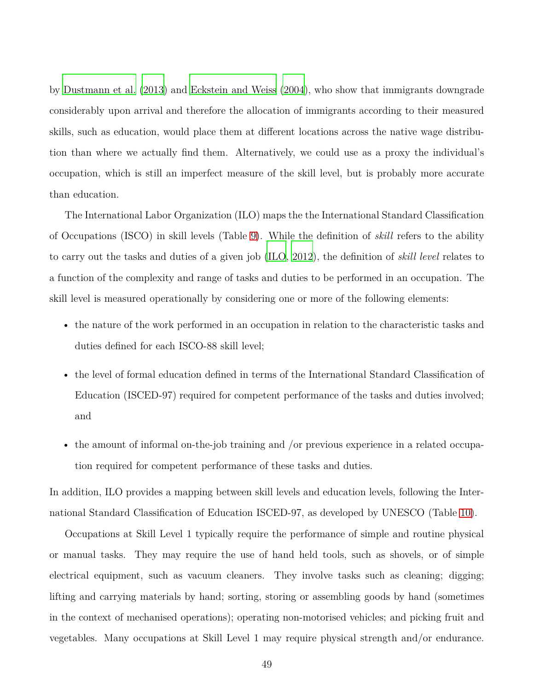by [Dustmann et al. \(2013\)](#page-81-1) and [Eckstein and Weiss \(2004\)](#page-81-2), who show that immigrants downgrade considerably upon arrival and therefore the allocation of immigrants according to their measured skills, such as education, would place them at different locations across the native wage distribution than where we actually find them. Alternatively, we could use as a proxy the individual's occupation, which is still an imperfect measure of the skill level, but is probably more accurate than education.

The International Labor Organization (ILO) maps the the International Standard Classification of Occupations (ISCO) in skill levels (Table [9\)](#page-49-0). While the definition of *skill* refers to the ability to carry out the tasks and duties of a given job [\(ILO](#page-82-0), [2012\)](#page-82-0), the definition of *skill level* relates to a function of the complexity and range of tasks and duties to be performed in an occupation. The skill level is measured operationally by considering one or more of the following elements:

- the nature of the work performed in an occupation in relation to the characteristic tasks and duties defined for each ISCO-88 skill level;
- the level of formal education defined in terms of the International Standard Classification of Education (ISCED-97) required for competent performance of the tasks and duties involved; and
- the amount of informal on-the-job training and /or previous experience in a related occupation required for competent performance of these tasks and duties.

In addition, ILO provides a mapping between skill levels and education levels, following the International Standard Classification of Education ISCED-97, as developed by UNESCO (Table [10\)](#page-50-0).

Occupations at Skill Level 1 typically require the performance of simple and routine physical or manual tasks. They may require the use of hand held tools, such as shovels, or of simple electrical equipment, such as vacuum cleaners. They involve tasks such as cleaning; digging; lifting and carrying materials by hand; sorting, storing or assembling goods by hand (sometimes in the context of mechanised operations); operating non-motorised vehicles; and picking fruit and vegetables. Many occupations at Skill Level 1 may require physical strength and/or endurance.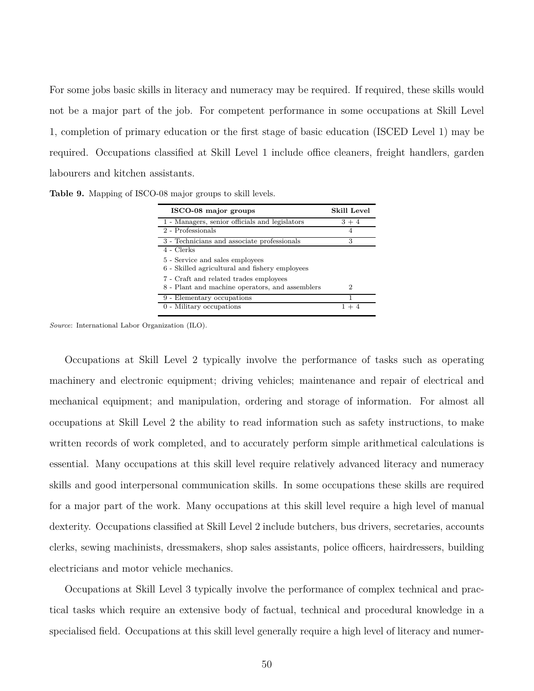For some jobs basic skills in literacy and numeracy may be required. If required, these skills would not be a major part of the job. For competent performance in some occupations at Skill Level 1, completion of primary education or the first stage of basic education (ISCED Level 1) may be required. Occupations classified at Skill Level 1 include office cleaners, freight handlers, garden labourers and kitchen assistants.

<span id="page-49-0"></span>**Table 9.** Mapping of ISCO-08 major groups to skill levels.

| ISCO-08 major groups                            | <b>Skill Level</b> |
|-------------------------------------------------|--------------------|
| 1 - Managers, senior officials and legislators  | $3 + 4$            |
| 2 - Professionals                               | 4                  |
| 3 - Technicians and associate professionals     | 3                  |
| 4 - Clerks                                      |                    |
| 5 - Service and sales employees                 |                    |
| 6 - Skilled agricultural and fishery employees  |                    |
| 7 - Craft and related trades employees          |                    |
| 8 - Plant and machine operators, and assemblers | 2                  |
| 9 - Elementary occupations                      |                    |
| 0 - Military occupations                        |                    |

*Source*: International Labor Organization (ILO).

Occupations at Skill Level 2 typically involve the performance of tasks such as operating machinery and electronic equipment; driving vehicles; maintenance and repair of electrical and mechanical equipment; and manipulation, ordering and storage of information. For almost all occupations at Skill Level 2 the ability to read information such as safety instructions, to make written records of work completed, and to accurately perform simple arithmetical calculations is essential. Many occupations at this skill level require relatively advanced literacy and numeracy skills and good interpersonal communication skills. In some occupations these skills are required for a major part of the work. Many occupations at this skill level require a high level of manual dexterity. Occupations classified at Skill Level 2 include butchers, bus drivers, secretaries, accounts clerks, sewing machinists, dressmakers, shop sales assistants, police officers, hairdressers, building electricians and motor vehicle mechanics.

Occupations at Skill Level 3 typically involve the performance of complex technical and practical tasks which require an extensive body of factual, technical and procedural knowledge in a specialised field. Occupations at this skill level generally require a high level of literacy and numer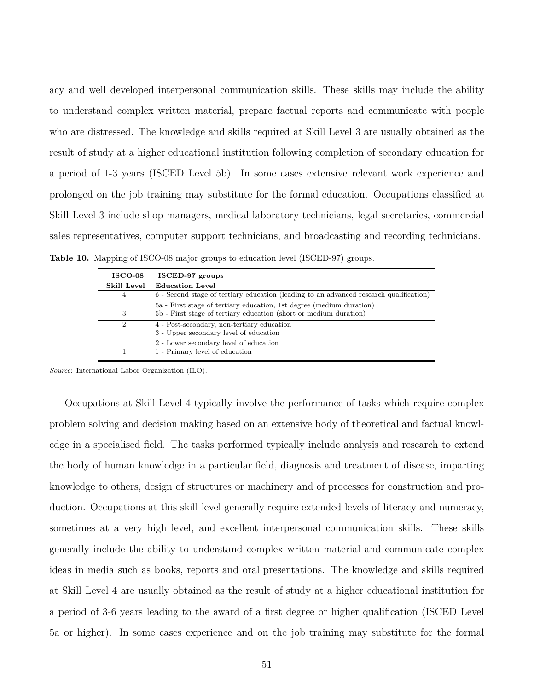acy and well developed interpersonal communication skills. These skills may include the ability to understand complex written material, prepare factual reports and communicate with people who are distressed. The knowledge and skills required at Skill Level 3 are usually obtained as the result of study at a higher educational institution following completion of secondary education for a period of 1-3 years (ISCED Level 5b). In some cases extensive relevant work experience and prolonged on the job training may substitute for the formal education. Occupations classified at Skill Level 3 include shop managers, medical laboratory technicians, legal secretaries, commercial sales representatives, computer support technicians, and broadcasting and recording technicians. **Table 10.** Mapping of ISCO-08 major groups to education level (ISCED-97) groups.

<span id="page-50-0"></span>

| <b>ISCO-08</b> | ISCED-97 groups                                                                        |
|----------------|----------------------------------------------------------------------------------------|
| Skill Level    | <b>Education Level</b>                                                                 |
| 4              | 6 - Second stage of tertiary education (leading to an advanced research qualification) |
|                | 5a - First stage of tertiary education, 1st degree (medium duration)                   |
| 3              | 5b - First stage of tertiary education (short or medium duration)                      |
| 2              | 4 - Post-secondary, non-tertiary education                                             |
|                | 3 - Upper secondary level of education                                                 |
|                | 2 - Lower secondary level of education                                                 |
|                | 1 - Primary level of education                                                         |
|                |                                                                                        |

*Source*: International Labor Organization (ILO).

Occupations at Skill Level 4 typically involve the performance of tasks which require complex problem solving and decision making based on an extensive body of theoretical and factual knowledge in a specialised field. The tasks performed typically include analysis and research to extend the body of human knowledge in a particular field, diagnosis and treatment of disease, imparting knowledge to others, design of structures or machinery and of processes for construction and production. Occupations at this skill level generally require extended levels of literacy and numeracy, sometimes at a very high level, and excellent interpersonal communication skills. These skills generally include the ability to understand complex written material and communicate complex ideas in media such as books, reports and oral presentations. The knowledge and skills required at Skill Level 4 are usually obtained as the result of study at a higher educational institution for a period of 3-6 years leading to the award of a first degree or higher qualification (ISCED Level 5a or higher). In some cases experience and on the job training may substitute for the formal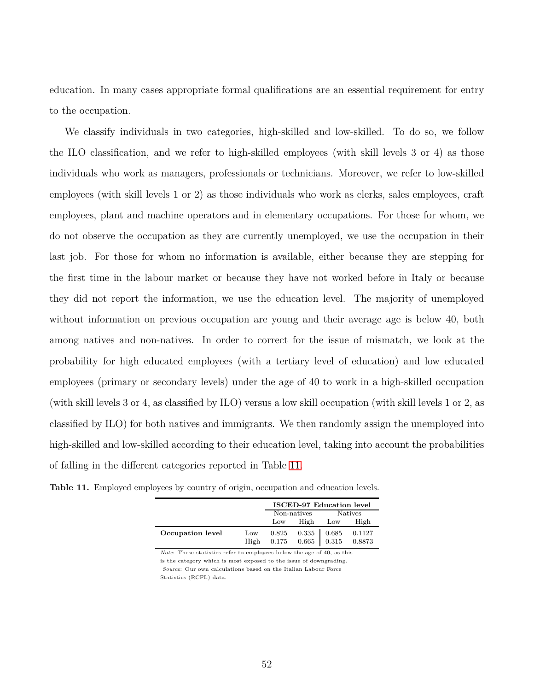education. In many cases appropriate formal qualifications are an essential requirement for entry to the occupation.

We classify individuals in two categories, high-skilled and low-skilled. To do so, we follow the ILO classification, and we refer to high-skilled employees (with skill levels 3 or 4) as those individuals who work as managers, professionals or technicians. Moreover, we refer to low-skilled employees (with skill levels 1 or 2) as those individuals who work as clerks, sales employees, craft employees, plant and machine operators and in elementary occupations. For those for whom, we do not observe the occupation as they are currently unemployed, we use the occupation in their last job. For those for whom no information is available, either because they are stepping for the first time in the labour market or because they have not worked before in Italy or because they did not report the information, we use the education level. The majority of unemployed without information on previous occupation are young and their average age is below 40, both among natives and non-natives. In order to correct for the issue of mismatch, we look at the probability for high educated employees (with a tertiary level of education) and low educated employees (primary or secondary levels) under the age of 40 to work in a high-skilled occupation (with skill levels 3 or 4, as classified by ILO) versus a low skill occupation (with skill levels 1 or 2, as classified by ILO) for both natives and immigrants. We then randomly assign the unemployed into high-skilled and low-skilled according to their education level, taking into account the probabilities of falling in the different categories reported in Table [11.](#page-51-0)

<span id="page-51-0"></span>

|  |  |  |  |  |  |  |  | Table 11. Employed employees by country of origin, occupation and education levels. |  |  |  |  |
|--|--|--|--|--|--|--|--|-------------------------------------------------------------------------------------|--|--|--|--|
|--|--|--|--|--|--|--|--|-------------------------------------------------------------------------------------|--|--|--|--|

|                  |             | <b>ISCED-97 Education level</b> |         |                                    |                  |  |  |
|------------------|-------------|---------------------------------|---------|------------------------------------|------------------|--|--|
|                  |             | Non-natives<br><b>Natives</b>   |         |                                    |                  |  |  |
|                  |             | Low                             | High    | Low                                | High             |  |  |
| Occupation level | Low<br>High | 0.825                           | $0.335$ | 0.685<br>$0.175$ $0.665$   $0.315$ | 0.1127<br>0.8873 |  |  |

*Note*: These statistics refer to employees below the age of 40, as this is the category which is most exposed to the issue of downgrading. *Source*: Our own calculations based on the Italian Labour Force Statistics (RCFL) data.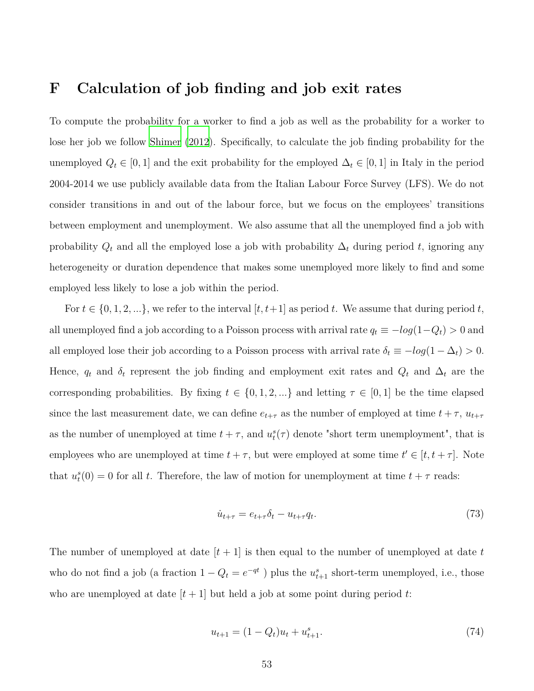#### <span id="page-52-2"></span>**F Calculation of job finding and job exit rates**

To compute the probability for a worker to find a job as well as the probability for a worker to lose her job we follow [Shimer \(2012\)](#page-84-0). Specifically, to calculate the job finding probability for the unemployed  $Q_t \in [0,1]$  and the exit probability for the employed  $\Delta_t \in [0,1]$  in Italy in the period 2004-2014 we use publicly available data from the Italian Labour Force Survey (LFS). We do not consider transitions in and out of the labour force, but we focus on the employees' transitions between employment and unemployment. We also assume that all the unemployed find a job with probability  $Q_t$  and all the employed lose a job with probability  $\Delta_t$  during period *t*, ignoring any heterogeneity or duration dependence that makes some unemployed more likely to find and some employed less likely to lose a job within the period.

For  $t \in \{0, 1, 2, \ldots\}$ , we refer to the interval  $[t, t+1]$  as period t. We assume that during period t, all unemployed find a job according to a Poisson process with arrival rate  $q_t \equiv -log(1-Q_t) > 0$  and all employed lose their job according to a Poisson process with arrival rate  $\delta_t \equiv -log(1 - \Delta_t) > 0$ . Hence,  $q_t$  and  $\delta_t$  represent the job finding and employment exit rates and  $Q_t$  and  $\Delta_t$  are the corresponding probabilities. By fixing  $t \in \{0, 1, 2, \ldots\}$  and letting  $\tau \in [0, 1]$  be the time elapsed since the last measurement date, we can define  $e_{t+\tau}$  as the number of employed at time  $t + \tau$ ,  $u_{t+\tau}$ as the number of unemployed at time  $t + \tau$ , and  $u_t^s(\tau)$  denote "short term unemployment", that is employees who are unemployed at time  $t + \tau$ , but were employed at some time  $t' \in [t, t + \tau]$ . Note that  $u_t^s(0) = 0$  for all *t*. Therefore, the law of motion for unemployment at time  $t + \tau$  reads:

<span id="page-52-1"></span>
$$
\dot{u}_{t+\tau} = e_{t+\tau}\delta_t - u_{t+\tau}q_t. \tag{73}
$$

The number of unemployed at date  $[t + 1]$  is then equal to the number of unemployed at date  $t$ who do not find a job (a fraction  $1 - Q_t = e^{-qt}$ ) plus the  $u_{t+1}^s$  short-term unemployed, i.e., those who are unemployed at date  $[t+1]$  but held a job at some point during period t:

<span id="page-52-0"></span>
$$
u_{t+1} = (1 - Q_t)u_t + u_{t+1}^s.
$$
\n<sup>(74)</sup>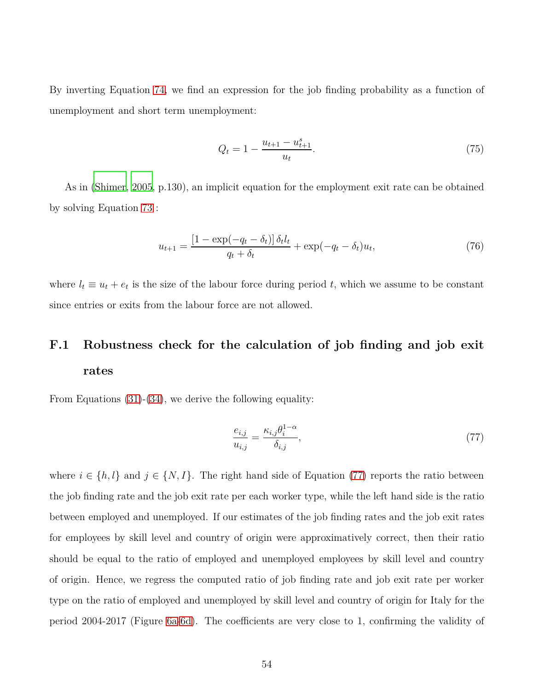By inverting Equation [74,](#page-52-0) we find an expression for the job finding probability as a function of unemployment and short term unemployment:

$$
Q_t = 1 - \frac{u_{t+1} - u_{t+1}^s}{u_t}.
$$
\n(75)

As in [\(Shimer](#page-84-1), [2005,](#page-84-1) p.130), an implicit equation for the employment exit rate can be obtained by solving Equation [73](#page-52-1) :

$$
u_{t+1} = \frac{\left[1 - \exp(-q_t - \delta_t)\right] \delta_t l_t}{q_t + \delta_t} + \exp(-q_t - \delta_t) u_t,\tag{76}
$$

where  $l_t \equiv u_t + e_t$  is the size of the labour force during period t, which we assume to be constant since entries or exits from the labour force are not allowed.

## **F.1 Robustness check for the calculation of job finding and job exit rates**

From Equations [\(31\)](#page-17-0)-[\(34\)](#page-17-1), we derive the following equality:

<span id="page-53-0"></span>
$$
\frac{e_{i,j}}{u_{i,j}} = \frac{\kappa_{i,j}\theta_i^{1-\alpha}}{\delta_{i,j}},\tag{77}
$$

where  $i \in \{h, l\}$  and  $j \in \{N, I\}$ . The right hand side of Equation [\(77\)](#page-53-0) reports the ratio between the job finding rate and the job exit rate per each worker type, while the left hand side is the ratio between employed and unemployed. If our estimates of the job finding rates and the job exit rates for employees by skill level and country of origin were approximatively correct, then their ratio should be equal to the ratio of employed and unemployed employees by skill level and country of origin. Hence, we regress the computed ratio of job finding rate and job exit rate per worker type on the ratio of employed and unemployed by skill level and country of origin for Italy for the period 2004-2017 (Figure [6a-6d\)](#page-54-0). The coefficients are very close to 1, confirming the validity of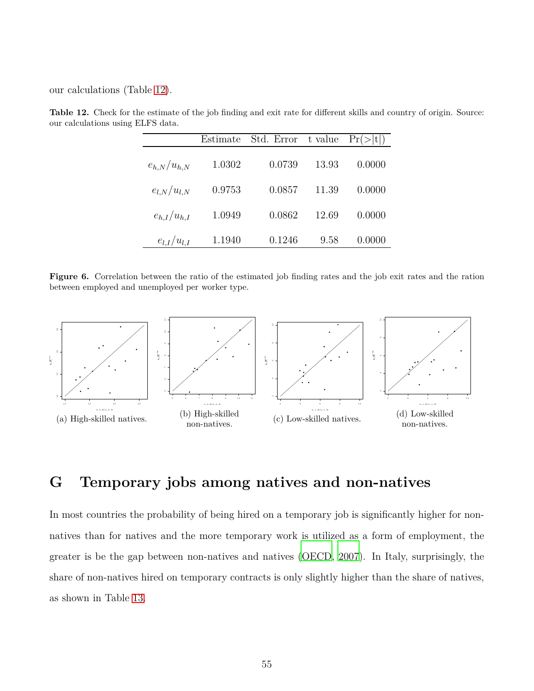<span id="page-54-1"></span>our calculations (Table [12\)](#page-54-1).

|                   | Estimate | Std. Error | t value | Pr(> t ) |
|-------------------|----------|------------|---------|----------|
| $e_{h,N}/u_{h,N}$ | 1.0302   | 0.0739     | 13.93   | 0.0000   |
| $e_{l,N}/u_{l,N}$ | 0.9753   | 0.0857     | 11.39   | 0.0000   |
| $e_{h,I}/u_{h,I}$ | 1.0949   | 0.0862     | 12.69   | 0.0000   |
| $e_{l,I}/u_{l,I}$ | 1.1940   | 0.1246     | 9.58    | 0.0000   |

**Table 12.** Check for the estimate of the job finding and exit rate for different skills and country of origin. Source: our calculations using ELFS data.

<span id="page-54-0"></span>**Figure 6.** Correlation between the ratio of the estimated job finding rates and the job exit rates and the ration between employed and unemployed per worker type.



## **G Temporary jobs among natives and non-natives**

In most countries the probability of being hired on a temporary job is significantly higher for nonnatives than for natives and the more temporary work is utilized as a form of employment, the greater is be the gap between non-natives and natives [\(OECD,](#page-84-2) [2007\)](#page-84-2). In Italy, surprisingly, the share of non-natives hired on temporary contracts is only slightly higher than the share of natives, as shown in Table [13.](#page-55-0)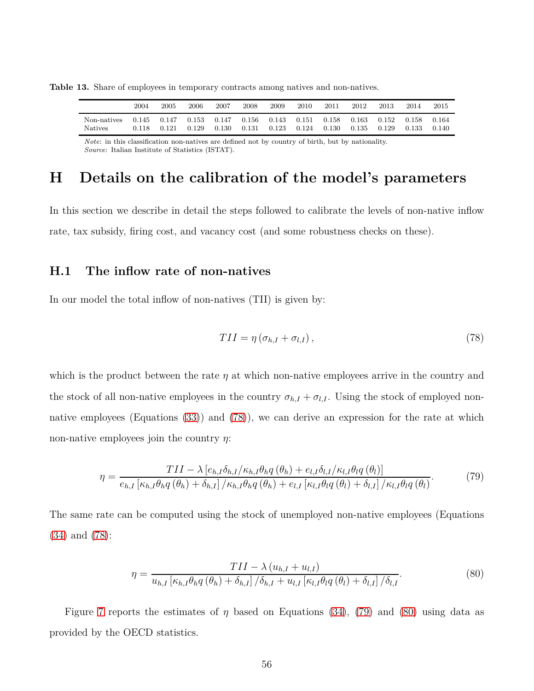<span id="page-55-0"></span>**Table 13.** Share of employees in temporary contracts among natives and non-natives.

|                | 2004  | 2005  | 2006  | 2007  | 2008      | 2009  | 2010  | 2011  | 2012  | 2013  | 2014  | 2015  |
|----------------|-------|-------|-------|-------|-----------|-------|-------|-------|-------|-------|-------|-------|
| Non-natives    | 0.145 | 0.147 | 0.153 | 0.147 | $0.156\,$ | 0.143 | 0.151 | 0.158 | 0.163 | 0.152 | 0.158 | 0.164 |
| <b>Natives</b> | 0.118 | 0.121 | 0.129 | 0.130 | 0.131     | 0.123 | 0.124 | 0.130 | 0.135 | 0.129 | 0.133 | 0.140 |

*Note*: in this classification non-natives are defined not by country of birth, but by nationality. *Source*: Italian Institute of Statistics (ISTAT).

### **H Details on the calibration of the model's parameters**

In this section we describe in detail the steps followed to calibrate the levels of non-native inflow rate, tax subsidy, firing cost, and vacancy cost (and some robustness checks on these).

#### **H.1 The inflow rate of non-natives**

In our model the total inflow of non-natives (TII) is given by:

<span id="page-55-2"></span><span id="page-55-1"></span>
$$
TII = \eta \left( \sigma_{h,I} + \sigma_{l,I} \right), \tag{78}
$$

which is the product between the rate *η* at which non-native employees arrive in the country and the stock of all non-native employees in the country  $\sigma_{h,I} + \sigma_{l,I}$ . Using the stock of employed nonnative employees (Equations [\(33\)](#page-17-1)) and [\(78\)](#page-55-1)), we can derive an expression for the rate at which non-native employees join the country *η*:

$$
\eta = \frac{TII - \lambda \left[ e_{h,I} \delta_{h,I} / \kappa_{h,I} \theta_h q \left( \theta_h \right) + e_{l,I} \delta_{l,I} / \kappa_{l,I} \theta_l q \left( \theta_l \right) \right]}{e_{h,I} \left[ \kappa_{h,I} \theta_h q \left( \theta_h \right) + \delta_{h,I} \right] / \kappa_{h,I} \theta_h q \left( \theta_h \right) + e_{l,I} \left[ \kappa_{l,I} \theta_l q \left( \theta_l \right) + \delta_{l,I} \right] / \kappa_{l,I} \theta_l q \left( \theta_l \right)}.
$$
(79)

The same rate can be computed using the stock of unemployed non-native employees (Equations [\(34\)](#page-17-1) and [\(78\)](#page-55-1):

<span id="page-55-3"></span>
$$
\eta = \frac{TII - \lambda (u_{h,I} + u_{l,I})}{u_{h,I} \left[\kappa_{h,I} \theta_h q\left(\theta_h\right) + \delta_{h,I}\right] / \delta_{h,I} + u_{l,I} \left[\kappa_{l,I} \theta_l q\left(\theta_l\right) + \delta_{l,I}\right] / \delta_{l,I}}.
$$
\n
$$
(80)
$$

Figure [7](#page-56-0) reports the estimates of *η* based on Equations [\(34\)](#page-17-1), [\(79\)](#page-55-2) and [\(80\)](#page-55-3) using data as provided by the OECD statistics.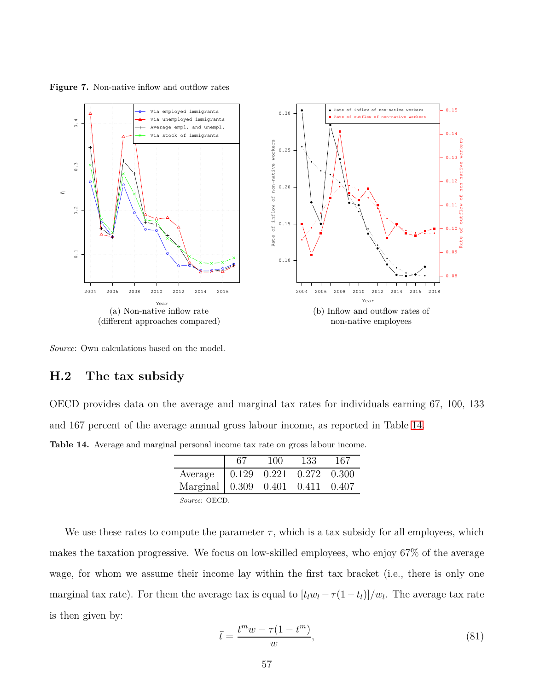<span id="page-56-0"></span>



*Source*: Own calculations based on the model.

#### **H.2 The tax subsidy**

OECD provides data on the average and marginal tax rates for individuals earning 67, 100, 133 and 167 percent of the average annual gross labour income, as reported in Table [14.](#page-56-1)

<span id="page-56-1"></span>**Table 14.** Average and marginal personal income tax rate on gross labour income.

|                                          | 100 | 133 | 167 |
|------------------------------------------|-----|-----|-----|
| Average   0.129 0.221 0.272 0.300        |     |     |     |
| Marginal   0.309   0.401   0.411   0.407 |     |     |     |
| <i>Source</i> : OECD.                    |     |     |     |

We use these rates to compute the parameter  $\tau$ , which is a tax subsidy for all employees, which makes the taxation progressive. We focus on low-skilled employees, who enjoy 67% of the average wage, for whom we assume their income lay within the first tax bracket (i.e., there is only one marginal tax rate). For them the average tax is equal to  $[t_l w_l - \tau(1 - t_l)]/w_l$ . The average tax rate is then given by:

<span id="page-56-2"></span>
$$
\bar{t} = \frac{t^m w - \tau (1 - t^m)}{w},\tag{81}
$$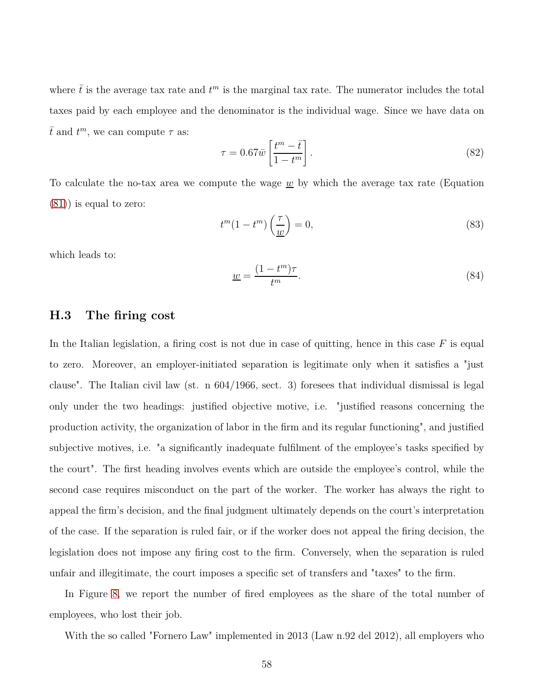where  $\bar{t}$  is the average tax rate and  $t^m$  is the marginal tax rate. The numerator includes the total taxes paid by each employee and the denominator is the individual wage. Since we have data on  $\bar{t}$  and  $t^m$ , we can compute  $\tau$  as:

$$
\tau = 0.67\bar{w} \left[ \frac{t^m - \bar{t}}{1 - t^m} \right].
$$
\n(82)

To calculate the no-tax area we compute the wage *w* by which the average tax rate (Equation [\(81\)](#page-56-2)) is equal to zero:

$$
t^{m}(1-t^{m})\left(\frac{\tau}{\underline{w}}\right) = 0,\t\t(83)
$$

which leads to:

$$
\underline{w} = \frac{(1 - t^m)\tau}{t^m}.\tag{84}
$$

#### **H.3 The firing cost**

In the Italian legislation, a firing cost is not due in case of quitting, hence in this case *F* is equal to zero. Moreover, an employer-initiated separation is legitimate only when it satisfies a "just clause". The Italian civil law (st. n 604/1966, sect. 3) foresees that individual dismissal is legal only under the two headings: justified objective motive, i.e. "justified reasons concerning the production activity, the organization of labor in the firm and its regular functioning", and justified subjective motives, i.e. "a significantly inadequate fulfilment of the employee's tasks specified by the court". The first heading involves events which are outside the employee's control, while the second case requires misconduct on the part of the worker. The worker has always the right to appeal the firm's decision, and the final judgment ultimately depends on the court's interpretation of the case. If the separation is ruled fair, or if the worker does not appeal the firing decision, the legislation does not impose any firing cost to the firm. Conversely, when the separation is ruled unfair and illegitimate, the court imposes a specific set of transfers and "taxes" to the firm.

In Figure [8,](#page-58-0) we report the number of fired employees as the share of the total number of employees, who lost their job.

With the so called "Fornero Law" implemented in 2013 (Law n.92 del 2012), all employers who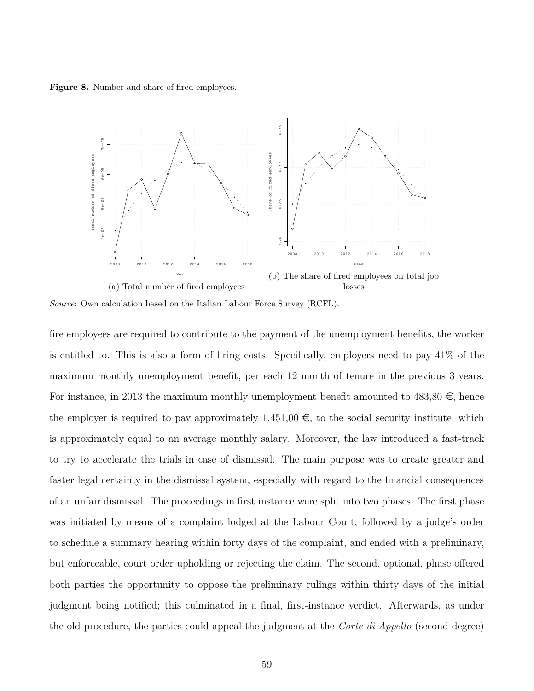<span id="page-58-0"></span>Figure 8. Number and share of fired employees.



*Source*: Own calculation based on the Italian Labour Force Survey (RCFL).

fire employees are required to contribute to the payment of the unemployment benefits, the worker is entitled to. This is also a form of firing costs. Specifically, employers need to pay 41% of the maximum monthly unemployment benefit, per each 12 month of tenure in the previous 3 years. For instance, in 2013 the maximum monthly unemployment benefit amounted to  $483,80 \in$ , hence the employer is required to pay approximately  $1.451,00 \in$ , to the social security institute, which is approximately equal to an average monthly salary. Moreover, the law introduced a fast-track to try to accelerate the trials in case of dismissal. The main purpose was to create greater and faster legal certainty in the dismissal system, especially with regard to the financial consequences of an unfair dismissal. The proceedings in first instance were split into two phases. The first phase was initiated by means of a complaint lodged at the Labour Court, followed by a judge's order to schedule a summary hearing within forty days of the complaint, and ended with a preliminary, but enforceable, court order upholding or rejecting the claim. The second, optional, phase offered both parties the opportunity to oppose the preliminary rulings within thirty days of the initial judgment being notified; this culminated in a final, first-instance verdict. Afterwards, as under the old procedure, the parties could appeal the judgment at the *Corte di Appello* (second degree)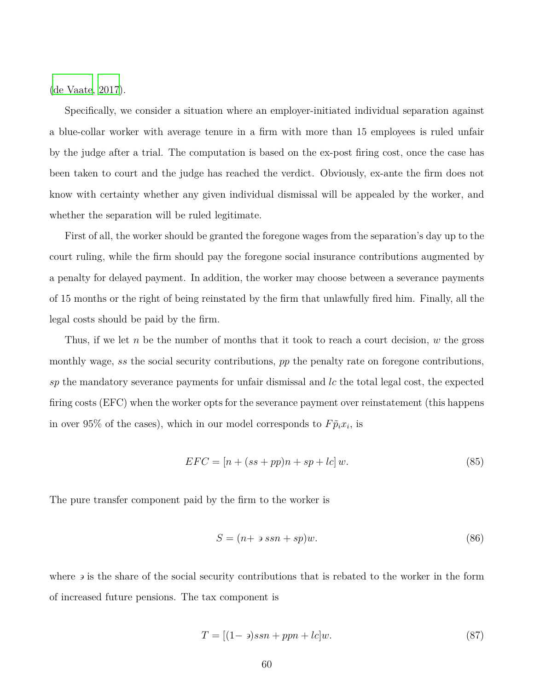[\(de Vaate](#page-80-2), [2017\)](#page-80-2).

Specifically, we consider a situation where an employer-initiated individual separation against a blue-collar worker with average tenure in a firm with more than 15 employees is ruled unfair by the judge after a trial. The computation is based on the ex-post firing cost, once the case has been taken to court and the judge has reached the verdict. Obviously, ex-ante the firm does not know with certainty whether any given individual dismissal will be appealed by the worker, and whether the separation will be ruled legitimate.

First of all, the worker should be granted the foregone wages from the separation's day up to the court ruling, while the firm should pay the foregone social insurance contributions augmented by a penalty for delayed payment. In addition, the worker may choose between a severance payments of 15 months or the right of being reinstated by the firm that unlawfully fired him. Finally, all the legal costs should be paid by the firm.

Thus, if we let *n* be the number of months that it took to reach a court decision, *w* the gross monthly wage, *ss* the social security contributions, *pp* the penalty rate on foregone contributions, *sp* the mandatory severance payments for unfair dismissal and *lc* the total legal cost, the expected firing costs (EFC) when the worker opts for the severance payment over reinstatement (this happens in over 95% of the cases), which in our model corresponds to  $F\tilde{p}_i x_i$ , is

$$
EFC = [n + (ss + pp)n + sp + lc]w.
$$
\n(85)

The pure transfer component paid by the firm to the worker is

*S* = (*n*+ *ssn* + *sp*)*w.* (86)

where  $\epsilon$  is the share of the social security contributions that is rebated to the worker in the form of increased future pensions. The tax component is

$$
T = [(1 - \varepsilon)ssn + ppn + lc]w.
$$
\n(87)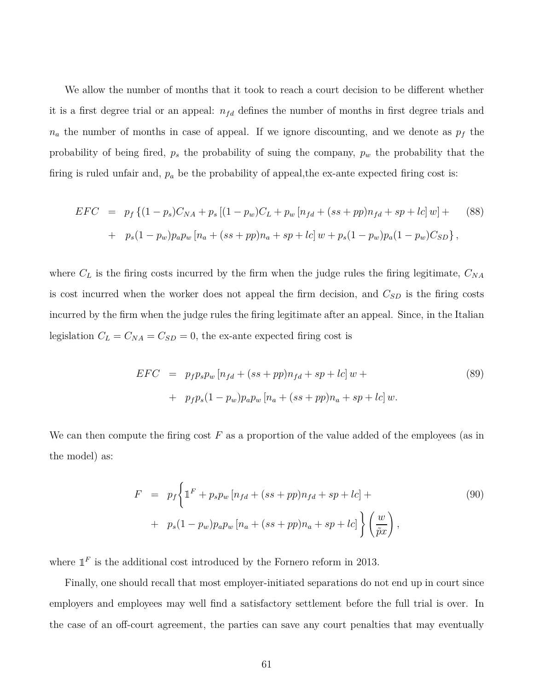We allow the number of months that it took to reach a court decision to be different whether it is a first degree trial or an appeal:  $n_{fd}$  defines the number of months in first degree trials and  $n_a$  the number of months in case of appeal. If we ignore discounting, and we denote as  $p_f$  the probability of being fired, *p<sup>s</sup>* the probability of suing the company, *p<sup>w</sup>* the probability that the firing is ruled unfair and, *p<sup>a</sup>* be the probability of appeal,the ex-ante expected firing cost is:

$$
EFC = p_f \{ (1 - p_s)C_{NA} + p_s [(1 - p_w)C_L + p_w [n_{fd} + (ss + pp)n_{fd} + sp + lc] w ] +
$$
  
+  $p_s (1 - p_w) p_a p_w [n_a + (ss + pp)n_a + sp + lc] w + p_s (1 - p_w) p_a (1 - p_w) C_{SD} \},$  (88)

where  $C_L$  is the firing costs incurred by the firm when the judge rules the firing legitimate,  $C_{NA}$ is cost incurred when the worker does not appeal the firm decision, and *CSD* is the firing costs incurred by the firm when the judge rules the firing legitimate after an appeal. Since, in the Italian legislation  $C_L = C_{NA} = C_{SD} = 0$ , the ex-ante expected firing cost is

$$
EFC = p_f p_s p_w [n_{fd} + (ss + pp)n_{fd} + sp + lc] w ++ p_f p_s (1 - p_w) p_a p_w [n_a + (ss + pp)n_a + sp + lc] w.
$$
\n(89)

We can then compute the firing cost F as a proportion of the value added of the employees (as in the model) as:

<span id="page-60-0"></span>
$$
F = p_f \left\{ \mathbb{1}^F + p_s p_w \left[ n_{fd} + (ss + pp)n_{fd} + sp + lc \right] + \right. \\
\left. + p_s (1 - p_w) p_a p_w \left[ n_a + (ss + pp)n_a + sp + lc \right] \right\} \left( \frac{w}{\tilde{p}x} \right),
$$
\n
$$
(90)
$$

where  $\mathbb{1}^F$  is the additional cost introduced by the Fornero reform in 2013.

Finally, one should recall that most employer-initiated separations do not end up in court since employers and employees may well find a satisfactory settlement before the full trial is over. In the case of an off-court agreement, the parties can save any court penalties that may eventually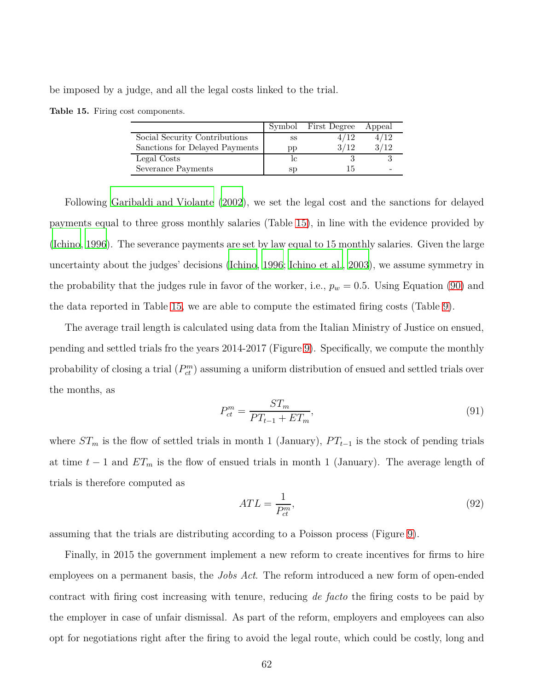<span id="page-61-0"></span>be imposed by a judge, and all the legal costs linked to the trial.

|  |  |  | Table 15. Firing cost components. |
|--|--|--|-----------------------------------|
|--|--|--|-----------------------------------|

|                                | Symbol      | First Degree | Appeal |
|--------------------------------|-------------|--------------|--------|
| Social Security Contributions  | SS          | '12          | /12    |
| Sanctions for Delayed Payments | pp          | 3/12         | /12    |
| Legal Costs                    |             |              |        |
| Severance Payments             | $_{\rm sp}$ |              |        |

Following [Garibaldi and Violante](#page-82-1) [\(2002](#page-82-1)), we set the legal cost and the sanctions for delayed payments equal to three gross monthly salaries (Table [15\)](#page-61-0), in line with the evidence provided by [\(Ichino](#page-82-2), [1996\)](#page-82-2). The severance payments are set by law equal to 15 monthly salaries. Given the large uncertainty about the judges' decisions [\(Ichino](#page-82-2), [1996;](#page-82-2) [Ichino et al., 2003\)](#page-82-3), we assume symmetry in the probability that the judges rule in favor of the worker, i.e.,  $p_w = 0.5$ . Using Equation [\(90\)](#page-60-0) and the data reported in Table [15,](#page-61-0) we are able to compute the estimated firing costs (Table [9\)](#page-62-0).

The average trail length is calculated using data from the Italian Ministry of Justice on ensued, pending and settled trials fro the years 2014-2017 (Figure [9\)](#page-62-0). Specifically, we compute the monthly probability of closing a trial  $(P_{ct}^m)$  assuming a uniform distribution of ensued and settled trials over the months, as

$$
P_{ct}^{m} = \frac{ST_m}{PT_{t-1} + ET_m},\tag{91}
$$

where  $ST_m$  is the flow of settled trials in month 1 (January),  $PT_{t-1}$  is the stock of pending trials at time  $t-1$  and  $ET_m$  is the flow of ensued trials in month 1 (January). The average length of trials is therefore computed as

$$
ATL = \frac{1}{P_{ct}^m},\tag{92}
$$

assuming that the trials are distributing according to a Poisson process (Figure [9\)](#page-62-0).

Finally, in 2015 the government implement a new reform to create incentives for firms to hire employees on a permanent basis, the *Jobs Act*. The reform introduced a new form of open-ended contract with firing cost increasing with tenure, reducing *de facto* the firing costs to be paid by the employer in case of unfair dismissal. As part of the reform, employers and employees can also opt for negotiations right after the firing to avoid the legal route, which could be costly, long and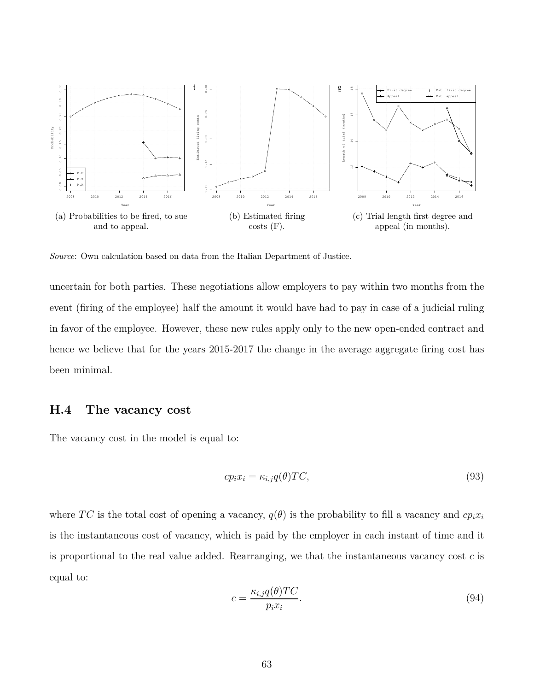<span id="page-62-0"></span>

*Source*: Own calculation based on data from the Italian Department of Justice.

uncertain for both parties. These negotiations allow employers to pay within two months from the event (firing of the employee) half the amount it would have had to pay in case of a judicial ruling in favor of the employee. However, these new rules apply only to the new open-ended contract and hence we believe that for the years 2015-2017 the change in the average aggregate firing cost has been minimal.

#### **H.4 The vacancy cost**

The vacancy cost in the model is equal to:

$$
cp_i x_i = \kappa_{i,j} q(\theta) T C,\tag{93}
$$

where *TC* is the total cost of opening a vacancy,  $q(\theta)$  is the probability to fill a vacancy and  $cp_i x_i$ is the instantaneous cost of vacancy, which is paid by the employer in each instant of time and it is proportional to the real value added. Rearranging, we that the instantaneous vacancy cost *c* is equal to:

$$
c = \frac{\kappa_{i,j} q(\theta) T C}{p_i x_i}.
$$
\n(94)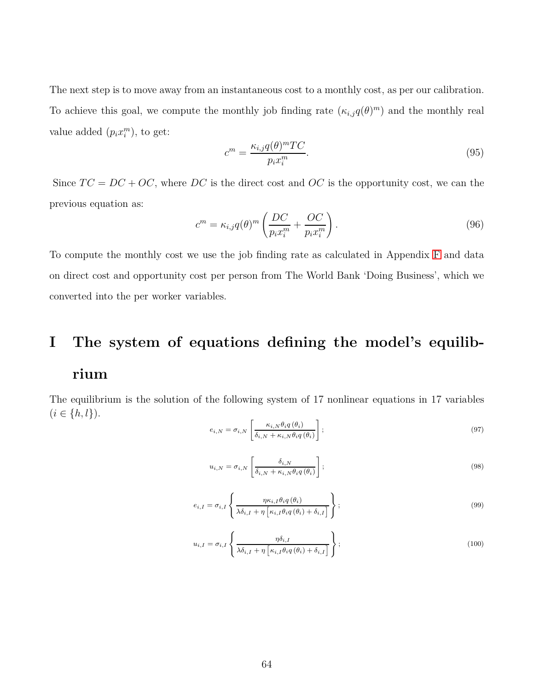The next step is to move away from an instantaneous cost to a monthly cost, as per our calibration. To achieve this goal, we compute the monthly job finding rate  $(\kappa_{i,j}q(\theta)^m)$  and the monthly real value added  $(p_i x_i^m)$ , to get:

$$
c^m = \frac{\kappa_{i,j} q(\theta)^m T C}{p_i x_i^m}.
$$
\n(95)

Since  $TC = DC + OC$ , where  $DC$  is the direct cost and  $OC$  is the opportunity cost, we can the previous equation as:

$$
c^{m} = \kappa_{i,j} q(\theta)^{m} \left( \frac{DC}{p_i x_i^{m}} + \frac{OC}{p_i x_i^{m}} \right).
$$
\n(96)

To compute the monthly cost we use the job finding rate as calculated in Appendix [F](#page-52-2) and data on direct cost and opportunity cost per person from The World Bank 'Doing Business', which we converted into the per worker variables.

# **I The system of equations defining the model's equilibrium**

The equilibrium is the solution of the following system of 17 nonlinear equations in 17 variables  $(i \in \{h, l\}).$ 

$$
e_{i,N} = \sigma_{i,N} \left[ \frac{\kappa_{i,N} \theta_i q(\theta_i)}{\delta_{i,N} + \kappa_{i,N} \theta_i q(\theta_i)} \right];
$$
\n(97)

$$
u_{i,N} = \sigma_{i,N} \left[ \frac{\delta_{i,N}}{\delta_{i,N} + \kappa_{i,N} \theta_i q(\theta_i)} \right];
$$
\n(98)

$$
e_{i,I} = \sigma_{i,I} \left\{ \frac{\eta \kappa_{i,I} \theta_i q(\theta_i)}{\lambda \delta_{i,I} + \eta \left[ \kappa_{i,I} \theta_i q(\theta_i) + \delta_{i,I} \right]} \right\};
$$
\n(99)

$$
u_{i,I} = \sigma_{i,I} \left\{ \frac{\eta \delta_{i,I}}{\lambda \delta_{i,I} + \eta \left[ \kappa_{i,I} \theta_i q(\theta_i) + \delta_{i,I} \right]} \right\};
$$
\n(100)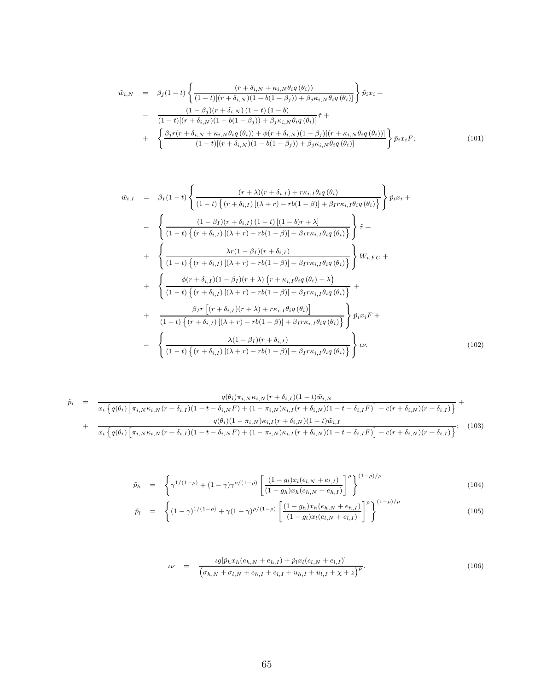$$
\tilde{w}_{i,N} = \beta_j (1-t) \left\{ \frac{(r + \delta_{i,N} + \kappa_{i,N} \theta_i q(\theta_i))}{(1-t)[(r + \delta_{i,N})(1 - b(1 - \beta_j)) + \beta_j \kappa_{i,N} \theta_i q(\theta_i)]} \right\} \tilde{p}_i x_i + \n- \frac{(1 - \beta_j)(r + \delta_{i,N})(1 - t)(1 - b)}{(1-t)[(r + \delta_{i,N})(1 - b(1 - \beta_j)) + \beta_j \kappa_{i,N} \theta_i q(\theta_i)]} \tilde{\tau} + \n+ \left\{ \frac{\beta_j r(r + \delta_{i,N} + \kappa_{i,N} \theta_i q(\theta_i)) + \phi(r + \delta_{i,N})(1 - \beta_j)[(r + \kappa_{i,N} \theta_i q(\theta_i))]}{(1-t)[(r + \delta_{i,N})(1 - b(1 - \beta_j)) + \beta_j \kappa_{i,N} \theta_i q(\theta_i)]} \right\} \tilde{p}_i x_i F; \n(101)
$$

$$
\tilde{w}_{i,I} = \beta_{I}(1-t) \left\{ \frac{(r+\lambda)(r+\delta_{i,I}) + r\kappa_{i,I}\theta_{i}q(\theta_{i})}{(1-t)\left\{ (r+\delta_{i,I})[(\lambda+r) - rb(1-\beta)] + \beta_{I}r\kappa_{i,I}\theta_{i}q(\theta_{i}) \right\}} \right\} \tilde{p}_{i}x_{i} +
$$
\n
$$
- \left\{ \frac{(1-\beta_{I})(r+\delta_{i,I})(1-t)[(1-b)r+\lambda]}{(1-t)\left\{ (r+\delta_{i,I})[(\lambda+r) - rb(1-\beta)] + \beta_{I}r\kappa_{i,I}\theta_{i}q(\theta_{i}) \right\}} \right\} \tilde{\tau} +
$$
\n
$$
+ \left\{ \frac{\lambda r(1-\beta_{I})(r+\delta_{i,I})}{(1-t)\left\{ (r+\delta_{i,I})[(\lambda+r) - rb(1-\beta)] + \beta_{I}r\kappa_{i,I}\theta_{i}q(\theta_{i}) \right\}} \right\} W_{i,FC} +
$$
\n
$$
+ \left\{ \frac{\phi(r+\delta_{i,I})(1-\beta_{I})(r+\lambda)(r+\kappa_{i,I}\theta_{i}q(\theta_{i})-\lambda)}{(1-t)\left\{ (r+\delta_{i,I})[(\lambda+r) - rb(1-\beta)] + \beta_{I}r\kappa_{i,I}\theta_{i}q(\theta_{i}) \right\}} +
$$
\n
$$
+ \frac{\beta_{I}r[(r+\delta_{i,I})(r+\lambda) + r\kappa_{i,I}\theta_{i}q(\theta_{i})]}{(1-t)\left\{ (r+\delta_{i,I})[(\lambda+r) - rb(1-\beta)] + \beta_{I}r\kappa_{i,I}\theta_{i}q(\theta_{i}) \right\}} \right\} \tilde{p}_{i}x_{i}F +
$$
\n
$$
- \left\{ \frac{\lambda(1-\beta_{I})(r+\delta_{i,I})}{(1-t)\left\{ (r+\delta_{i,I})[(\lambda+r) - rb(1-\beta)] + \beta_{I}r\kappa_{i,I}\theta_{i}q(\theta_{i}) \right\}} \right\} \omega.
$$
\n(102)

$$
\tilde{p}_{i} = \frac{q(\theta_{i})\pi_{i,N}\kappa_{i,N}(r+\delta_{i,I})(1-t)\tilde{w}_{i,N}}{x_{i}\left\{q(\theta_{i})\left[\pi_{i,N}\kappa_{i,N}(r+\delta_{i,I})(1-t-\delta_{i,N}F)+(1-\pi_{i,N})\kappa_{i,I}(r+\delta_{i,N})(1-t-\delta_{i,I}F)\right]-c(r+\delta_{i,N})(r+\delta_{i,I})\right\}} + \frac{q(\theta_{i})(1-\pi_{i,N})\kappa_{i,I}(r+\delta_{i,N})(1-t)\tilde{w}_{i,I}}{x_{i}\left\{q(\theta_{i})\left[\pi_{i,N}\kappa_{i,N}(r+\delta_{i,I})(1-t-\delta_{i,N}F)+(1-\pi_{i,N})\kappa_{i,I}(r+\delta_{i,N})(1-t-\delta_{i,I}F)\right]-c(r+\delta_{i,N})(r+\delta_{i,I})\right\}}; (103)
$$

$$
\tilde{p}_h = \left\{ \gamma^{1/(1-\rho)} + (1-\gamma)\gamma^{\rho/(1-\rho)} \left[ \frac{(1-g_l)x_l(e_{l,N} + e_{l,I})}{(1-g_h)x_h(e_{h,N} + e_{h,I})} \right]^\rho \right\}^{(1-\rho)/\rho}
$$
\n
$$
\tilde{p}_l = \left\{ (1-\gamma)^{1/(1-\rho)} + \gamma (1-\gamma)^{\rho/(1-\rho)} \left[ \frac{(1-g_h)x_h(e_{h,N} + e_{h,I})}{(1-g_l)x_l(e_{l,N} + e_{l,I})} \right]^\rho \right\}^{(1-\rho)/\rho}
$$
\n(105)

$$
\nu = \frac{\iota g[\tilde{p}_h x_h(e_{h,N} + e_{h,I}) + \tilde{p}_l x_l(e_{l,N} + e_{l,I})]}{\left(\sigma_{h,N} + \sigma_{l,N} + e_{h,I} + e_{l,I} + u_{h,I} + u_{l,I} + \chi + z\right)^{\rho}}.
$$
\n(106)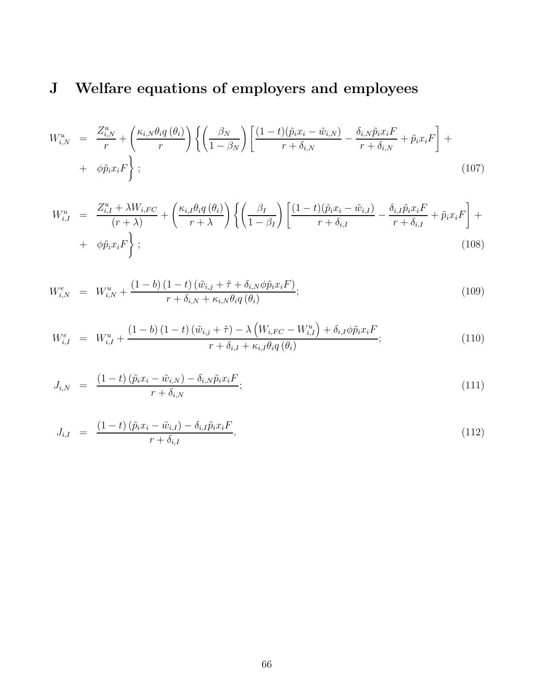## **J Welfare equations of employers and employees**

$$
W_{i,N}^{u} = \frac{Z_{i,N}^{u}}{r} + \left(\frac{\kappa_{i,N}\theta_i q\left(\theta_i\right)}{r}\right) \left\{ \left(\frac{\beta_N}{1-\beta_N}\right) \left[ \frac{(1-t)(\tilde{p}_i x_i - \tilde{w}_{i,N})}{r + \delta_{i,N}} - \frac{\delta_{i,N}\tilde{p}_i x_i F}{r + \delta_{i,N}} + \tilde{p}_i x_i F \right] + \phi \tilde{p}_i x_i F \right\};
$$
\n(107)

$$
W_{i,I}^{u} = \frac{Z_{i,I}^{u} + \lambda W_{i,FC}}{(r+\lambda)} + \left(\frac{\kappa_{i,I}\theta_{i}q(\theta_{i})}{r+\lambda}\right) \left\{ \left(\frac{\beta_{I}}{1-\beta_{I}}\right) \left[ \frac{(1-t)(\tilde{p}_{i}x_{i} - \tilde{w}_{i,I})}{r+\delta_{i,I}} - \frac{\delta_{i,I}\tilde{p}_{i}x_{i}F}{r+\delta_{i,I}} + \tilde{p}_{i}x_{i}F \right] + \phi\tilde{p}_{i}x_{i}F \right\};
$$
\n(108)

$$
W_{i,N}^{e} = W_{i,N}^{u} + \frac{(1-b)(1-t)(\tilde{w}_{i,j} + \tilde{\tau} + \delta_{i,N}\phi\tilde{p}_{i}x_{i}F)}{r + \delta_{i,N} + \kappa_{i,N}\theta_{i}q(\theta_{i})};
$$
\n(109)

$$
W_{i,I}^{e} = W_{i,I}^{u} + \frac{(1-b)(1-t)\left(\tilde{w}_{i,j} + \tilde{\tau}\right) - \lambda\left(W_{i,FC} - W_{i,I}^{u}\right) + \delta_{i,I}\phi\tilde{p}_{i}x_{i}F}{r + \delta_{i,I} + \kappa_{i,I}\theta_{i}q\left(\theta_{i}\right)};
$$
\n(110)

$$
J_{i,N} = \frac{(1-t)(\tilde{p}_ix_i - \tilde{w}_{i,N}) - \delta_{i,N}\tilde{p}_ix_iF}{r + \delta_{i,N}};
$$
\n(111)

$$
J_{i,I} = \frac{(1-t)\left(\tilde{p}_ix_i - \tilde{w}_{i,I}\right) - \delta_{i,I}\tilde{p}_ix_iF}{r + \delta_{i,I}}.
$$
\n(112)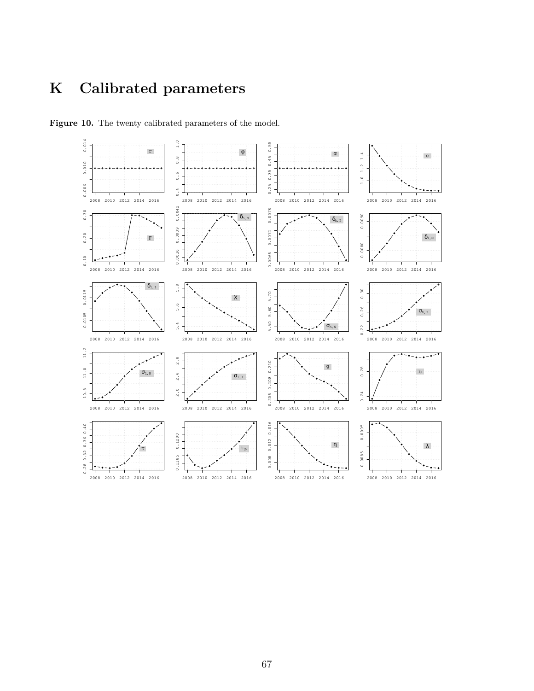## **K Calibrated parameters**



**Figure 10.** The twenty calibrated parameters of the model.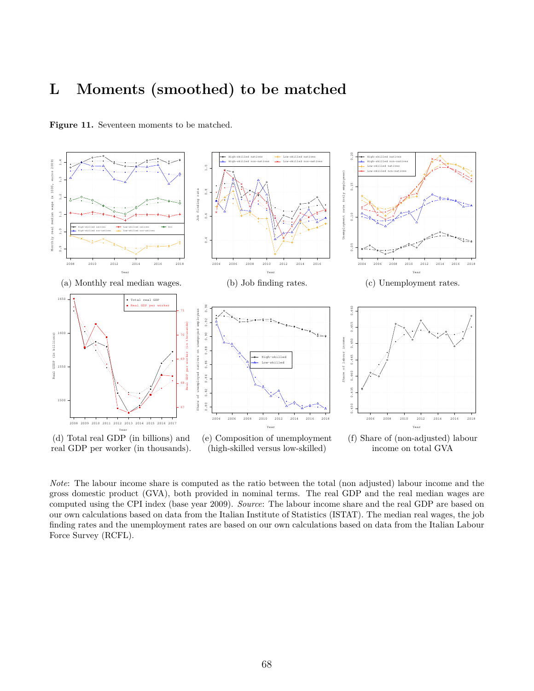## **L Moments (smoothed) to be matched**



Figure 11. Seventeen moments to be matched.

*Note*: The labour income share is computed as the ratio between the total (non adjusted) labour income and the gross domestic product (GVA), both provided in nominal terms. The real GDP and the real median wages are computed using the CPI index (base year 2009). *Source*: The labour income share and the real GDP are based on our own calculations based on data from the Italian Institute of Statistics (ISTAT). The median real wages, the job finding rates and the unemployment rates are based on our own calculations based on data from the Italian Labour Force Survey (RCFL).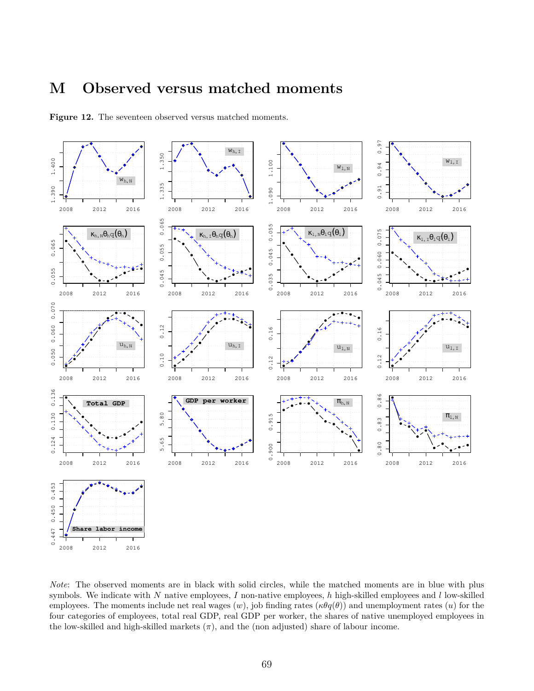## **M Observed versus matched moments**



**Figure 12.** The seventeen observed versus matched moments.

*Note*: The observed moments are in black with solid circles, while the matched moments are in blue with plus symbols. We indicate with *N* native employees, *I* non-native employees, *h* high-skilled employees and *l* low-skilled employees. The moments include net real wages  $(w)$ , job finding rates  $(\kappa \theta q(\theta))$  and unemployment rates  $(u)$  for the four categories of employees, total real GDP, real GDP per worker, the shares of native unemployed employees in the low-skilled and high-skilled markets  $(\pi)$ , and the (non adjusted) share of labour income.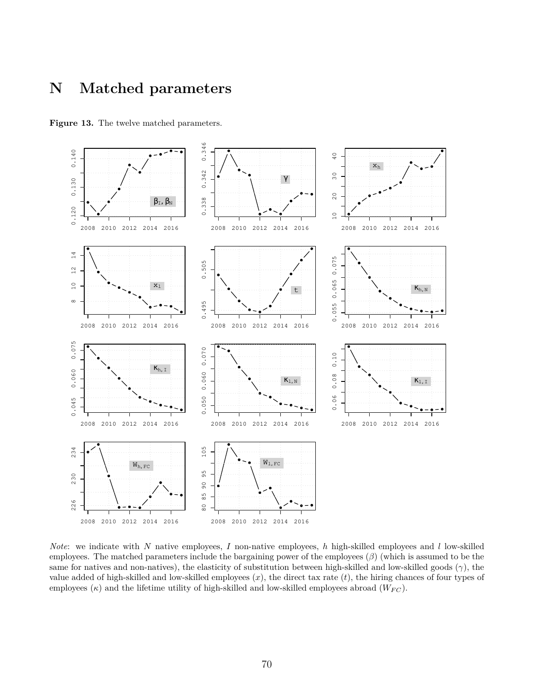## **N Matched parameters**



**Figure 13.** The twelve matched parameters.

*Note*: we indicate with *N* native employees, *I* non-native employees, *h* high-skilled employees and *l* low-skilled employees. The matched parameters include the bargaining power of the employees (*β*) (which is assumed to be the same for natives and non-natives), the elasticity of substitution between high-skilled and low-skilled goods (*γ*), the value added of high-skilled and low-skilled employees (*x*), the direct tax rate (*t*), the hiring chances of four types of employees  $(\kappa)$  and the lifetime utility of high-skilled and low-skilled employees abroad  $(W_{FC})$ .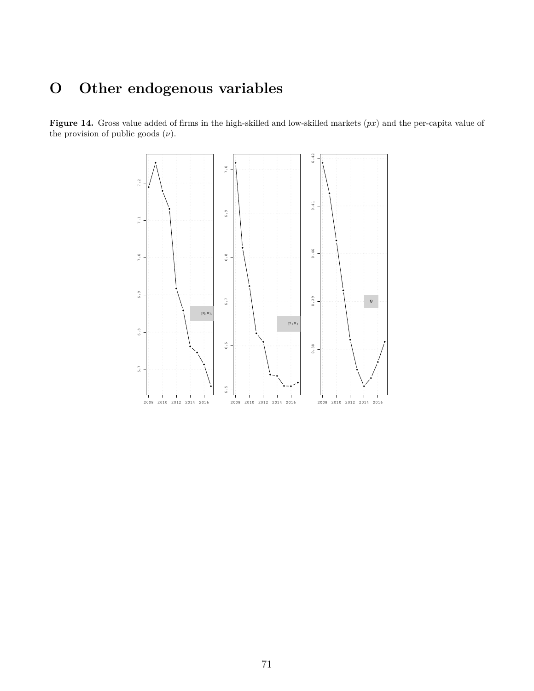## **O Other endogenous variables**

**Figure 14.** Gross value added of firms in the high-skilled and low-skilled markets (*px*) and the per-capita value of the provision of public goods  $(\nu)$ .

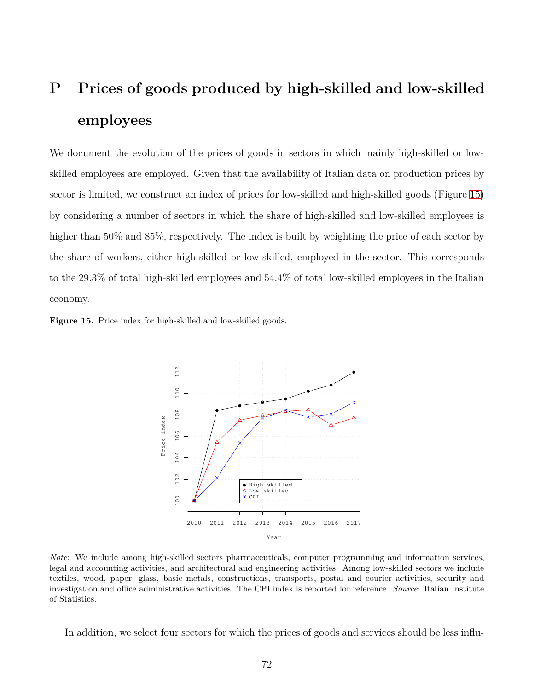# **P Prices of goods produced by high-skilled and low-skilled employees**

We document the evolution of the prices of goods in sectors in which mainly high-skilled or lowskilled employees are employed. Given that the availability of Italian data on production prices by sector is limited, we construct an index of prices for low-skilled and high-skilled goods (Figure [15\)](#page-71-0) by considering a number of sectors in which the share of high-skilled and low-skilled employees is higher than 50% and 85%, respectively. The index is built by weighting the price of each sector by the share of workers, either high-skilled or low-skilled, employed in the sector. This corresponds to the 29.3% of total high-skilled employees and 54.4% of total low-skilled employees in the Italian economy.

<span id="page-71-0"></span>**Figure 15.** Price index for high-skilled and low-skilled goods.



*Note*: We include among high-skilled sectors pharmaceuticals, computer programming and information services, legal and accounting activities, and architectural and engineering activities. Among low-skilled sectors we include textiles, wood, paper, glass, basic metals, constructions, transports, postal and courier activities, security and investigation and office administrative activities. The CPI index is reported for reference. *Source*: Italian Institute of Statistics.

In addition, we select four sectors for which the prices of goods and services should be less influ-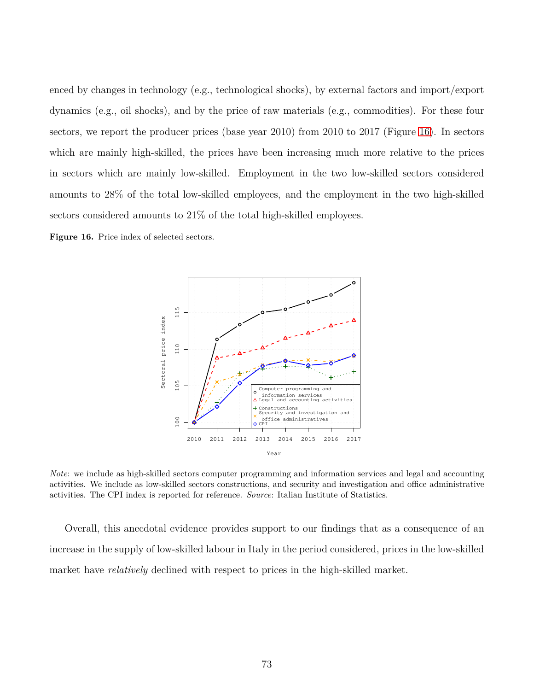enced by changes in technology (e.g., technological shocks), by external factors and import/export dynamics (e.g., oil shocks), and by the price of raw materials (e.g., commodities). For these four sectors, we report the producer prices (base year 2010) from 2010 to 2017 (Figure [16\)](#page-72-0). In sectors which are mainly high-skilled, the prices have been increasing much more relative to the prices in sectors which are mainly low-skilled. Employment in the two low-skilled sectors considered amounts to 28% of the total low-skilled employees, and the employment in the two high-skilled sectors considered amounts to 21% of the total high-skilled employees.

<span id="page-72-0"></span>**Figure 16.** Price index of selected sectors.



*Note*: we include as high-skilled sectors computer programming and information services and legal and accounting activities. We include as low-skilled sectors constructions, and security and investigation and office administrative activities. The CPI index is reported for reference. *Source*: Italian Institute of Statistics.

Overall, this anecdotal evidence provides support to our findings that as a consequence of an increase in the supply of low-skilled labour in Italy in the period considered, prices in the low-skilled market have *relatively* declined with respect to prices in the high-skilled market.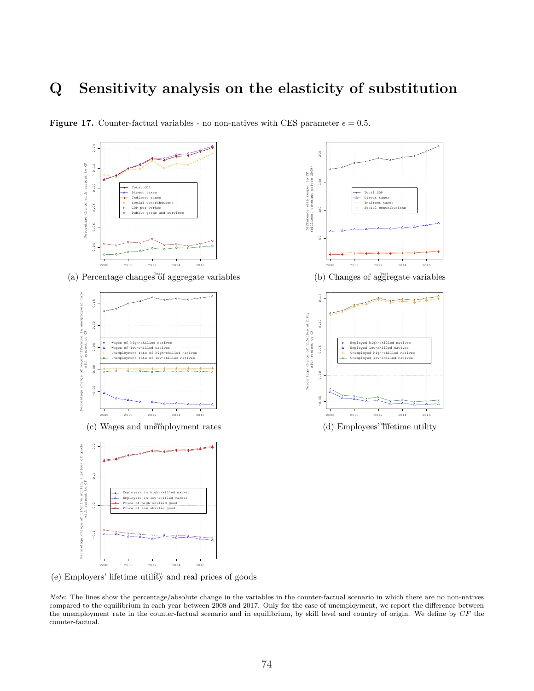## **Q Sensitivity analysis on the elasticity of substitution**



**Figure 17.** Counter-factual variables - no non-natives with CES parameter  $\epsilon = 0.5$ .

Year (a) Percentage changes of aggregate variables



(c) Wages and unemployment rates





(e) Employers' lifetime utility and real prices of goods

*Note*: The lines show the percentage/absolute change in the variables in the counter-factual scenario in which there are no non-natives compared to the equilibrium in each year between 2008 and 2017. Only for the case of unemployment, we report the difference between the unemployment rate in the counter-factual scenario and in equilibrium, by skill level and country of origin. We define by *CF* the counter-factual.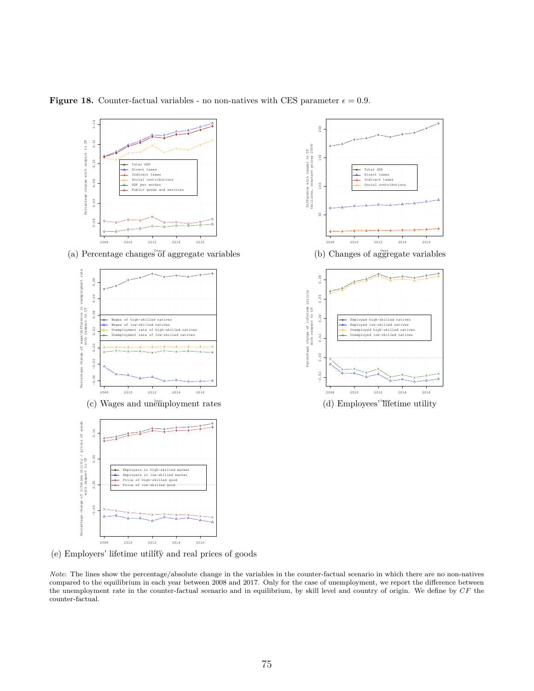

**Figure 18.** Counter-factual variables - no non-natives with CES parameter  $\epsilon = 0.9$ .

(e) Employers' lifetime utility and real prices of goods

*Note*: The lines show the percentage/absolute change in the variables in the counter-factual scenario in which there are no non-natives compared to the equilibrium in each year between 2008 and 2017. Only for the case of unemployment, we report the difference between the unemployment rate in the counter-factual scenario and in equilibrium, by skill level and country of origin. We define by *CF* the counter-factual.

2008 2010 2012 2014 2016

Total GDP Direct taxes Indirect taxes Social contributions

(b) Changes of aggregate variables

Employed high−skilled natives Employed low−skilled natives Unemployed high−skilled natives Unemployed low−skilled natives

2008 2010 2012 2014 2016

(d) Employees' lifetime utility

 $100$ 

š

150

 $200$ 

−0.02 0.00 0.02 0.04 0.06 0.08

 $0.02$ 

 $\sim$ 

g

 $0.06$ 

 $0.04$ 

Percentage change of lifetime utility with respect to CF

age

change of lifetime utility<br>with respect to CF

Difference with respec to CF (billions, constant prices 2009)

Difference with respec to CF<br>(billions, constant prices 2009)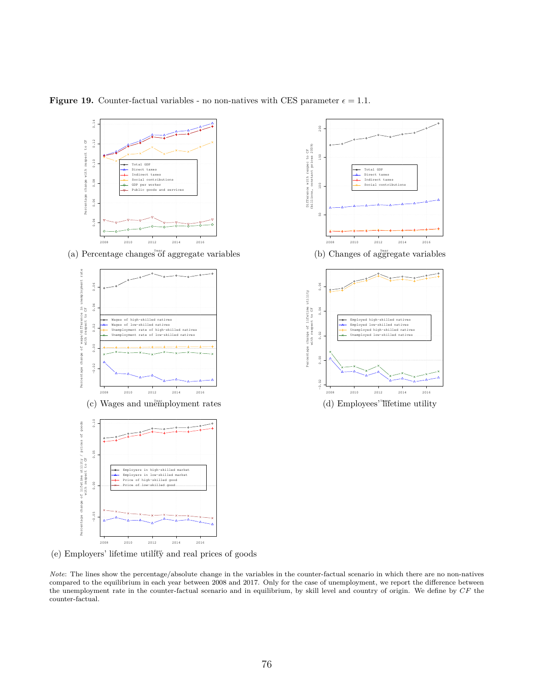

**Figure 19.** Counter-factual variables - no non-natives with CES parameter  $\epsilon = 1.1$ .

(e) Employers' lifetime utility and real prices of goods

*Note*: The lines show the percentage/absolute change in the variables in the counter-factual scenario in which there are no non-natives compared to the equilibrium in each year between 2008 and 2017. Only for the case of unemployment, we report the difference between the unemployment rate in the counter-factual scenario and in equilibrium, by skill level and country of origin. We define by *CF* the counter-factual.

2008 2010 2012 2014 2016

Total GDP Direct taxes Indirect taxes Social contributions

(b) Changes of aggregate variables

Employed high−skilled natives Employed low−skilled natives Unemployed high−skilled natives Unemployed low−skilled natives

2008 2010 2012 2014 2016

(d) Employees' lifetime utility

 $1000$ 

ă,

 $150$ 

 $2\,0\,0$ 

−0.02 0.00 0.02 0.04 0.06

 $0.02$ 

 $\tilde{c}$ 

 $0.04$ 

Percentage change of lifetime utility with respect to CF

ercentage É

change of lifetime utility<br>with respect to CF

Difference with respec to CF (billions, constant prices 2009)

Difference with respec to CF<br>(billions, constant prices 2009)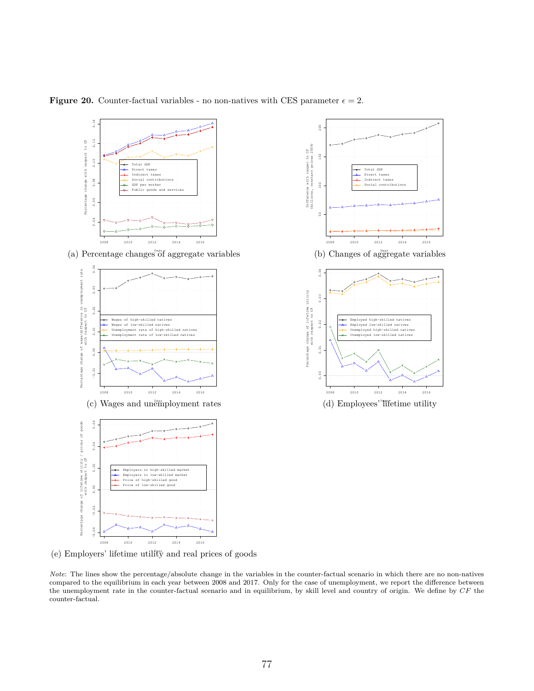

**Figure 20.** Counter-factual variables - no non-natives with CES parameter  $\epsilon = 2$ .

(e) Employers' lifetime utility and real prices of goods

*Note*: The lines show the percentage/absolute change in the variables in the counter-factual scenario in which there are no non-natives compared to the equilibrium in each year between 2008 and 2017. Only for the case of unemployment, we report the difference between the unemployment rate in the counter-factual scenario and in equilibrium, by skill level and country of origin. We define by *CF* the counter-factual.

2008 2010 2012 2014 2016

Total GDP Direct taxes Indirect taxes Social contributions

(b) Changes of aggregate variables

Employed high−skilled natives Employed low−skilled natives Unemployed high−skilled natives Unemployed low−skilled natives

2008 2010 2012 2014 2016

(d) Employees' lifetime utility

 $\frac{6}{10}$ 

ç.

 $150$ 

 $200$ 

0.00 0.01 0.02 0.03 0.04

 $0\,.\,02$ 

 $0.01$ 

S

 $0.03$ 

Percentage change of lifetime utility with respect to CF

itage

change of lifetime utility<br>with respect to CF

Difference with respec to CF (billions, constant prices 2009)

Difference with respec to CF<br>(billions, constant prices 2009)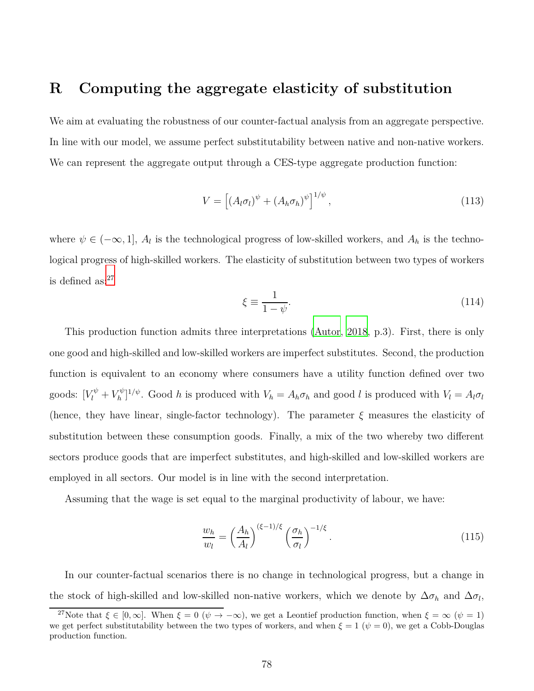## **R Computing the aggregate elasticity of substitution**

We aim at evaluating the robustness of our counter-factual analysis from an aggregate perspective. In line with our model, we assume perfect substitutability between native and non-native workers. We can represent the aggregate output through a CES-type aggregate production function:

$$
V = \left[ \left( A_l \sigma_l \right)^{\psi} + \left( A_h \sigma_h \right)^{\psi} \right]^{1/\psi}, \tag{113}
$$

where  $\psi \in (-\infty, 1]$ ,  $A_l$  is the technological progress of low-skilled workers, and  $A_h$  is the technological progress of high-skilled workers. The elasticity of substitution between two types of workers is defined  $as:^{27}$ 

$$
\xi \equiv \frac{1}{1 - \psi}.\tag{114}
$$

This production function admits three interpretations [\(Autor](#page-79-0), [2018,](#page-79-0) p.3). First, there is only one good and high-skilled and low-skilled workers are imperfect substitutes. Second, the production function is equivalent to an economy where consumers have a utility function defined over two goods:  $[V_l^{\psi} + V_h^{\psi}]$  $N_h^{(v)}$ <sup>1</sup>/<sup>*ψ*</sup>. Good *h* is produced with  $V_h = A_h \sigma_h$  and good *l* is produced with  $V_l = A_l \sigma_l$ (hence, they have linear, single-factor technology). The parameter *ξ* measures the elasticity of substitution between these consumption goods. Finally, a mix of the two whereby two different sectors produce goods that are imperfect substitutes, and high-skilled and low-skilled workers are employed in all sectors. Our model is in line with the second interpretation.

Assuming that the wage is set equal to the marginal productivity of labour, we have:

<span id="page-77-0"></span>
$$
\frac{w_h}{w_l} = \left(\frac{A_h}{A_l}\right)^{(\xi - 1)/\xi} \left(\frac{\sigma_h}{\sigma_l}\right)^{-1/\xi}.\tag{115}
$$

In our counter-factual scenarios there is no change in technological progress, but a change in the stock of high-skilled and low-skilled non-native workers, which we denote by  $\Delta \sigma_h$  and  $\Delta \sigma_l$ ,

<sup>&</sup>lt;sup>27</sup>Note that  $\xi \in [0,\infty]$ . When  $\xi = 0$  ( $\psi \to -\infty$ ), we get a Leontief production function, when  $\xi = \infty$  ( $\psi = 1$ ) we get perfect substitutability between the two types of workers, and when  $\xi = 1$  ( $\psi = 0$ ), we get a Cobb-Douglas production function.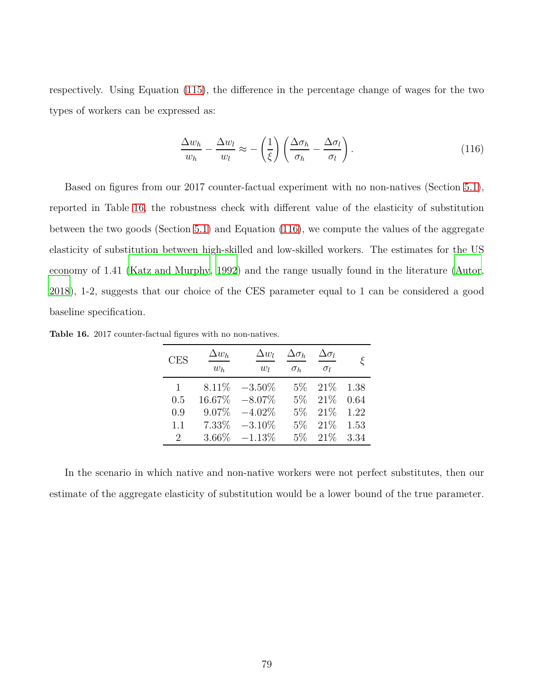respectively. Using Equation [\(115\)](#page-77-0), the difference in the percentage change of wages for the two types of workers can be expressed as:

<span id="page-78-1"></span>
$$
\frac{\Delta w_h}{w_h} - \frac{\Delta w_l}{w_l} \approx -\left(\frac{1}{\xi}\right) \left(\frac{\Delta \sigma_h}{\sigma_h} - \frac{\Delta \sigma_l}{\sigma_l}\right). \tag{116}
$$

Based on figures from our 2017 counter-factual experiment with no non-natives (Section [5.1\)](#page-34-0), reported in Table [16,](#page-78-0) the robustness check with different value of the elasticity of substitution between the two goods (Section [5.1\)](#page-34-0) and Equation [\(116\)](#page-78-1), we compute the values of the aggregate elasticity of substitution between high-skilled and low-skilled workers. The estimates for the US economy of 1.41 [\(Katz and Murphy, 1992\)](#page-83-0) and the range usually found in the literature [\(Autor](#page-79-0), [2018](#page-79-0)), 1-2, suggests that our choice of the CES parameter equal to 1 can be considered a good baseline specification.

| <b>CES</b>                  | $\Delta w_h$<br>$w_h$ | $\Delta w_l$<br>$w_l$ | $\Delta \sigma_h$<br>$\sigma_h$ | $\Delta \sigma_l$<br>$\sigma_l$ |      |
|-----------------------------|-----------------------|-----------------------|---------------------------------|---------------------------------|------|
| 1                           | 8.11\%                | $-3.50\%$             | $5\%$                           | 21%                             | 1.38 |
| 0.5                         | 16.67%                | $-8.07\%$             | 5%                              | 21%                             | 0.64 |
| 0.9                         | 9.07%                 | $-4.02\%$             | 5%                              | 21%                             | 1.22 |
| 1.1                         | 7.33%                 | $-3.10\%$             | 5%                              | 21%                             | 1.53 |
| $\mathcal{D}_{\mathcal{L}}$ | 3.66%                 | $-1.13%$              | $5\%$                           | 21%                             | 3.34 |

<span id="page-78-0"></span>**Table 16.** 2017 counter-factual figures with no non-natives.

In the scenario in which native and non-native workers were not perfect substitutes, then our estimate of the aggregate elasticity of substitution would be a lower bound of the true parameter.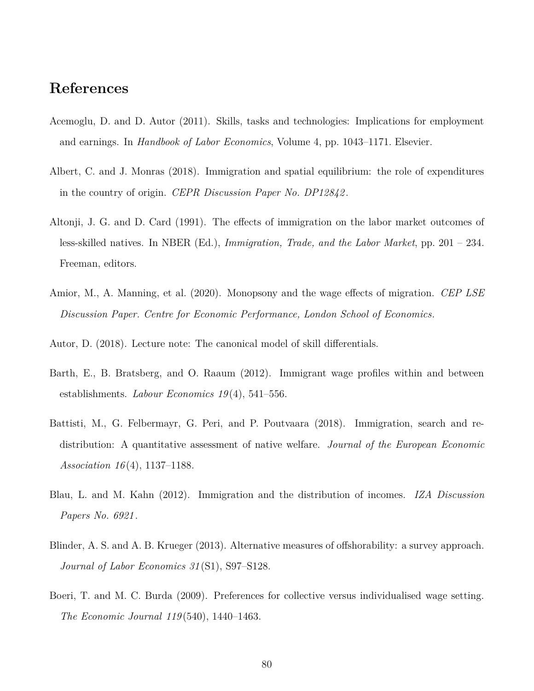## **References**

- Acemoglu, D. and D. Autor (2011). Skills, tasks and technologies: Implications for employment and earnings. In *Handbook of Labor Economics*, Volume 4, pp. 1043–1171. Elsevier.
- Albert, C. and J. Monras (2018). Immigration and spatial equilibrium: the role of expenditures in the country of origin. *CEPR Discussion Paper No. DP12842* .
- Altonji, J. G. and D. Card (1991). The effects of immigration on the labor market outcomes of less-skilled natives. In NBER (Ed.), *Immigration, Trade, and the Labor Market*, pp. 201 – 234. Freeman, editors.
- Amior, M., A. Manning, et al. (2020). Monopsony and the wage effects of migration. *CEP LSE Discussion Paper. Centre for Economic Performance, London School of Economics*.
- <span id="page-79-0"></span>Autor, D. (2018). Lecture note: The canonical model of skill differentials.
- Barth, E., B. Bratsberg, and O. Raaum (2012). Immigrant wage profiles within and between establishments. *Labour Economics 19* (4), 541–556.
- Battisti, M., G. Felbermayr, G. Peri, and P. Poutvaara (2018). Immigration, search and redistribution: A quantitative assessment of native welfare. *Journal of the European Economic Association 16* (4), 1137–1188.
- Blau, L. and M. Kahn (2012). Immigration and the distribution of incomes. *IZA Discussion Papers No. 6921* .
- Blinder, A. S. and A. B. Krueger (2013). Alternative measures of offshorability: a survey approach. *Journal of Labor Economics 31* (S1), S97–S128.
- Boeri, T. and M. C. Burda (2009). Preferences for collective versus individualised wage setting. *The Economic Journal 119* (540), 1440–1463.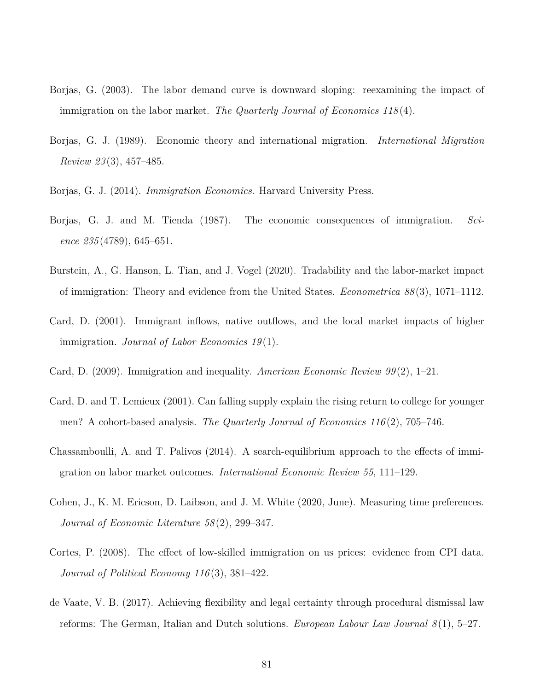- Borjas, G. (2003). The labor demand curve is downward sloping: reexamining the impact of immigration on the labor market. *The Quarterly Journal of Economics 118* (4).
- Borjas, G. J. (1989). Economic theory and international migration. *International Migration Review 23* (3), 457–485.
- Borjas, G. J. (2014). *Immigration Economics*. Harvard University Press.
- Borjas, G. J. and M. Tienda (1987). The economic consequences of immigration. *Science 235* (4789), 645–651.
- Burstein, A., G. Hanson, L. Tian, and J. Vogel (2020). Tradability and the labor-market impact of immigration: Theory and evidence from the United States. *Econometrica 88* (3), 1071–1112.
- Card, D. (2001). Immigrant inflows, native outflows, and the local market impacts of higher immigration. *Journal of Labor Economics 19* (1).
- Card, D. (2009). Immigration and inequality. *American Economic Review 99* (2), 1–21.
- Card, D. and T. Lemieux (2001). Can falling supply explain the rising return to college for younger men? A cohort-based analysis. *The Quarterly Journal of Economics 116* (2), 705–746.
- Chassamboulli, A. and T. Palivos (2014). A search-equilibrium approach to the effects of immigration on labor market outcomes. *International Economic Review 55*, 111–129.
- Cohen, J., K. M. Ericson, D. Laibson, and J. M. White (2020, June). Measuring time preferences. *Journal of Economic Literature 58* (2), 299–347.
- Cortes, P. (2008). The effect of low-skilled immigration on us prices: evidence from CPI data. *Journal of Political Economy 116* (3), 381–422.
- de Vaate, V. B. (2017). Achieving flexibility and legal certainty through procedural dismissal law reforms: The German, Italian and Dutch solutions. *European Labour Law Journal 8* (1), 5–27.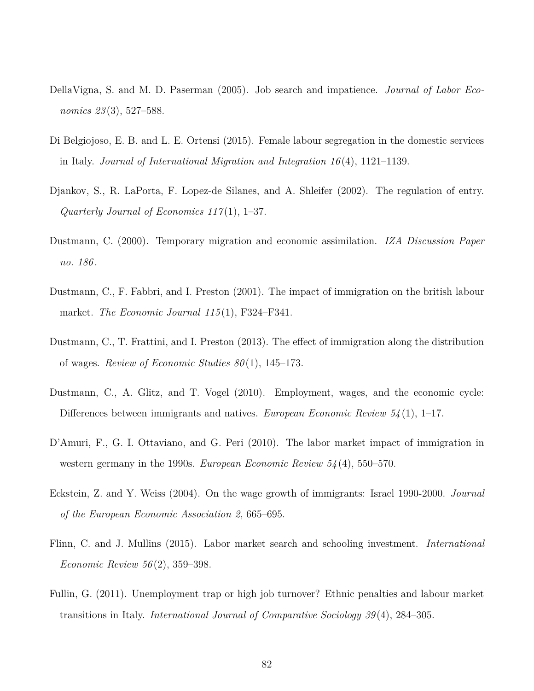- DellaVigna, S. and M. D. Paserman (2005). Job search and impatience. *Journal of Labor Economics 23* (3), 527–588.
- Di Belgiojoso, E. B. and L. E. Ortensi (2015). Female labour segregation in the domestic services in Italy. *Journal of International Migration and Integration 16* (4), 1121–1139.
- Djankov, S., R. LaPorta, F. Lopez-de Silanes, and A. Shleifer (2002). The regulation of entry. *Quarterly Journal of Economics 117* (1), 1–37.
- Dustmann, C. (2000). Temporary migration and economic assimilation. *IZA Discussion Paper no. 186* .
- Dustmann, C., F. Fabbri, and I. Preston (2001). The impact of immigration on the british labour market. *The Economic Journal 115* (1), F324–F341.
- Dustmann, C., T. Frattini, and I. Preston (2013). The effect of immigration along the distribution of wages. *Review of Economic Studies 80* (1), 145–173.
- Dustmann, C., A. Glitz, and T. Vogel (2010). Employment, wages, and the economic cycle: Differences between immigrants and natives. *European Economic Review 54* (1), 1–17.
- D'Amuri, F., G. I. Ottaviano, and G. Peri (2010). The labor market impact of immigration in western germany in the 1990s. *European Economic Review 54* (4), 550–570.
- Eckstein, Z. and Y. Weiss (2004). On the wage growth of immigrants: Israel 1990-2000. *Journal of the European Economic Association 2*, 665–695.
- Flinn, C. and J. Mullins (2015). Labor market search and schooling investment. *International Economic Review 56* (2), 359–398.
- Fullin, G. (2011). Unemployment trap or high job turnover? Ethnic penalties and labour market transitions in Italy. *International Journal of Comparative Sociology 39* (4), 284–305.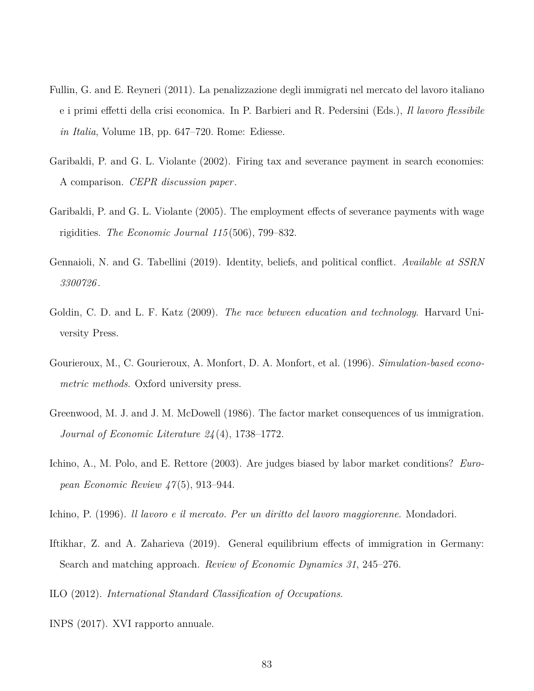- Fullin, G. and E. Reyneri (2011). La penalizzazione degli immigrati nel mercato del lavoro italiano e i primi effetti della crisi economica. In P. Barbieri and R. Pedersini (Eds.), *Il lavoro flessibile in Italia*, Volume 1B, pp. 647–720. Rome: Ediesse.
- Garibaldi, P. and G. L. Violante (2002). Firing tax and severance payment in search economies: A comparison. *CEPR discussion paper*.
- Garibaldi, P. and G. L. Violante (2005). The employment effects of severance payments with wage rigidities. *The Economic Journal 115* (506), 799–832.
- Gennaioli, N. and G. Tabellini (2019). Identity, beliefs, and political conflict. *Available at SSRN 3300726* .
- Goldin, C. D. and L. F. Katz (2009). *The race between education and technology*. Harvard University Press.
- Gourieroux, M., C. Gourieroux, A. Monfort, D. A. Monfort, et al. (1996). *Simulation-based econometric methods*. Oxford university press.
- Greenwood, M. J. and J. M. McDowell (1986). The factor market consequences of us immigration. *Journal of Economic Literature 24* (4), 1738–1772.
- Ichino, A., M. Polo, and E. Rettore (2003). Are judges biased by labor market conditions? *European Economic Review 47* (5), 913–944.
- Ichino, P. (1996). *ll lavoro e il mercato. Per un diritto del lavoro maggiorenne*. Mondadori.
- Iftikhar, Z. and A. Zaharieva (2019). General equilibrium effects of immigration in Germany: Search and matching approach. *Review of Economic Dynamics 31*, 245–276.
- ILO (2012). *International Standard Classification of Occupations*.
- INPS (2017). XVI rapporto annuale.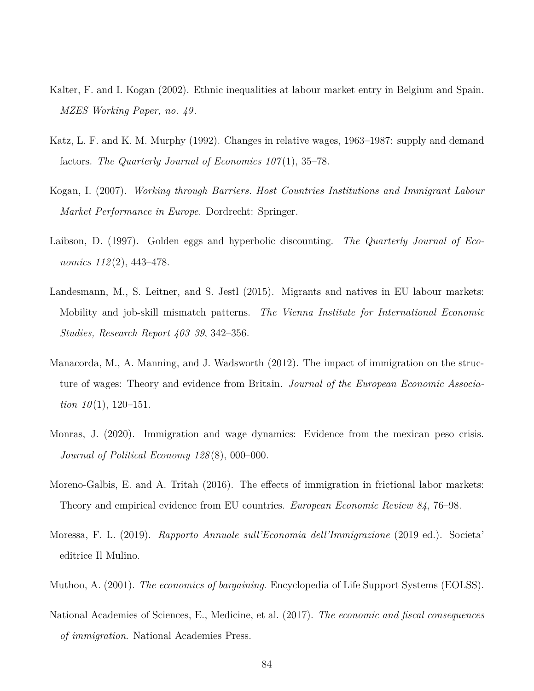- Kalter, F. and I. Kogan (2002). Ethnic inequalities at labour market entry in Belgium and Spain. *MZES Working Paper, no. 49* .
- <span id="page-83-0"></span>Katz, L. F. and K. M. Murphy (1992). Changes in relative wages, 1963–1987: supply and demand factors. *The Quarterly Journal of Economics 107* (1), 35–78.
- Kogan, I. (2007). *Working through Barriers. Host Countries Institutions and Immigrant Labour Market Performance in Europe.* Dordrecht: Springer.
- Laibson, D. (1997). Golden eggs and hyperbolic discounting. *The Quarterly Journal of Economics 112* (2), 443–478.
- Landesmann, M., S. Leitner, and S. Jestl (2015). Migrants and natives in EU labour markets: Mobility and job-skill mismatch patterns. *The Vienna Institute for International Economic Studies, Research Report 403 39*, 342–356.
- Manacorda, M., A. Manning, and J. Wadsworth (2012). The impact of immigration on the structure of wages: Theory and evidence from Britain. *Journal of the European Economic Association 10*(1), 120–151.
- Monras, J. (2020). Immigration and wage dynamics: Evidence from the mexican peso crisis. *Journal of Political Economy 128* (8), 000–000.
- Moreno-Galbis, E. and A. Tritah (2016). The effects of immigration in frictional labor markets: Theory and empirical evidence from EU countries. *European Economic Review 84*, 76–98.
- Moressa, F. L. (2019). *Rapporto Annuale sull'Economia dell'Immigrazione* (2019 ed.). Societa' editrice Il Mulino.
- Muthoo, A. (2001). *The economics of bargaining*. Encyclopedia of Life Support Systems (EOLSS).
- National Academies of Sciences, E., Medicine, et al. (2017). *The economic and fiscal consequences of immigration*. National Academies Press.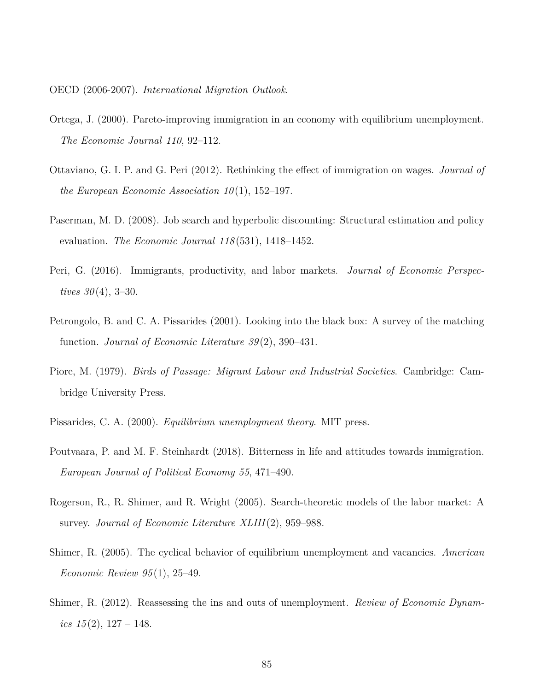OECD (2006-2007). *International Migration Outlook*.

- Ortega, J. (2000). Pareto-improving immigration in an economy with equilibrium unemployment. *The Economic Journal 110*, 92–112.
- Ottaviano, G. I. P. and G. Peri (2012). Rethinking the effect of immigration on wages. *Journal of the European Economic Association 10* (1), 152–197.
- Paserman, M. D. (2008). Job search and hyperbolic discounting: Structural estimation and policy evaluation. *The Economic Journal 118* (531), 1418–1452.
- Peri, G. (2016). Immigrants, productivity, and labor markets. *Journal of Economic Perspectives*  $30(4)$ , 3-30.
- Petrongolo, B. and C. A. Pissarides (2001). Looking into the black box: A survey of the matching function. *Journal of Economic Literature 39* (2), 390–431.
- Piore, M. (1979). *Birds of Passage: Migrant Labour and Industrial Societies*. Cambridge: Cambridge University Press.
- Pissarides, C. A. (2000). *Equilibrium unemployment theory*. MIT press.
- Poutvaara, P. and M. F. Steinhardt (2018). Bitterness in life and attitudes towards immigration. *European Journal of Political Economy 55*, 471–490.
- Rogerson, R., R. Shimer, and R. Wright (2005). Search-theoretic models of the labor market: A survey. *Journal of Economic Literature XLIII*(2), 959–988.
- Shimer, R. (2005). The cyclical behavior of equilibrium unemployment and vacancies. *American Economic Review 95* (1), 25–49.
- Shimer, R. (2012). Reassessing the ins and outs of unemployment. *Review of Economic Dynamics*  $15(2)$ ,  $127 - 148$ .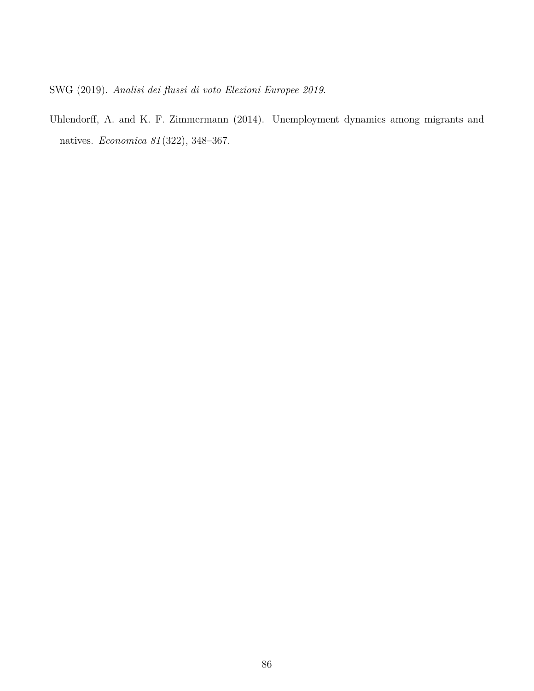SWG (2019). *Analisi dei flussi di voto Elezioni Europee 2019*.

Uhlendorff, A. and K. F. Zimmermann (2014). Unemployment dynamics among migrants and natives. *Economica 81* (322), 348–367.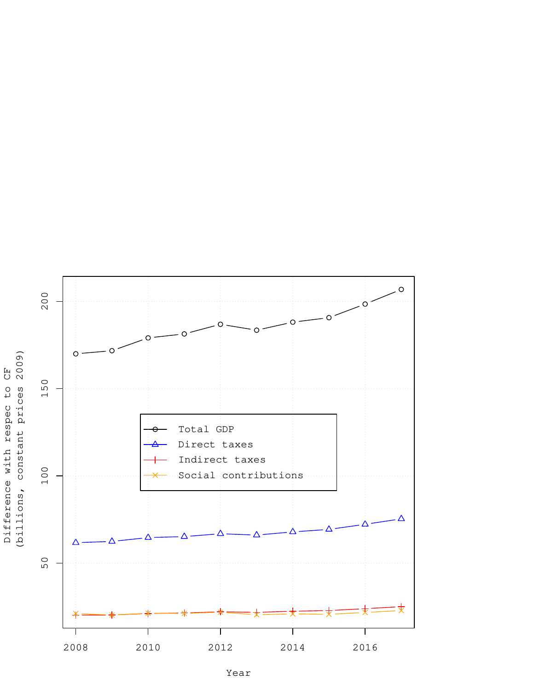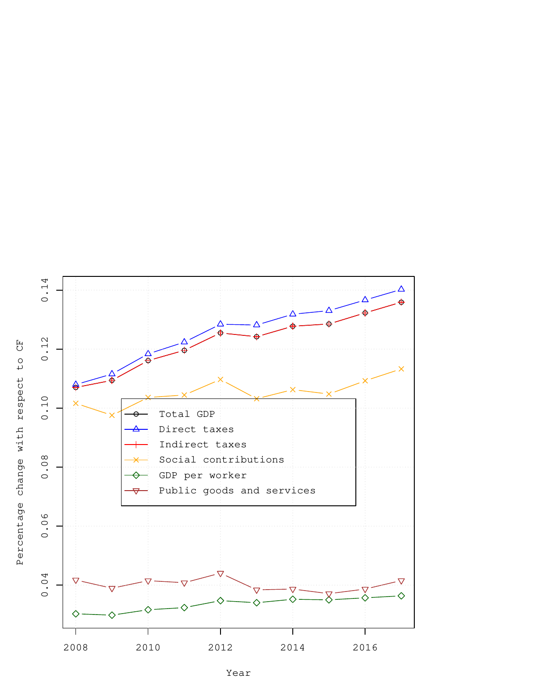

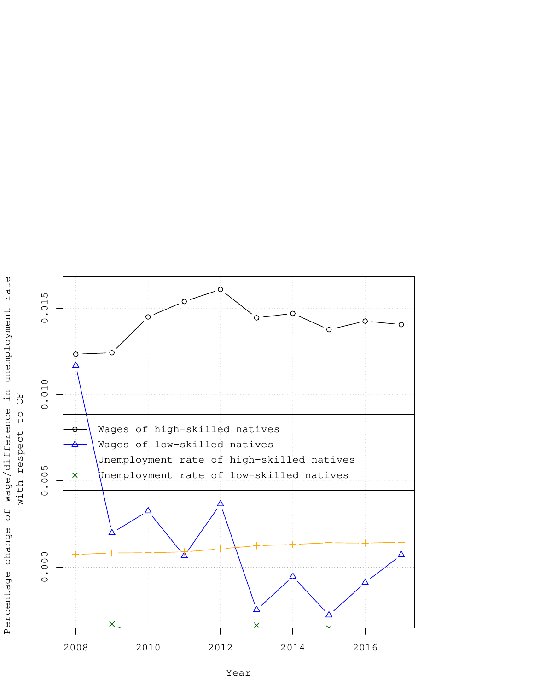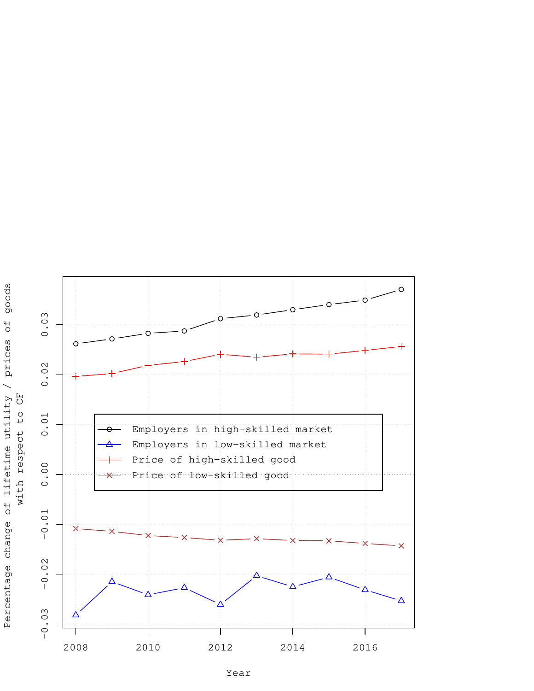

Year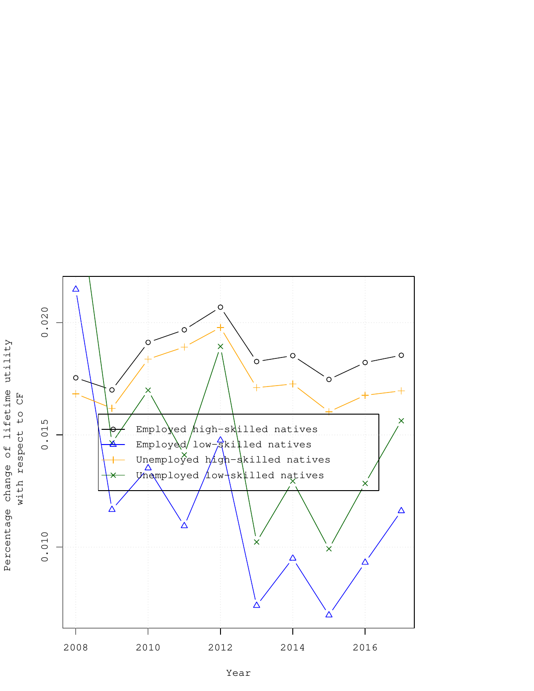